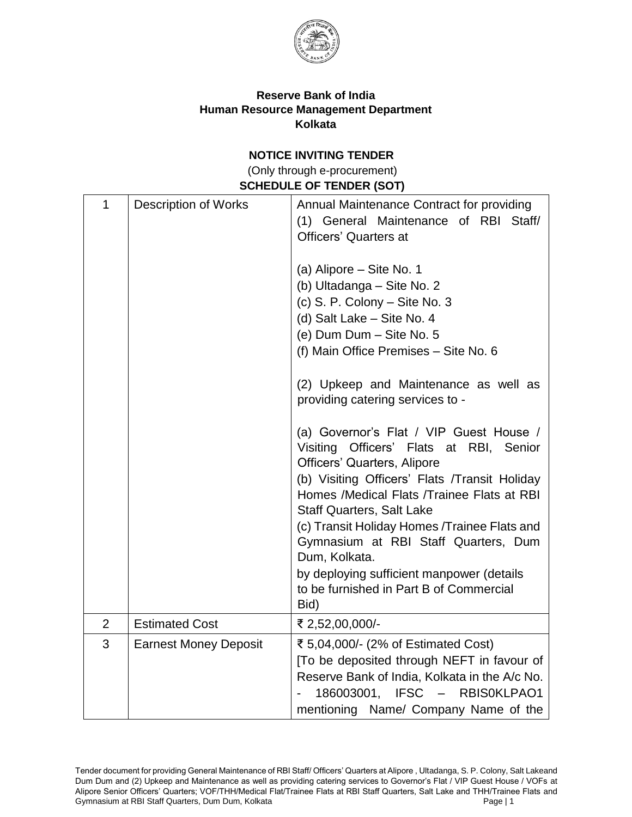

## **Reserve Bank of India Human Resource Management Department Kolkata**

### **NOTICE INVITING TENDER**

(Only through e-procurement) **SCHEDULE OF TENDER (SOT)** 

| $\mathbf{1}$   | <b>Description of Works</b>  | Annual Maintenance Contract for providing<br>(1) General Maintenance of RBI Staff/<br><b>Officers' Quarters at</b><br>(a) Alipore - Site No. 1<br>(b) Ultadanga - Site No. 2<br>(c) S. P. Colony - Site No. 3<br>(d) Salt Lake - Site No. 4<br>(e) Dum Dum - Site No. 5<br>(f) Main Office Premises - Site No. 6<br>(2) Upkeep and Maintenance as well as<br>providing catering services to -<br>(a) Governor's Flat / VIP Guest House /<br>Visiting Officers' Flats at RBI, Senior<br>Officers' Quarters, Alipore<br>(b) Visiting Officers' Flats /Transit Holiday<br>Homes /Medical Flats /Trainee Flats at RBI<br><b>Staff Quarters, Salt Lake</b><br>(c) Transit Holiday Homes / Trainee Flats and<br>Gymnasium at RBI Staff Quarters, Dum<br>Dum, Kolkata.<br>by deploying sufficient manpower (details<br>to be furnished in Part B of Commercial<br>Bid) |
|----------------|------------------------------|-----------------------------------------------------------------------------------------------------------------------------------------------------------------------------------------------------------------------------------------------------------------------------------------------------------------------------------------------------------------------------------------------------------------------------------------------------------------------------------------------------------------------------------------------------------------------------------------------------------------------------------------------------------------------------------------------------------------------------------------------------------------------------------------------------------------------------------------------------------------|
| $\overline{2}$ | <b>Estimated Cost</b>        | ₹ 2,52,00,000/-                                                                                                                                                                                                                                                                                                                                                                                                                                                                                                                                                                                                                                                                                                                                                                                                                                                 |
| 3              | <b>Earnest Money Deposit</b> | ₹ 5,04,000/- (2% of Estimated Cost)                                                                                                                                                                                                                                                                                                                                                                                                                                                                                                                                                                                                                                                                                                                                                                                                                             |
|                |                              | [To be deposited through NEFT in favour of<br>Reserve Bank of India, Kolkata in the A/c No.<br>186003001, IFSC - RBIS0KLPAO1<br>mentioning Name/ Company Name of the                                                                                                                                                                                                                                                                                                                                                                                                                                                                                                                                                                                                                                                                                            |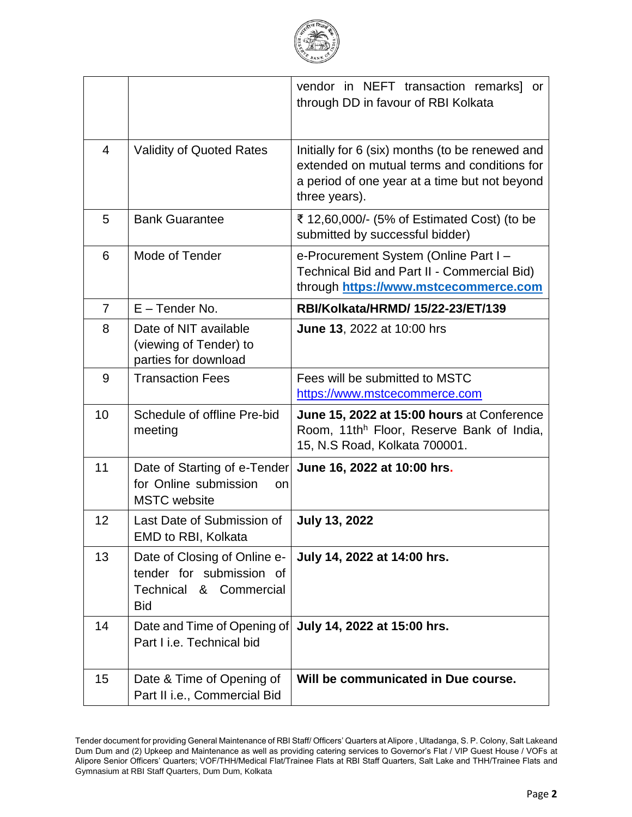

|                |                                                                                                     | vendor in NEFT transaction remarks] or<br>through DD in favour of RBI Kolkata                                                                                    |
|----------------|-----------------------------------------------------------------------------------------------------|------------------------------------------------------------------------------------------------------------------------------------------------------------------|
| $\overline{4}$ | <b>Validity of Quoted Rates</b>                                                                     | Initially for 6 (six) months (to be renewed and<br>extended on mutual terms and conditions for<br>a period of one year at a time but not beyond<br>three years). |
| 5              | <b>Bank Guarantee</b>                                                                               | ₹ 12,60,000/- (5% of Estimated Cost) (to be<br>submitted by successful bidder)                                                                                   |
| 6              | Mode of Tender                                                                                      | e-Procurement System (Online Part I -<br>Technical Bid and Part II - Commercial Bid)<br>through https://www.mstcecommerce.com                                    |
| $\overline{7}$ | $E$ – Tender No.                                                                                    | RBI/Kolkata/HRMD/ 15/22-23/ET/139                                                                                                                                |
| 8              | Date of NIT available<br>(viewing of Tender) to<br>parties for download                             | <b>June 13, 2022 at 10:00 hrs</b>                                                                                                                                |
| 9              | <b>Transaction Fees</b>                                                                             | Fees will be submitted to MSTC<br>https://www.mstcecommerce.com                                                                                                  |
| 10             | Schedule of offline Pre-bid<br>meeting                                                              | June 15, 2022 at 15:00 hours at Conference<br>Room, 11th <sup>h</sup> Floor, Reserve Bank of India,<br>15, N.S Road, Kolkata 700001.                             |
| 11             | Date of Starting of e-Tender<br>for Online submission<br>on<br><b>MSTC</b> website                  | June 16, 2022 at 10:00 hrs.                                                                                                                                      |
| 12             | Last Date of Submission of<br>EMD to RBI, Kolkata                                                   | <b>July 13, 2022</b>                                                                                                                                             |
| 13             | Date of Closing of Online e-<br>tender for submission of<br>& Commercial<br>Technical<br><b>Bid</b> | July 14, 2022 at 14:00 hrs.                                                                                                                                      |
| 14             | Date and Time of Opening of<br>Part I i.e. Technical bid                                            | July 14, 2022 at 15:00 hrs.                                                                                                                                      |
| 15             | Date & Time of Opening of<br>Part II i.e., Commercial Bid                                           | Will be communicated in Due course.                                                                                                                              |

Tender document for providing General Maintenance of RBI Staff/ Officers' Quarters at Alipore , Ultadanga, S. P. Colony, Salt Lakeand Dum Dum and (2) Upkeep and Maintenance as well as providing catering services to Governor's Flat / VIP Guest House / VOFs at Alipore Senior Officers' Quarters; VOF/THH/Medical Flat/Trainee Flats at RBI Staff Quarters, Salt Lake and THH/Trainee Flats and Gymnasium at RBI Staff Quarters, Dum Dum, Kolkata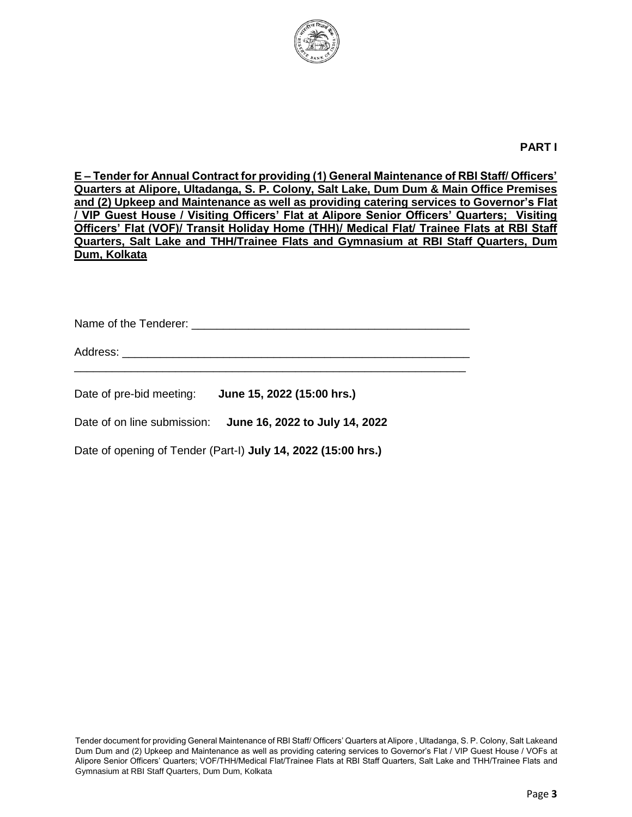

#### **PART I**

**E – Tender for Annual Contract for providing (1) General Maintenance of RBI Staff/ Officers' Quarters at Alipore, Ultadanga, S. P. Colony, Salt Lake, Dum Dum & Main Office Premises and (2) Upkeep and Maintenance as well as providing catering services to Governor's Flat / VIP Guest House / Visiting Officers' Flat at Alipore Senior Officers' Quarters; Visiting Officers' Flat (VOF)/ Transit Holiday Home (THH)/ Medical Flat/ Trainee Flats at RBI Staff Quarters, Salt Lake and THH/Trainee Flats and Gymnasium at RBI Staff Quarters, Dum Dum, Kolkata**

Name of the Tenderer: \_\_\_\_\_\_\_\_\_\_\_\_\_\_\_\_\_\_\_\_\_\_\_\_\_\_\_\_\_\_\_\_\_\_\_\_\_\_\_\_\_\_\_\_

Address: \_\_\_\_\_\_\_\_\_\_\_\_\_\_\_\_\_\_\_\_\_\_\_\_\_\_\_\_\_\_\_\_\_\_\_\_\_\_\_\_\_\_\_\_\_\_\_\_\_\_\_\_\_\_\_ \_\_\_\_\_\_\_\_\_\_\_\_\_\_\_\_\_\_\_\_\_\_\_\_\_\_\_\_\_\_\_\_\_\_\_\_\_\_\_\_\_\_\_\_\_\_\_\_\_\_\_\_\_\_\_\_\_\_\_\_\_\_

Date of pre-bid meeting: **June 15, 2022 (15:00 hrs.)**

Date of on line submission: **June 16, 2022 to July 14, 2022**

Date of opening of Tender (Part-I) **July 14, 2022 (15:00 hrs.)**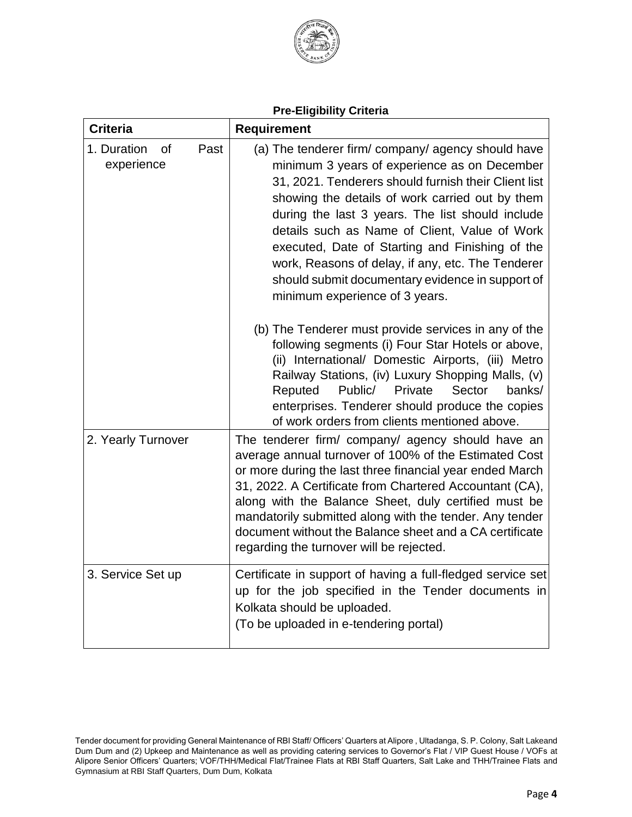

|  |  | <b>Pre-Eligibility Criteria</b> |
|--|--|---------------------------------|
|  |  |                                 |

| <b>Criteria</b>                         | <b>Requirement</b>                                                                                                                                                                                                                                                                                                                                                                                                                                                                                                                                                                                                                                                                                                                                                                                                                                                                               |  |
|-----------------------------------------|--------------------------------------------------------------------------------------------------------------------------------------------------------------------------------------------------------------------------------------------------------------------------------------------------------------------------------------------------------------------------------------------------------------------------------------------------------------------------------------------------------------------------------------------------------------------------------------------------------------------------------------------------------------------------------------------------------------------------------------------------------------------------------------------------------------------------------------------------------------------------------------------------|--|
| 1. Duration<br>Past<br>0f<br>experience | (a) The tenderer firm/ company/ agency should have<br>minimum 3 years of experience as on December<br>31, 2021. Tenderers should furnish their Client list<br>showing the details of work carried out by them<br>during the last 3 years. The list should include<br>details such as Name of Client, Value of Work<br>executed, Date of Starting and Finishing of the<br>work, Reasons of delay, if any, etc. The Tenderer<br>should submit documentary evidence in support of<br>minimum experience of 3 years.<br>(b) The Tenderer must provide services in any of the<br>following segments (i) Four Star Hotels or above,<br>(ii) International/ Domestic Airports, (iii) Metro<br>Railway Stations, (iv) Luxury Shopping Malls, (v)<br>Public/<br>Private<br>Sector<br>Reputed<br>banks/<br>enterprises. Tenderer should produce the copies<br>of work orders from clients mentioned above. |  |
| 2. Yearly Turnover                      | The tenderer firm/ company/ agency should have an<br>average annual turnover of 100% of the Estimated Cost<br>or more during the last three financial year ended March<br>31, 2022. A Certificate from Chartered Accountant (CA),<br>along with the Balance Sheet, duly certified must be<br>mandatorily submitted along with the tender. Any tender<br>document without the Balance sheet and a CA certificate<br>regarding the turnover will be rejected.                                                                                                                                                                                                                                                                                                                                                                                                                                      |  |
| 3. Service Set up                       | Certificate in support of having a full-fledged service set<br>up for the job specified in the Tender documents in<br>Kolkata should be uploaded.<br>(To be uploaded in e-tendering portal)                                                                                                                                                                                                                                                                                                                                                                                                                                                                                                                                                                                                                                                                                                      |  |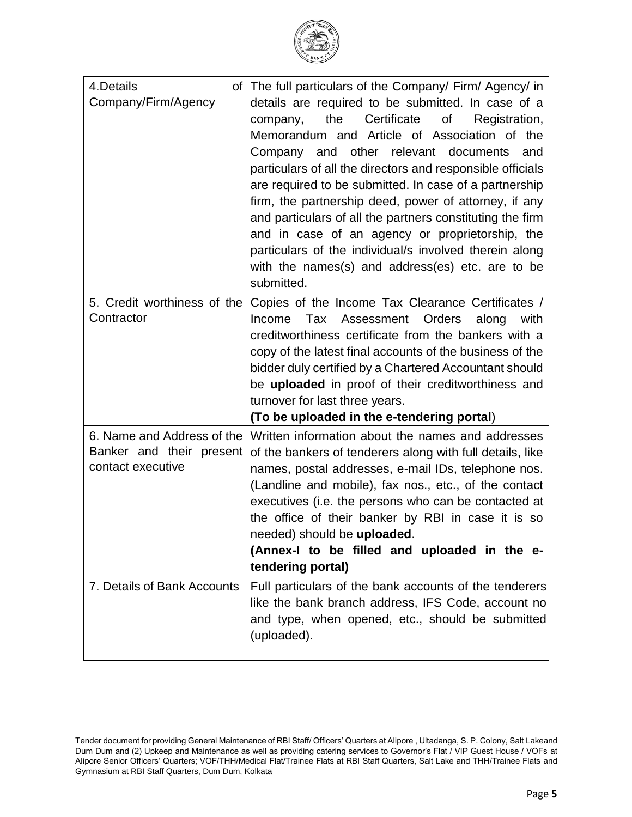| लय रि.<br>ts o<br>$\tilde{\gamma}$ |
|------------------------------------|
| B                                  |
|                                    |

| 4.Details<br>0fl<br>Company/Firm/Agency                                     | The full particulars of the Company/ Firm/ Agency/ in<br>details are required to be submitted. In case of a<br>Certificate<br>the<br>Οf<br>Registration,<br>company,<br>Memorandum and Article of Association of the<br>other relevant documents<br>Company and<br>and<br>particulars of all the directors and responsible officials<br>are required to be submitted. In case of a partnership<br>firm, the partnership deed, power of attorney, if any<br>and particulars of all the partners constituting the firm<br>and in case of an agency or proprietorship, the<br>particulars of the individual/s involved therein along<br>with the names(s) and address(es) etc. are to be<br>submitted. |
|-----------------------------------------------------------------------------|-----------------------------------------------------------------------------------------------------------------------------------------------------------------------------------------------------------------------------------------------------------------------------------------------------------------------------------------------------------------------------------------------------------------------------------------------------------------------------------------------------------------------------------------------------------------------------------------------------------------------------------------------------------------------------------------------------|
| 5. Credit worthiness of the<br>Contractor                                   | Copies of the Income Tax Clearance Certificates /<br>Tax Assessment Orders<br>Income<br>along<br>with<br>creditworthiness certificate from the bankers with a<br>copy of the latest final accounts of the business of the<br>bidder duly certified by a Chartered Accountant should<br>be uploaded in proof of their creditworthiness and<br>turnover for last three years.<br>(To be uploaded in the e-tendering portal)                                                                                                                                                                                                                                                                           |
| 6. Name and Address of the<br>Banker and their present<br>contact executive | Written information about the names and addresses<br>of the bankers of tenderers along with full details, like<br>names, postal addresses, e-mail IDs, telephone nos.<br>(Landline and mobile), fax nos., etc., of the contact<br>executives (i.e. the persons who can be contacted at<br>the office of their banker by RBI in case it is so<br>needed) should be uploaded<br>(Annex-I to be filled and uploaded in the e-<br>tendering portal)                                                                                                                                                                                                                                                     |
| 7. Details of Bank Accounts                                                 | Full particulars of the bank accounts of the tenderers<br>like the bank branch address, IFS Code, account no<br>and type, when opened, etc., should be submitted<br>(uploaded).                                                                                                                                                                                                                                                                                                                                                                                                                                                                                                                     |

Tender document for providing General Maintenance of RBI Staff/ Officers' Quarters at Alipore , Ultadanga, S. P. Colony, Salt Lakeand Dum Dum and (2) Upkeep and Maintenance as well as providing catering services to Governor's Flat / VIP Guest House / VOFs at Alipore Senior Officers' Quarters; VOF/THH/Medical Flat/Trainee Flats at RBI Staff Quarters, Salt Lake and THH/Trainee Flats and Gymnasium at RBI Staff Quarters, Dum Dum, Kolkata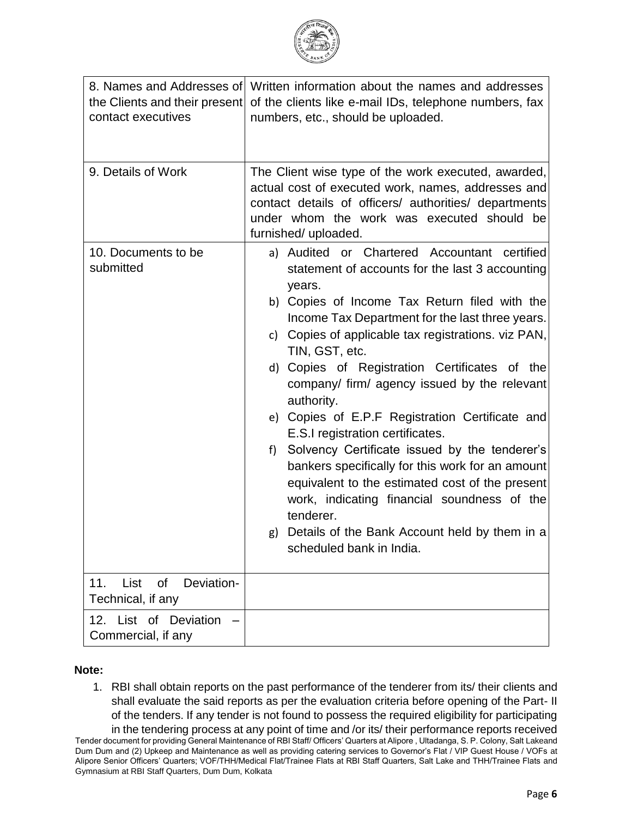

| the Clients and their present<br>contact executives  | 8. Names and Addresses of Written information about the names and addresses<br>of the clients like e-mail IDs, telephone numbers, fax<br>numbers, etc., should be uploaded.                                                                                                                                                                                                                                                                                                                                                                                                                                                                                                                                                                                                                               |  |  |
|------------------------------------------------------|-----------------------------------------------------------------------------------------------------------------------------------------------------------------------------------------------------------------------------------------------------------------------------------------------------------------------------------------------------------------------------------------------------------------------------------------------------------------------------------------------------------------------------------------------------------------------------------------------------------------------------------------------------------------------------------------------------------------------------------------------------------------------------------------------------------|--|--|
| 9. Details of Work                                   | The Client wise type of the work executed, awarded,<br>actual cost of executed work, names, addresses and<br>contact details of officers/ authorities/ departments<br>under whom the work was executed should be<br>furnished/ uploaded.                                                                                                                                                                                                                                                                                                                                                                                                                                                                                                                                                                  |  |  |
| 10. Documents to be<br>submitted                     | a) Audited or Chartered Accountant certified<br>statement of accounts for the last 3 accounting<br>years.<br>b) Copies of Income Tax Return filed with the<br>Income Tax Department for the last three years.<br>c) Copies of applicable tax registrations. viz PAN,<br>TIN, GST, etc.<br>d) Copies of Registration Certificates of the<br>company/ firm/ agency issued by the relevant<br>authority.<br>e) Copies of E.P.F Registration Certificate and<br>E.S.I registration certificates.<br>Solvency Certificate issued by the tenderer's<br>f)<br>bankers specifically for this work for an amount<br>equivalent to the estimated cost of the present<br>work, indicating financial soundness of the<br>tenderer.<br>Details of the Bank Account held by them in a<br>g)<br>scheduled bank in India. |  |  |
| 11.<br>List<br>0f<br>Deviation-<br>Technical, if any |                                                                                                                                                                                                                                                                                                                                                                                                                                                                                                                                                                                                                                                                                                                                                                                                           |  |  |
| 12. List of Deviation<br>Commercial, if any          |                                                                                                                                                                                                                                                                                                                                                                                                                                                                                                                                                                                                                                                                                                                                                                                                           |  |  |

### **Note:**

1. RBI shall obtain reports on the past performance of the tenderer from its/ their clients and shall evaluate the said reports as per the evaluation criteria before opening of the Part- II of the tenders. If any tender is not found to possess the required eligibility for participating

Tender document for providing General Maintenance of RBI Staff/ Officers' Quarters at Alipore , Ultadanga, S. P. Colony, Salt Lakeand Dum Dum and (2) Upkeep and Maintenance as well as providing catering services to Governor's Flat / VIP Guest House / VOFs at Alipore Senior Officers' Quarters; VOF/THH/Medical Flat/Trainee Flats at RBI Staff Quarters, Salt Lake and THH/Trainee Flats and Gymnasium at RBI Staff Quarters, Dum Dum, Kolkata in the tendering process at any point of time and /or its/ their performance reports received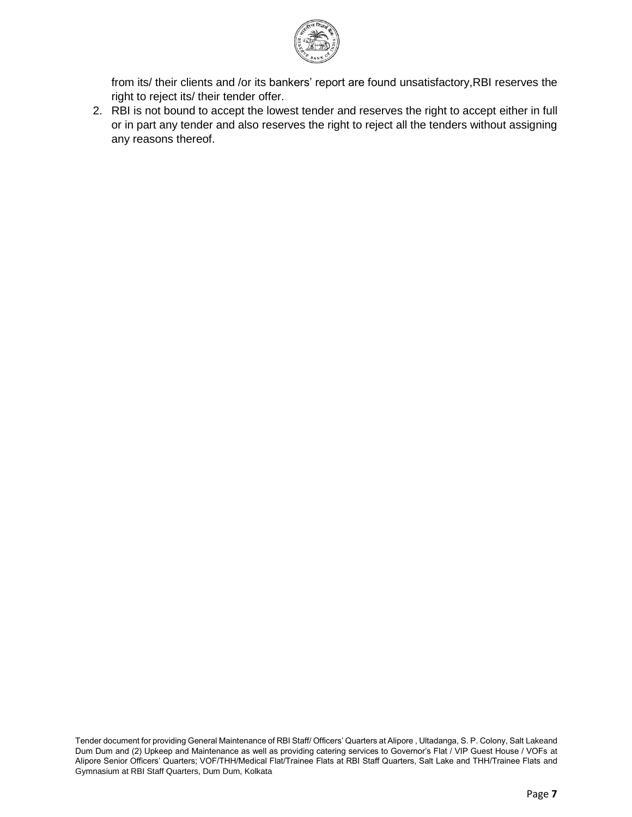

from its/ their clients and /or its bankers' report are found unsatisfactory,RBI reserves the right to reject its/ their tender offer.

2. RBI is not bound to accept the lowest tender and reserves the right to accept either in full or in part any tender and also reserves the right to reject all the tenders without assigning any reasons thereof.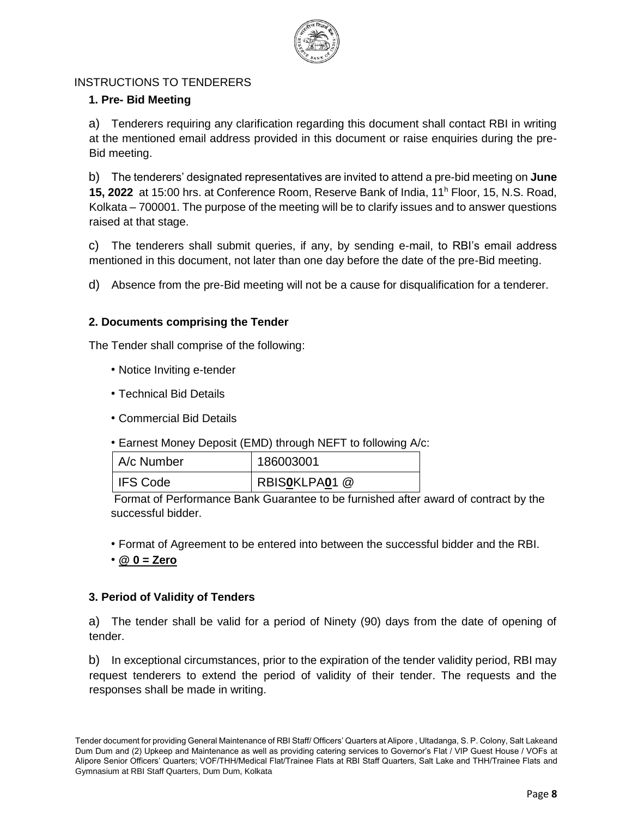

### INSTRUCTIONS TO TENDERERS

### **1. Pre- Bid Meeting**

a) Tenderers requiring any clarification regarding this document shall contact RBI in writing at the mentioned email address provided in this document or raise enquiries during the pre-Bid meeting.

b) The tenderers' designated representatives are invited to attend a pre-bid meeting on **June 15, 2022** at 15:00 hrs. at Conference Room, Reserve Bank of India, 11<sup>h</sup> Floor, 15, N.S. Road, Kolkata – 700001. The purpose of the meeting will be to clarify issues and to answer questions raised at that stage.

c) The tenderers shall submit queries, if any, by sending e-mail, to RBI's email address mentioned in this document, not later than one day before the date of the pre-Bid meeting.

d) Absence from the pre-Bid meeting will not be a cause for disqualification for a tenderer.

#### **2. Documents comprising the Tender**

The Tender shall comprise of the following:

- Notice Inviting e-tender
- Technical Bid Details
- Commercial Bid Details
- Earnest Money Deposit (EMD) through NEFT to following A/c:

| LA/c Number | 186003001     |
|-------------|---------------|
| I IFS Code  | RBISOKLPA01 @ |

Format of Performance Bank Guarantee to be furnished after award of contract by the successful bidder.

- Format of Agreement to be entered into between the successful bidder and the RBI.
- **@ 0 = Zero**

#### **3. Period of Validity of Tenders**

a) The tender shall be valid for a period of Ninety (90) days from the date of opening of tender.

b) In exceptional circumstances, prior to the expiration of the tender validity period, RBI may request tenderers to extend the period of validity of their tender. The requests and the responses shall be made in writing.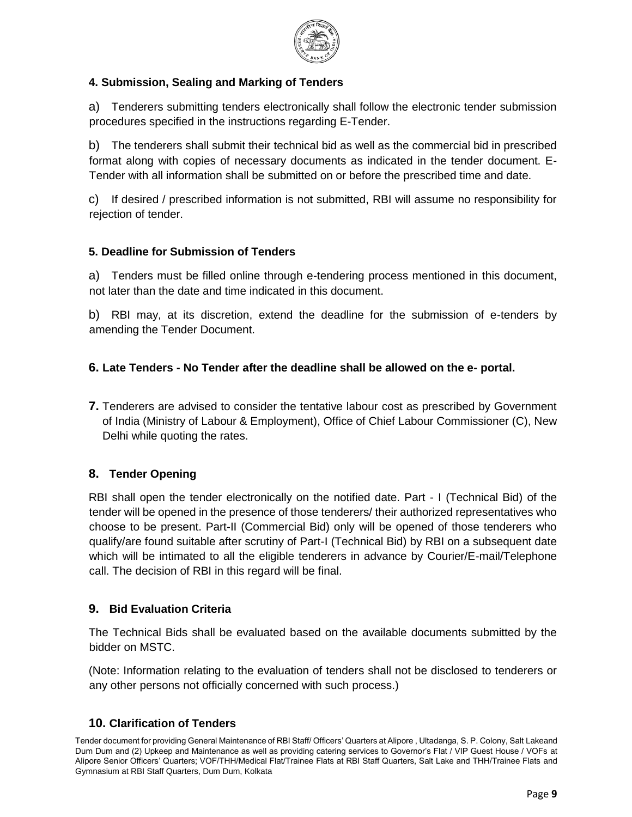

### **4. Submission, Sealing and Marking of Tenders**

a) Tenderers submitting tenders electronically shall follow the electronic tender submission procedures specified in the instructions regarding E-Tender.

b) The tenderers shall submit their technical bid as well as the commercial bid in prescribed format along with copies of necessary documents as indicated in the tender document. E-Tender with all information shall be submitted on or before the prescribed time and date.

c) If desired / prescribed information is not submitted, RBI will assume no responsibility for rejection of tender.

### **5. Deadline for Submission of Tenders**

a) Tenders must be filled online through e-tendering process mentioned in this document, not later than the date and time indicated in this document.

b) RBI may, at its discretion, extend the deadline for the submission of e-tenders by amending the Tender Document.

# **6. Late Tenders - No Tender after the deadline shall be allowed on the e- portal.**

**7.** Tenderers are advised to consider the tentative labour cost as prescribed by Government of India (Ministry of Labour & Employment), Office of Chief Labour Commissioner (C), New Delhi while quoting the rates.

### **8. Tender Opening**

RBI shall open the tender electronically on the notified date. Part - I (Technical Bid) of the tender will be opened in the presence of those tenderers/ their authorized representatives who choose to be present. Part-II (Commercial Bid) only will be opened of those tenderers who qualify/are found suitable after scrutiny of Part-I (Technical Bid) by RBI on a subsequent date which will be intimated to all the eligible tenderers in advance by Courier/E-mail/Telephone call. The decision of RBI in this regard will be final.

### **9. Bid Evaluation Criteria**

The Technical Bids shall be evaluated based on the available documents submitted by the bidder on MSTC.

(Note: Information relating to the evaluation of tenders shall not be disclosed to tenderers or any other persons not officially concerned with such process.)

### **10. Clarification of Tenders**

Tender document for providing General Maintenance of RBI Staff/ Officers' Quarters at Alipore , Ultadanga, S. P. Colony, Salt Lakeand Dum Dum and (2) Upkeep and Maintenance as well as providing catering services to Governor's Flat / VIP Guest House / VOFs at Alipore Senior Officers' Quarters; VOF/THH/Medical Flat/Trainee Flats at RBI Staff Quarters, Salt Lake and THH/Trainee Flats and Gymnasium at RBI Staff Quarters, Dum Dum, Kolkata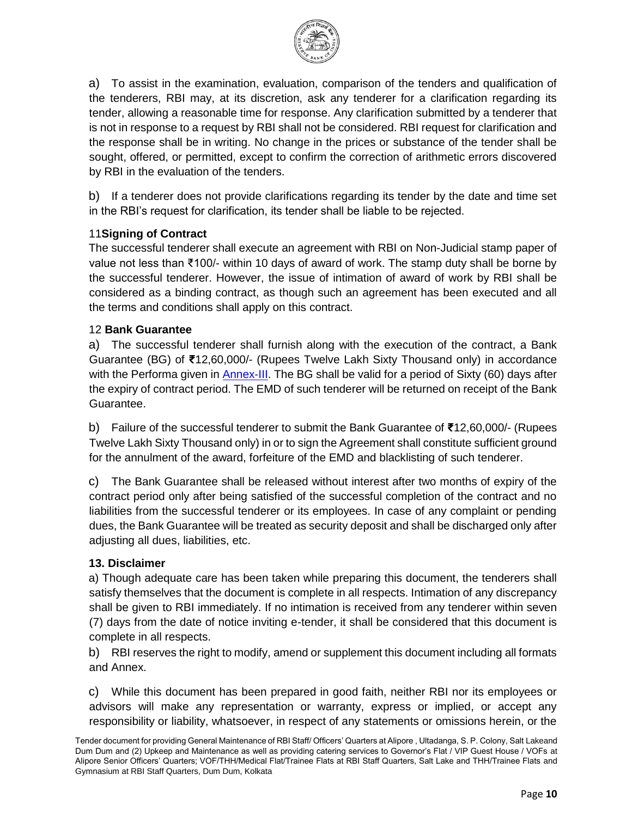

a) To assist in the examination, evaluation, comparison of the tenders and qualification of the tenderers, RBI may, at its discretion, ask any tenderer for a clarification regarding its tender, allowing a reasonable time for response. Any clarification submitted by a tenderer that is not in response to a request by RBI shall not be considered. RBI request for clarification and the response shall be in writing. No change in the prices or substance of the tender shall be sought, offered, or permitted, except to confirm the correction of arithmetic errors discovered by RBI in the evaluation of the tenders.

b) If a tenderer does not provide clarifications regarding its tender by the date and time set in the RBI's request for clarification, its tender shall be liable to be rejected.

#### 11**Signing of Contract**

The successful tenderer shall execute an agreement with RBI on Non-Judicial stamp paper of value not less than ₹100/- within 10 days of award of work. The stamp duty shall be borne by the successful tenderer. However, the issue of intimation of award of work by RBI shall be considered as a binding contract, as though such an agreement has been executed and all the terms and conditions shall apply on this contract.

#### 12 **Bank Guarantee**

a) The successful tenderer shall furnish along with the execution of the contract, a Bank Guarantee (BG) of **₹**12,60,000/- (Rupees Twelve Lakh Sixty Thousand only) in accordance with the Performa given in **Annex-III**. The BG shall be valid for a period of Sixty (60) days after the expiry of contract period. The EMD of such tenderer will be returned on receipt of the Bank Guarantee.

b) Failure of the successful tenderer to submit the Bank Guarantee of **₹**12,60,000/- (Rupees Twelve Lakh Sixty Thousand only) in or to sign the Agreement shall constitute sufficient ground for the annulment of the award, forfeiture of the EMD and blacklisting of such tenderer.

c) The Bank Guarantee shall be released without interest after two months of expiry of the contract period only after being satisfied of the successful completion of the contract and no liabilities from the successful tenderer or its employees. In case of any complaint or pending dues, the Bank Guarantee will be treated as security deposit and shall be discharged only after adjusting all dues, liabilities, etc.

#### **13. Disclaimer**

a) Though adequate care has been taken while preparing this document, the tenderers shall satisfy themselves that the document is complete in all respects. Intimation of any discrepancy shall be given to RBI immediately. If no intimation is received from any tenderer within seven (7) days from the date of notice inviting e-tender, it shall be considered that this document is complete in all respects.

b) RBI reserves the right to modify, amend or supplement this document including all formats and Annex.

c) While this document has been prepared in good faith, neither RBI nor its employees or advisors will make any representation or warranty, express or implied, or accept any responsibility or liability, whatsoever, in respect of any statements or omissions herein, or the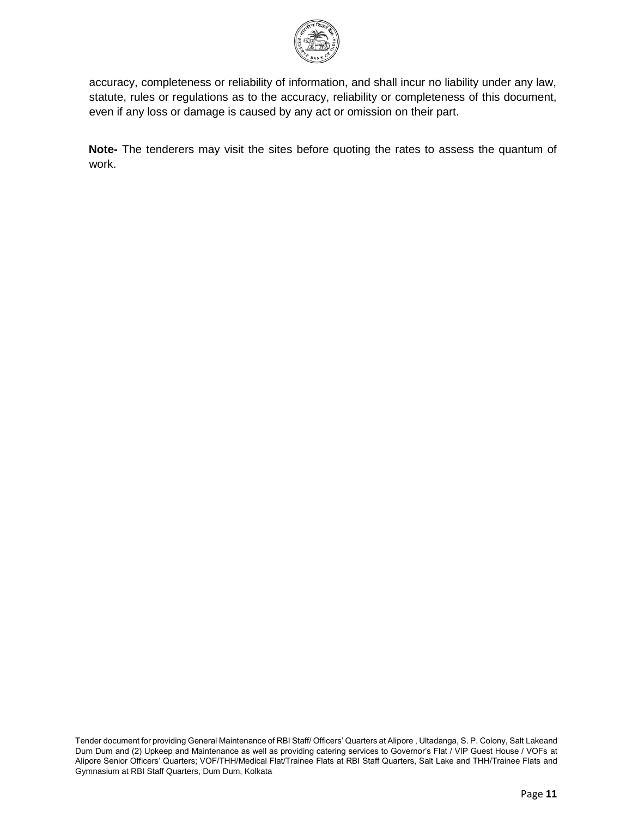

accuracy, completeness or reliability of information, and shall incur no liability under any law, statute, rules or regulations as to the accuracy, reliability or completeness of this document, even if any loss or damage is caused by any act or omission on their part.

**Note-** The tenderers may visit the sites before quoting the rates to assess the quantum of work.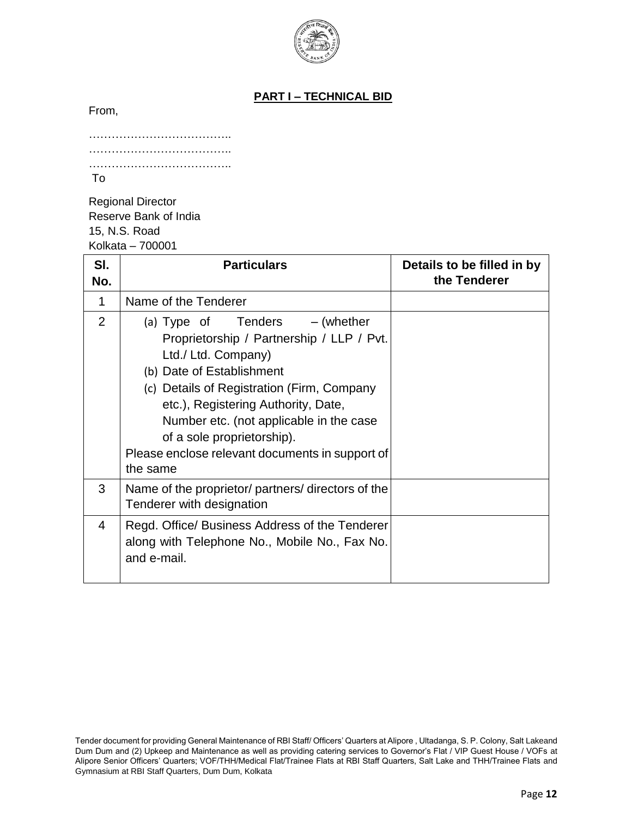

## **PART I – TECHNICAL BID**

From,

| To |  |
|----|--|

Regional Director Reserve Bank of India 15, N.S. Road Kolkata – 700001

| SI.<br>No. | <b>Particulars</b>                                                                                                                                                                                                                                                                                                                                             | Details to be filled in by<br>the Tenderer |
|------------|----------------------------------------------------------------------------------------------------------------------------------------------------------------------------------------------------------------------------------------------------------------------------------------------------------------------------------------------------------------|--------------------------------------------|
| 1          | Name of the Tenderer                                                                                                                                                                                                                                                                                                                                           |                                            |
| 2          | (a) Type of Tenders $-$ (whether<br>Proprietorship / Partnership / LLP / Pvt.<br>Ltd./ Ltd. Company)<br>(b) Date of Establishment<br>(c) Details of Registration (Firm, Company<br>etc.), Registering Authority, Date,<br>Number etc. (not applicable in the case<br>of a sole proprietorship).<br>Please enclose relevant documents in support of<br>the same |                                            |
| 3          | Name of the proprietor/ partners/ directors of the<br>Tenderer with designation                                                                                                                                                                                                                                                                                |                                            |
| 4          | Regd. Office/ Business Address of the Tenderer<br>along with Telephone No., Mobile No., Fax No.<br>and e-mail.                                                                                                                                                                                                                                                 |                                            |

Tender document for providing General Maintenance of RBI Staff/ Officers' Quarters at Alipore , Ultadanga, S. P. Colony, Salt Lakeand Dum Dum and (2) Upkeep and Maintenance as well as providing catering services to Governor's Flat / VIP Guest House / VOFs at Alipore Senior Officers' Quarters; VOF/THH/Medical Flat/Trainee Flats at RBI Staff Quarters, Salt Lake and THH/Trainee Flats and Gymnasium at RBI Staff Quarters, Dum Dum, Kolkata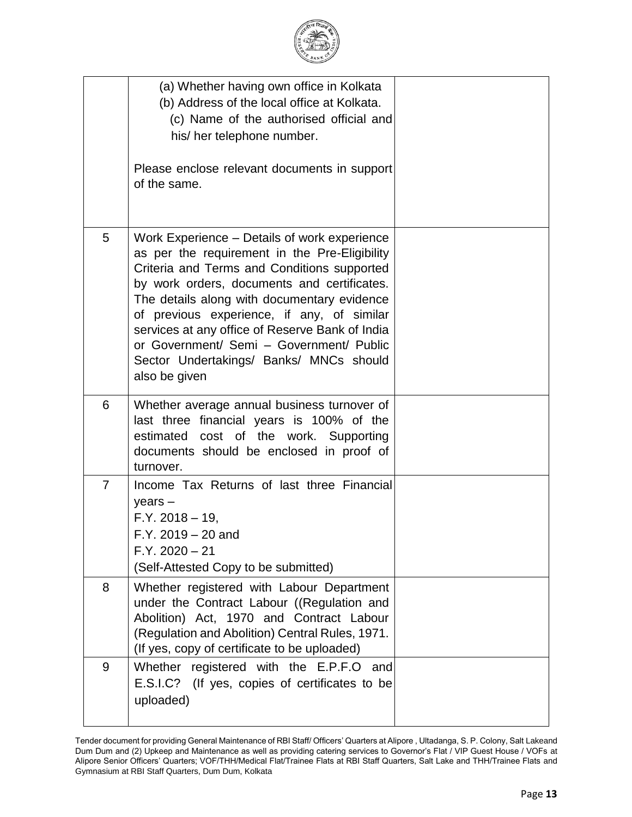|                | (a) Whether having own office in Kolkata<br>(b) Address of the local office at Kolkata.<br>(c) Name of the authorised official and<br>his/ her telephone number.<br>Please enclose relevant documents in support<br>of the same.                                                                                                                                                                                                                    |  |
|----------------|-----------------------------------------------------------------------------------------------------------------------------------------------------------------------------------------------------------------------------------------------------------------------------------------------------------------------------------------------------------------------------------------------------------------------------------------------------|--|
| 5              | Work Experience – Details of work experience<br>as per the requirement in the Pre-Eligibility<br>Criteria and Terms and Conditions supported<br>by work orders, documents and certificates.<br>The details along with documentary evidence<br>of previous experience, if any, of similar<br>services at any office of Reserve Bank of India<br>or Government/ Semi - Government/ Public<br>Sector Undertakings/ Banks/ MNCs should<br>also be given |  |
| 6              | Whether average annual business turnover of<br>last three financial years is 100% of the<br>estimated cost of the work. Supporting<br>documents should be enclosed in proof of<br>turnover.                                                                                                                                                                                                                                                         |  |
| $\overline{7}$ | Income Tax Returns of last three Financial<br>$years -$<br>$F.Y. 2018 - 19,$<br>$F.Y. 2019 - 20$ and<br>$F.Y. 2020 - 21$<br>(Self-Attested Copy to be submitted)                                                                                                                                                                                                                                                                                    |  |
| 8              | Whether registered with Labour Department<br>under the Contract Labour ((Regulation and<br>Abolition) Act, 1970 and Contract Labour<br>(Regulation and Abolition) Central Rules, 1971.<br>(If yes, copy of certificate to be uploaded)                                                                                                                                                                                                              |  |
| 9              | Whether registered with the E.P.F.O and<br>E.S.I.C? (If yes, copies of certificates to be<br>uploaded)                                                                                                                                                                                                                                                                                                                                              |  |

Tender document for providing General Maintenance of RBI Staff/ Officers' Quarters at Alipore , Ultadanga, S. P. Colony, Salt Lakeand Dum Dum and (2) Upkeep and Maintenance as well as providing catering services to Governor's Flat / VIP Guest House / VOFs at Alipore Senior Officers' Quarters; VOF/THH/Medical Flat/Trainee Flats at RBI Staff Quarters, Salt Lake and THH/Trainee Flats and Gymnasium at RBI Staff Quarters, Dum Dum, Kolkata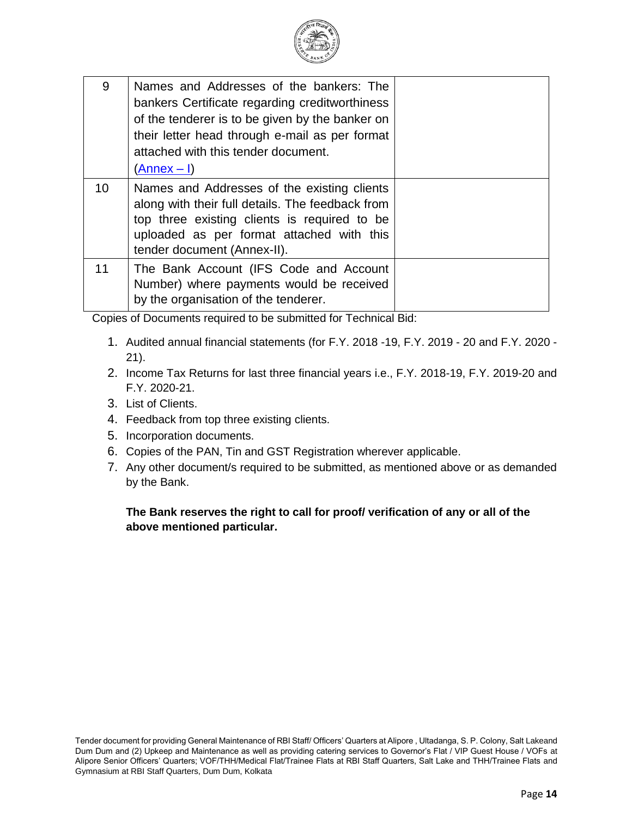

| 9  | Names and Addresses of the bankers: The<br>bankers Certificate regarding creditworthiness<br>of the tenderer is to be given by the banker on<br>their letter head through e-mail as per format<br>attached with this tender document.<br>(Annex – I) |  |
|----|------------------------------------------------------------------------------------------------------------------------------------------------------------------------------------------------------------------------------------------------------|--|
| 10 | Names and Addresses of the existing clients<br>along with their full details. The feedback from<br>top three existing clients is required to be<br>uploaded as per format attached with this<br>tender document (Annex-II).                          |  |
| 11 | The Bank Account (IFS Code and Account<br>Number) where payments would be received<br>by the organisation of the tenderer.                                                                                                                           |  |

Copies of Documents required to be submitted for Technical Bid:

- 1. Audited annual financial statements (for F.Y. 2018 -19, F.Y. 2019 20 and F.Y. 2020 21).
- 2. Income Tax Returns for last three financial years i.e., F.Y. 2018-19, F.Y. 2019-20 and F.Y. 2020-21.
- 3. List of Clients.
- 4. Feedback from top three existing clients.
- 5. Incorporation documents.
- 6. Copies of the PAN, Tin and GST Registration wherever applicable.
- 7. Any other document/s required to be submitted, as mentioned above or as demanded by the Bank.

**The Bank reserves the right to call for proof/ verification of any or all of the above mentioned particular.**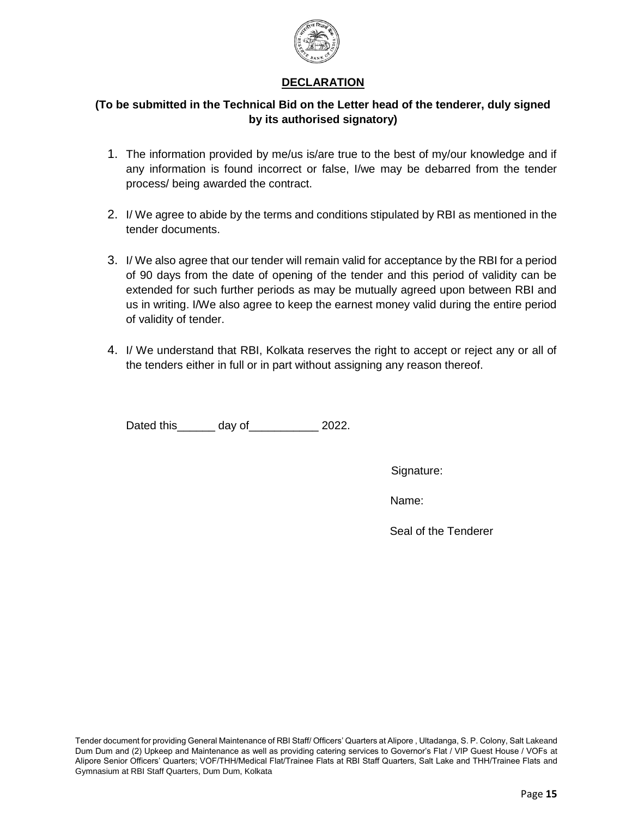

#### **DECLARATION**

#### **(To be submitted in the Technical Bid on the Letter head of the tenderer, duly signed by its authorised signatory)**

- 1. The information provided by me/us is/are true to the best of my/our knowledge and if any information is found incorrect or false, I/we may be debarred from the tender process/ being awarded the contract.
- 2. I/ We agree to abide by the terms and conditions stipulated by RBI as mentioned in the tender documents.
- 3. I/ We also agree that our tender will remain valid for acceptance by the RBI for a period of 90 days from the date of opening of the tender and this period of validity can be extended for such further periods as may be mutually agreed upon between RBI and us in writing. I/We also agree to keep the earnest money valid during the entire period of validity of tender.
- 4. I/ We understand that RBI, Kolkata reserves the right to accept or reject any or all of the tenders either in full or in part without assigning any reason thereof.

Dated this\_\_\_\_\_\_ day of\_\_\_\_\_\_\_\_\_\_\_ 2022.

Signature:

Name:

Seal of the Tenderer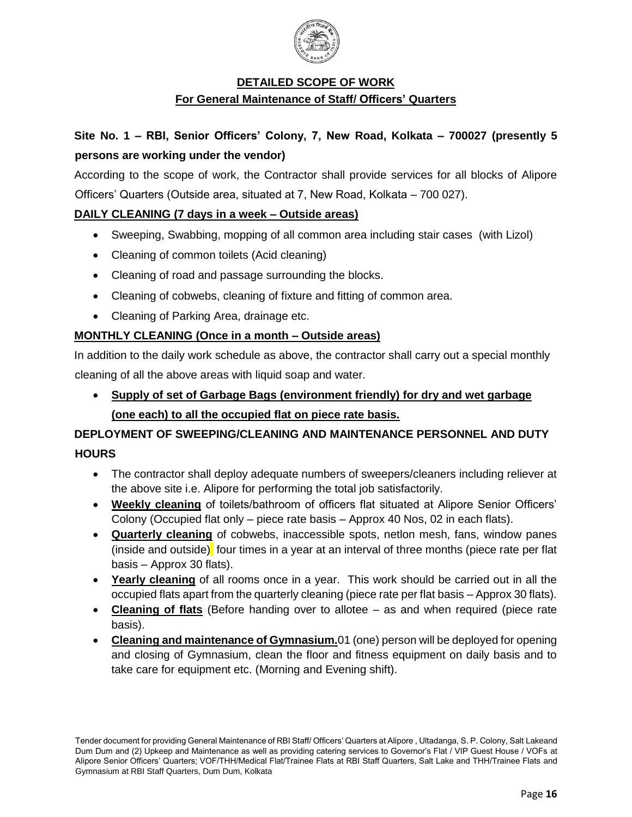

#### **DETAILED SCOPE OF WORK**

#### **For General Maintenance of Staff/ Officers' Quarters**

# **Site No. 1 – RBI, Senior Officers' Colony, 7, New Road, Kolkata – 700027 (presently 5 persons are working under the vendor)**

According to the scope of work, the Contractor shall provide services for all blocks of Alipore Officers' Quarters (Outside area, situated at 7, New Road, Kolkata – 700 027).

#### **DAILY CLEANING (7 days in a week – Outside areas)**

- Sweeping, Swabbing, mopping of all common area including stair cases (with Lizol)
- Cleaning of common toilets (Acid cleaning)
- Cleaning of road and passage surrounding the blocks.
- Cleaning of cobwebs, cleaning of fixture and fitting of common area.
- Cleaning of Parking Area, drainage etc.

#### **MONTHLY CLEANING (Once in a month – Outside areas)**

In addition to the daily work schedule as above, the contractor shall carry out a special monthly cleaning of all the above areas with liquid soap and water.

 **Supply of set of Garbage Bags (environment friendly) for dry and wet garbage (one each) to all the occupied flat on piece rate basis.**

# **DEPLOYMENT OF SWEEPING/CLEANING AND MAINTENANCE PERSONNEL AND DUTY HOURS**

- The contractor shall deploy adequate numbers of sweepers/cleaners including reliever at the above site i.e. Alipore for performing the total job satisfactorily.
- **Weekly cleaning** of toilets/bathroom of officers flat situated at Alipore Senior Officers' Colony (Occupied flat only – piece rate basis – Approx 40 Nos, 02 in each flats).
- **Quarterly cleaning** of cobwebs, inaccessible spots, netlon mesh, fans, window panes (inside and outside) four times in a year at an interval of three months (piece rate per flat basis – Approx 30 flats).
- **Yearly cleaning** of all rooms once in a year. This work should be carried out in all the occupied flats apart from the quarterly cleaning (piece rate per flat basis – Approx 30 flats).
- **Cleaning of flats** (Before handing over to allotee as and when required (piece rate basis).
- **Cleaning and maintenance of Gymnasium.**01 (one) person will be deployed for opening and closing of Gymnasium, clean the floor and fitness equipment on daily basis and to take care for equipment etc. (Morning and Evening shift).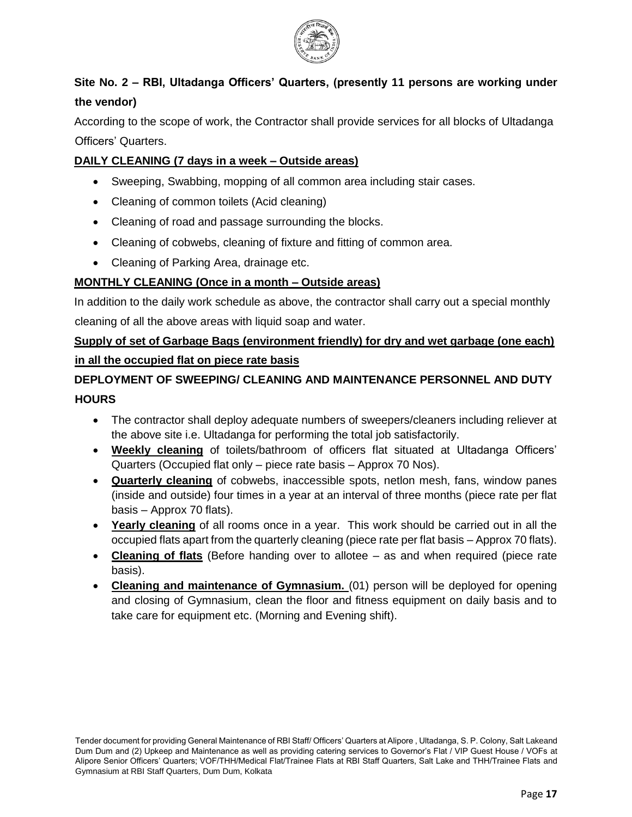

# **Site No. 2 – RBI, Ultadanga Officers' Quarters, (presently 11 persons are working under the vendor)**

According to the scope of work, the Contractor shall provide services for all blocks of Ultadanga Officers' Quarters.

#### **DAILY CLEANING (7 days in a week – Outside areas)**

- Sweeping, Swabbing, mopping of all common area including stair cases.
- Cleaning of common toilets (Acid cleaning)
- Cleaning of road and passage surrounding the blocks.
- Cleaning of cobwebs, cleaning of fixture and fitting of common area.
- Cleaning of Parking Area, drainage etc.

#### **MONTHLY CLEANING (Once in a month – Outside areas)**

In addition to the daily work schedule as above, the contractor shall carry out a special monthly

cleaning of all the above areas with liquid soap and water.

# **Supply of set of Garbage Bags (environment friendly) for dry and wet garbage (one each) in all the occupied flat on piece rate basis**

# **DEPLOYMENT OF SWEEPING/ CLEANING AND MAINTENANCE PERSONNEL AND DUTY HOURS**

- The contractor shall deploy adequate numbers of sweepers/cleaners including reliever at the above site i.e. Ultadanga for performing the total job satisfactorily.
- **Weekly cleaning** of toilets/bathroom of officers flat situated at Ultadanga Officers' Quarters (Occupied flat only – piece rate basis – Approx 70 Nos).
- **Quarterly cleaning** of cobwebs, inaccessible spots, netlon mesh, fans, window panes (inside and outside) four times in a year at an interval of three months (piece rate per flat basis – Approx 70 flats).
- **Yearly cleaning** of all rooms once in a year. This work should be carried out in all the occupied flats apart from the quarterly cleaning (piece rate per flat basis – Approx 70 flats).
- **Cleaning of flats** (Before handing over to allotee as and when required (piece rate basis).
- **Cleaning and maintenance of Gymnasium.** (01) person will be deployed for opening and closing of Gymnasium, clean the floor and fitness equipment on daily basis and to take care for equipment etc. (Morning and Evening shift).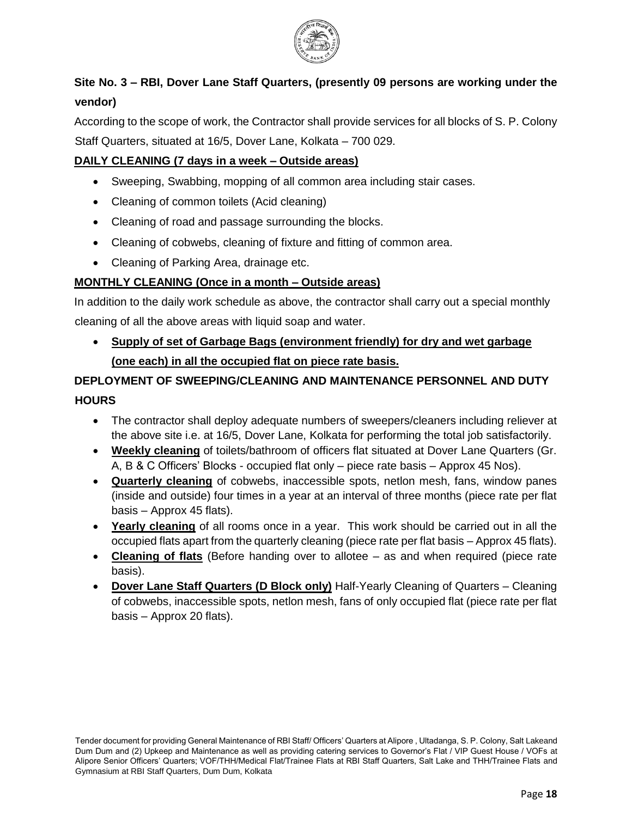

# **Site No. 3 – RBI, Dover Lane Staff Quarters, (presently 09 persons are working under the vendor)**

According to the scope of work, the Contractor shall provide services for all blocks of S. P. Colony Staff Quarters, situated at 16/5, Dover Lane, Kolkata – 700 029.

#### **DAILY CLEANING (7 days in a week – Outside areas)**

- Sweeping, Swabbing, mopping of all common area including stair cases.
- Cleaning of common toilets (Acid cleaning)
- Cleaning of road and passage surrounding the blocks.
- Cleaning of cobwebs, cleaning of fixture and fitting of common area.
- Cleaning of Parking Area, drainage etc.

#### **MONTHLY CLEANING (Once in a month – Outside areas)**

In addition to the daily work schedule as above, the contractor shall carry out a special monthly cleaning of all the above areas with liquid soap and water.

 **Supply of set of Garbage Bags (environment friendly) for dry and wet garbage (one each) in all the occupied flat on piece rate basis.**

# **DEPLOYMENT OF SWEEPING/CLEANING AND MAINTENANCE PERSONNEL AND DUTY HOURS**

- The contractor shall deploy adequate numbers of sweepers/cleaners including reliever at the above site i.e. at 16/5, Dover Lane, Kolkata for performing the total job satisfactorily.
- **Weekly cleaning** of toilets/bathroom of officers flat situated at Dover Lane Quarters (Gr. A, B & C Officers' Blocks - occupied flat only – piece rate basis – Approx 45 Nos).
- **Quarterly cleaning** of cobwebs, inaccessible spots, netlon mesh, fans, window panes (inside and outside) four times in a year at an interval of three months (piece rate per flat basis – Approx 45 flats).
- **Yearly cleaning** of all rooms once in a year. This work should be carried out in all the occupied flats apart from the quarterly cleaning (piece rate per flat basis – Approx 45 flats).
- **Cleaning of flats** (Before handing over to allotee as and when required (piece rate basis).
- **Dover Lane Staff Quarters (D Block only)** Half-Yearly Cleaning of Quarters Cleaning of cobwebs, inaccessible spots, netlon mesh, fans of only occupied flat (piece rate per flat basis – Approx 20 flats).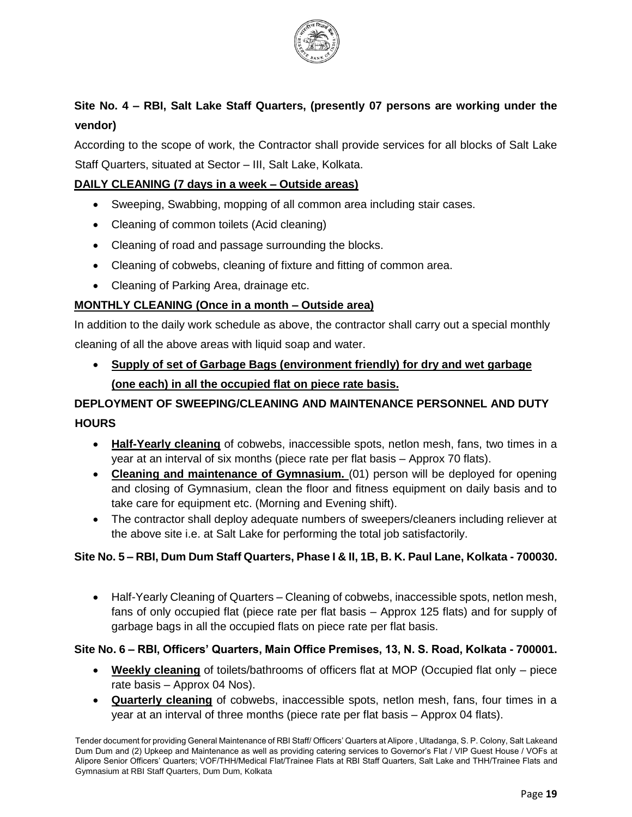

# **Site No. 4 – RBI, Salt Lake Staff Quarters, (presently 07 persons are working under the vendor)**

According to the scope of work, the Contractor shall provide services for all blocks of Salt Lake Staff Quarters, situated at Sector – III, Salt Lake, Kolkata.

#### **DAILY CLEANING (7 days in a week – Outside areas)**

- Sweeping, Swabbing, mopping of all common area including stair cases.
- Cleaning of common toilets (Acid cleaning)
- Cleaning of road and passage surrounding the blocks.
- Cleaning of cobwebs, cleaning of fixture and fitting of common area.
- Cleaning of Parking Area, drainage etc.

#### **MONTHLY CLEANING (Once in a month – Outside area)**

In addition to the daily work schedule as above, the contractor shall carry out a special monthly cleaning of all the above areas with liquid soap and water.

 **Supply of set of Garbage Bags (environment friendly) for dry and wet garbage (one each) in all the occupied flat on piece rate basis.**

# **DEPLOYMENT OF SWEEPING/CLEANING AND MAINTENANCE PERSONNEL AND DUTY HOURS**

- **Half-Yearly cleaning** of cobwebs, inaccessible spots, netlon mesh, fans, two times in a year at an interval of six months (piece rate per flat basis – Approx 70 flats).
- **Cleaning and maintenance of Gymnasium.** (01) person will be deployed for opening and closing of Gymnasium, clean the floor and fitness equipment on daily basis and to take care for equipment etc. (Morning and Evening shift).
- The contractor shall deploy adequate numbers of sweepers/cleaners including reliever at the above site i.e. at Salt Lake for performing the total job satisfactorily.

#### **Site No. 5 – RBI, Dum Dum Staff Quarters, Phase I & II, 1B, B. K. Paul Lane, Kolkata - 700030.**

 Half-Yearly Cleaning of Quarters – Cleaning of cobwebs, inaccessible spots, netlon mesh, fans of only occupied flat (piece rate per flat basis – Approx 125 flats) and for supply of garbage bags in all the occupied flats on piece rate per flat basis.

#### **Site No. 6 – RBI, Officers' Quarters, Main Office Premises, 13, N. S. Road, Kolkata - 700001.**

- **Weekly cleaning** of toilets/bathrooms of officers flat at MOP (Occupied flat only piece rate basis – Approx 04 Nos).
- **Quarterly cleaning** of cobwebs, inaccessible spots, netlon mesh, fans, four times in a year at an interval of three months (piece rate per flat basis – Approx 04 flats).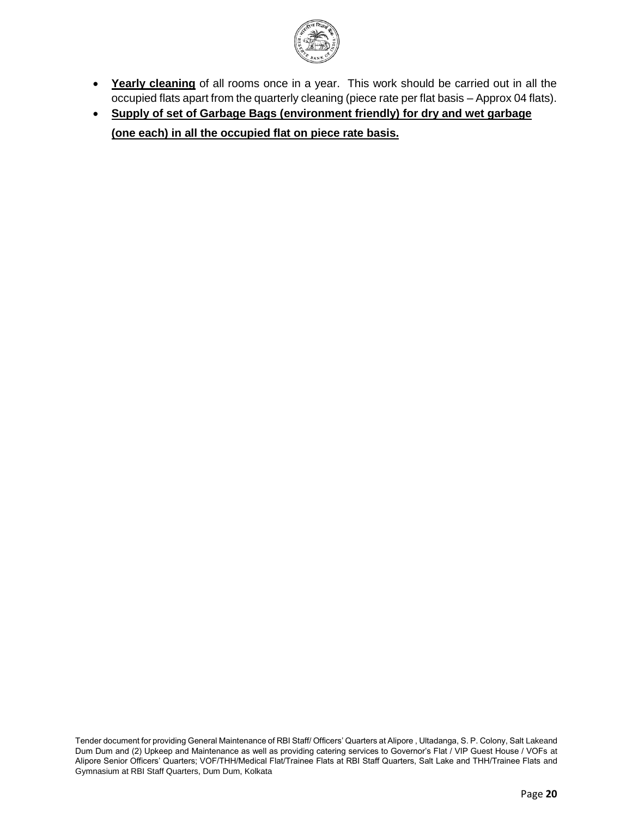

- **Yearly cleaning** of all rooms once in a year. This work should be carried out in all the occupied flats apart from the quarterly cleaning (piece rate per flat basis – Approx 04 flats).
- **Supply of set of Garbage Bags (environment friendly) for dry and wet garbage (one each) in all the occupied flat on piece rate basis.**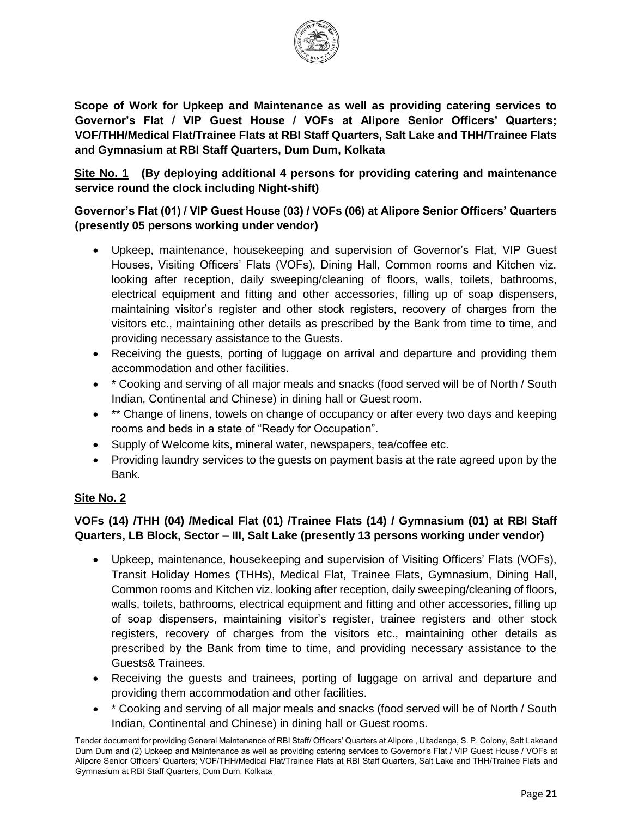

**Scope of Work for Upkeep and Maintenance as well as providing catering services to Governor's Flat / VIP Guest House / VOFs at Alipore Senior Officers' Quarters; VOF/THH/Medical Flat/Trainee Flats at RBI Staff Quarters, Salt Lake and THH/Trainee Flats and Gymnasium at RBI Staff Quarters, Dum Dum, Kolkata**

**Site No. 1 (By deploying additional 4 persons for providing catering and maintenance service round the clock including Night-shift)**

## **Governor's Flat (01) / VIP Guest House (03) / VOFs (06) at Alipore Senior Officers' Quarters (presently 05 persons working under vendor)**

- Upkeep, maintenance, housekeeping and supervision of Governor's Flat, VIP Guest Houses, Visiting Officers' Flats (VOFs), Dining Hall, Common rooms and Kitchen viz. looking after reception, daily sweeping/cleaning of floors, walls, toilets, bathrooms, electrical equipment and fitting and other accessories, filling up of soap dispensers, maintaining visitor's register and other stock registers, recovery of charges from the visitors etc., maintaining other details as prescribed by the Bank from time to time, and providing necessary assistance to the Guests.
- Receiving the guests, porting of luggage on arrival and departure and providing them accommodation and other facilities.
- \* Cooking and serving of all major meals and snacks (food served will be of North / South Indian, Continental and Chinese) in dining hall or Guest room.
- \*\* Change of linens, towels on change of occupancy or after every two days and keeping rooms and beds in a state of "Ready for Occupation".
- Supply of Welcome kits, mineral water, newspapers, tea/coffee etc.
- Providing laundry services to the guests on payment basis at the rate agreed upon by the Bank.

# **Site No. 2**

# **VOFs (14) /THH (04) /Medical Flat (01) /Trainee Flats (14) / Gymnasium (01) at RBI Staff Quarters, LB Block, Sector – III, Salt Lake (presently 13 persons working under vendor)**

- Upkeep, maintenance, housekeeping and supervision of Visiting Officers' Flats (VOFs), Transit Holiday Homes (THHs), Medical Flat, Trainee Flats, Gymnasium, Dining Hall, Common rooms and Kitchen viz. looking after reception, daily sweeping/cleaning of floors, walls, toilets, bathrooms, electrical equipment and fitting and other accessories, filling up of soap dispensers, maintaining visitor's register, trainee registers and other stock registers, recovery of charges from the visitors etc., maintaining other details as prescribed by the Bank from time to time, and providing necessary assistance to the Guests& Trainees.
- Receiving the guests and trainees, porting of luggage on arrival and departure and providing them accommodation and other facilities.
- \* Cooking and serving of all major meals and snacks (food served will be of North / South Indian, Continental and Chinese) in dining hall or Guest rooms.

Tender document for providing General Maintenance of RBI Staff/ Officers' Quarters at Alipore , Ultadanga, S. P. Colony, Salt Lakeand Dum Dum and (2) Upkeep and Maintenance as well as providing catering services to Governor's Flat / VIP Guest House / VOFs at Alipore Senior Officers' Quarters; VOF/THH/Medical Flat/Trainee Flats at RBI Staff Quarters, Salt Lake and THH/Trainee Flats and Gymnasium at RBI Staff Quarters, Dum Dum, Kolkata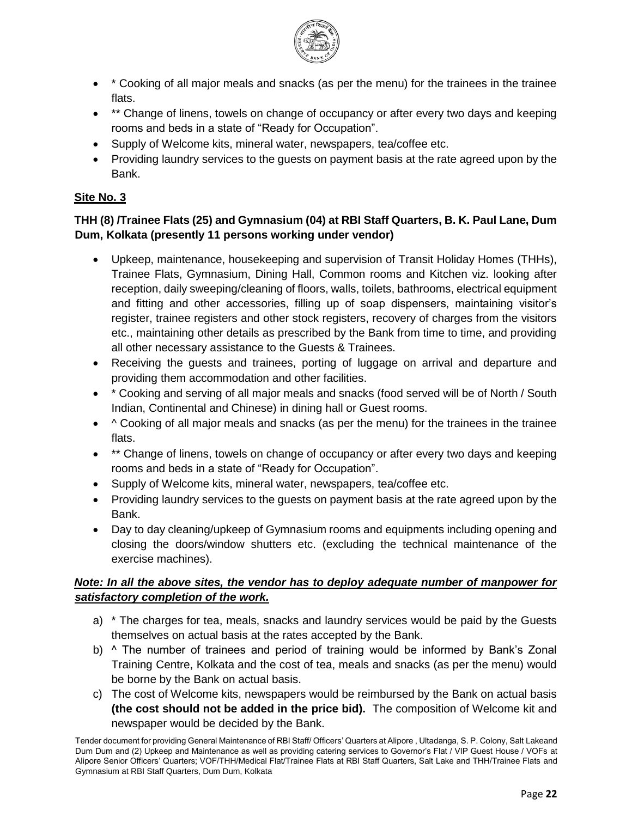

- \* Cooking of all major meals and snacks (as per the menu) for the trainees in the trainee flats.
- \*\* Change of linens, towels on change of occupancy or after every two days and keeping rooms and beds in a state of "Ready for Occupation".
- Supply of Welcome kits, mineral water, newspapers, tea/coffee etc.
- Providing laundry services to the quests on payment basis at the rate agreed upon by the Bank.

### **Site No. 3**

### **THH (8) /Trainee Flats (25) and Gymnasium (04) at RBI Staff Quarters, B. K. Paul Lane, Dum Dum, Kolkata (presently 11 persons working under vendor)**

- Upkeep, maintenance, housekeeping and supervision of Transit Holiday Homes (THHs), Trainee Flats, Gymnasium, Dining Hall, Common rooms and Kitchen viz. looking after reception, daily sweeping/cleaning of floors, walls, toilets, bathrooms, electrical equipment and fitting and other accessories, filling up of soap dispensers, maintaining visitor's register, trainee registers and other stock registers, recovery of charges from the visitors etc., maintaining other details as prescribed by the Bank from time to time, and providing all other necessary assistance to the Guests & Trainees.
- Receiving the guests and trainees, porting of luggage on arrival and departure and providing them accommodation and other facilities.
- \* Cooking and serving of all major meals and snacks (food served will be of North / South Indian, Continental and Chinese) in dining hall or Guest rooms.
- $\bullet$  ^ Cooking of all major meals and snacks (as per the menu) for the trainees in the trainee flats.
- \*\* Change of linens, towels on change of occupancy or after every two days and keeping rooms and beds in a state of "Ready for Occupation".
- Supply of Welcome kits, mineral water, newspapers, tea/coffee etc.
- Providing laundry services to the quests on payment basis at the rate agreed upon by the Bank.
- Day to day cleaning/upkeep of Gymnasium rooms and equipments including opening and closing the doors/window shutters etc. (excluding the technical maintenance of the exercise machines).

### *Note: In all the above sites, the vendor has to deploy adequate number of manpower for satisfactory completion of the work.*

- a) \* The charges for tea, meals, snacks and laundry services would be paid by the Guests themselves on actual basis at the rates accepted by the Bank.
- b) ^ The number of trainees and period of training would be informed by Bank's Zonal Training Centre, Kolkata and the cost of tea, meals and snacks (as per the menu) would be borne by the Bank on actual basis.
- c) The cost of Welcome kits, newspapers would be reimbursed by the Bank on actual basis **(the cost should not be added in the price bid).** The composition of Welcome kit and newspaper would be decided by the Bank.

Tender document for providing General Maintenance of RBI Staff/ Officers' Quarters at Alipore , Ultadanga, S. P. Colony, Salt Lakeand Dum Dum and (2) Upkeep and Maintenance as well as providing catering services to Governor's Flat / VIP Guest House / VOFs at Alipore Senior Officers' Quarters; VOF/THH/Medical Flat/Trainee Flats at RBI Staff Quarters, Salt Lake and THH/Trainee Flats and Gymnasium at RBI Staff Quarters, Dum Dum, Kolkata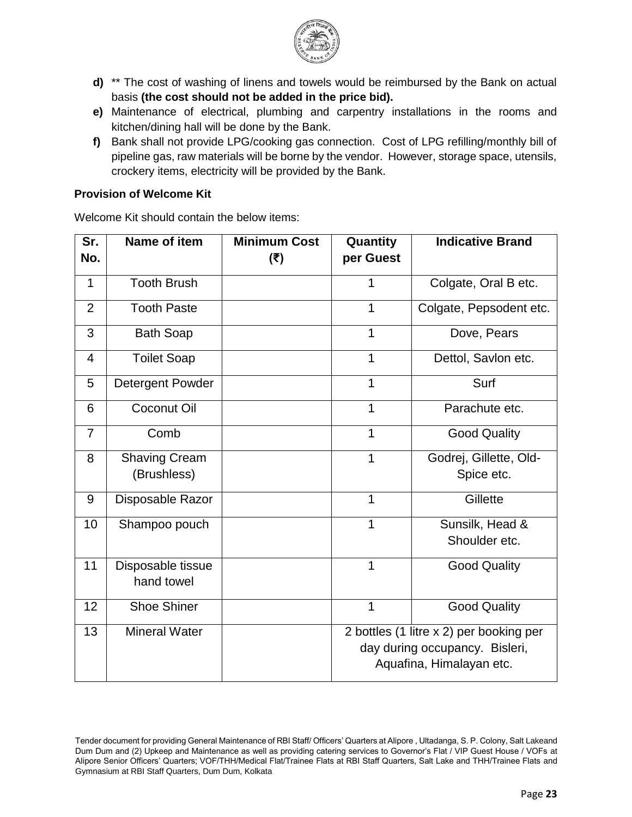

- **d)** \*\* The cost of washing of linens and towels would be reimbursed by the Bank on actual basis **(the cost should not be added in the price bid).**
- **e)** Maintenance of electrical, plumbing and carpentry installations in the rooms and kitchen/dining hall will be done by the Bank.
- **f)** Bank shall not provide LPG/cooking gas connection. Cost of LPG refilling/monthly bill of pipeline gas, raw materials will be borne by the vendor. However, storage space, utensils, crockery items, electricity will be provided by the Bank.

#### **Provision of Welcome Kit**

Welcome Kit should contain the below items:

| Sr.<br>No.     | Name of item                        | <b>Minimum Cost</b><br>(₹) | Quantity<br>per Guest                                                                                 | <b>Indicative Brand</b>              |  |  |
|----------------|-------------------------------------|----------------------------|-------------------------------------------------------------------------------------------------------|--------------------------------------|--|--|
| 1              | <b>Tooth Brush</b>                  |                            | 1                                                                                                     | Colgate, Oral B etc.                 |  |  |
| $\overline{2}$ | <b>Tooth Paste</b>                  |                            | 1                                                                                                     | Colgate, Pepsodent etc.              |  |  |
| 3              | <b>Bath Soap</b>                    |                            | 1                                                                                                     | Dove, Pears                          |  |  |
| $\overline{4}$ | <b>Toilet Soap</b>                  |                            | 1                                                                                                     | Dettol, Savlon etc.                  |  |  |
| 5              | Detergent Powder                    |                            | 1                                                                                                     | Surf                                 |  |  |
| 6              | Coconut Oil                         |                            | 1                                                                                                     | Parachute etc.                       |  |  |
| 7              | Comb                                |                            | 1                                                                                                     | <b>Good Quality</b>                  |  |  |
| 8              | <b>Shaving Cream</b><br>(Brushless) |                            | 1                                                                                                     | Godrej, Gillette, Old-<br>Spice etc. |  |  |
| 9              | Disposable Razor                    |                            | 1                                                                                                     | Gillette                             |  |  |
| 10             | Shampoo pouch                       |                            | 1                                                                                                     | Sunsilk, Head &<br>Shoulder etc.     |  |  |
| 11             | Disposable tissue<br>hand towel     |                            | 1                                                                                                     | <b>Good Quality</b>                  |  |  |
| 12             | <b>Shoe Shiner</b>                  |                            | 1                                                                                                     | <b>Good Quality</b>                  |  |  |
| 13             | <b>Mineral Water</b>                |                            | 2 bottles (1 litre x 2) per booking per<br>day during occupancy. Bisleri,<br>Aquafina, Himalayan etc. |                                      |  |  |

Tender document for providing General Maintenance of RBI Staff/ Officers' Quarters at Alipore , Ultadanga, S. P. Colony, Salt Lakeand Dum Dum and (2) Upkeep and Maintenance as well as providing catering services to Governor's Flat / VIP Guest House / VOFs at Alipore Senior Officers' Quarters; VOF/THH/Medical Flat/Trainee Flats at RBI Staff Quarters, Salt Lake and THH/Trainee Flats and Gymnasium at RBI Staff Quarters, Dum Dum, Kolkata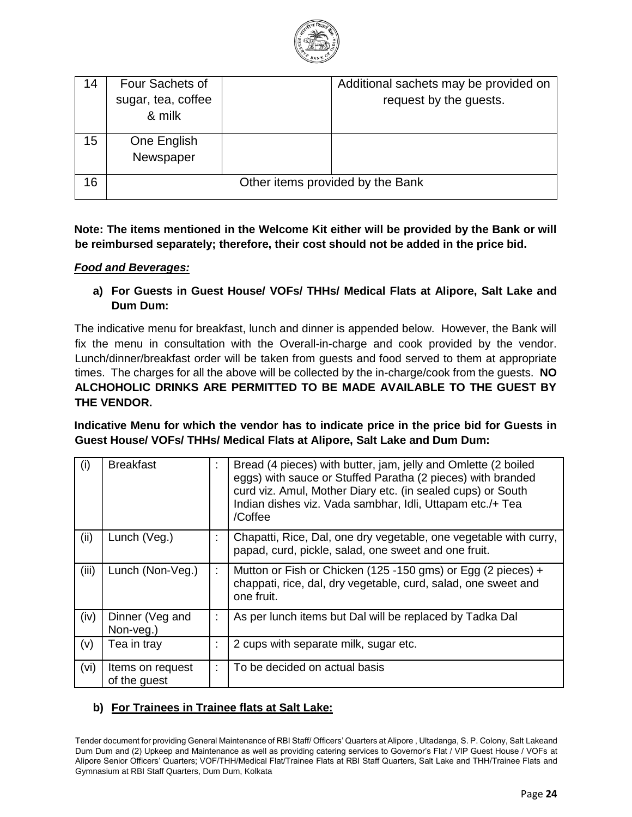

| 14 | Four Sachets of    | Additional sachets may be provided on |
|----|--------------------|---------------------------------------|
|    | sugar, tea, coffee | request by the guests.                |
|    | & milk             |                                       |
| 15 | One English        |                                       |
|    | Newspaper          |                                       |
| 16 |                    | Other items provided by the Bank      |
|    |                    |                                       |

#### **Note: The items mentioned in the Welcome Kit either will be provided by the Bank or will be reimbursed separately; therefore, their cost should not be added in the price bid.**

#### *Food and Beverages:*

**a) For Guests in Guest House/ VOFs/ THHs/ Medical Flats at Alipore, Salt Lake and Dum Dum:**

The indicative menu for breakfast, lunch and dinner is appended below. However, the Bank will fix the menu in consultation with the Overall-in-charge and cook provided by the vendor. Lunch/dinner/breakfast order will be taken from guests and food served to them at appropriate times. The charges for all the above will be collected by the in-charge/cook from the guests. **NO ALCHOHOLIC DRINKS ARE PERMITTED TO BE MADE AVAILABLE TO THE GUEST BY THE VENDOR.**

**Indicative Menu for which the vendor has to indicate price in the price bid for Guests in Guest House/ VOFs/ THHs/ Medical Flats at Alipore, Salt Lake and Dum Dum:**

| (i)   | <b>Breakfast</b>                 | $\mathbf{r}$ | Bread (4 pieces) with butter, jam, jelly and Omlette (2 boiled<br>eggs) with sauce or Stuffed Paratha (2 pieces) with branded<br>curd viz. Amul, Mother Diary etc. (in sealed cups) or South<br>Indian dishes viz. Vada sambhar, Idli, Uttapam etc./+ Tea<br>/Coffee |
|-------|----------------------------------|--------------|----------------------------------------------------------------------------------------------------------------------------------------------------------------------------------------------------------------------------------------------------------------------|
| (ii)  | Lunch (Veg.)                     | ÷            | Chapatti, Rice, Dal, one dry vegetable, one vegetable with curry,<br>papad, curd, pickle, salad, one sweet and one fruit.                                                                                                                                            |
| (iii) | Lunch (Non-Veg.)                 |              | Mutton or Fish or Chicken (125 -150 gms) or Egg (2 pieces) +<br>chappati, rice, dal, dry vegetable, curd, salad, one sweet and<br>one fruit.                                                                                                                         |
| (iv)  | Dinner (Veg and<br>Non-veg.)     |              | As per lunch items but Dal will be replaced by Tadka Dal                                                                                                                                                                                                             |
| (v)   | Tea in tray                      | $\mathbf{r}$ | 2 cups with separate milk, sugar etc.                                                                                                                                                                                                                                |
| (vi)  | Items on request<br>of the guest | ÷            | To be decided on actual basis                                                                                                                                                                                                                                        |

### **b) For Trainees in Trainee flats at Salt Lake:**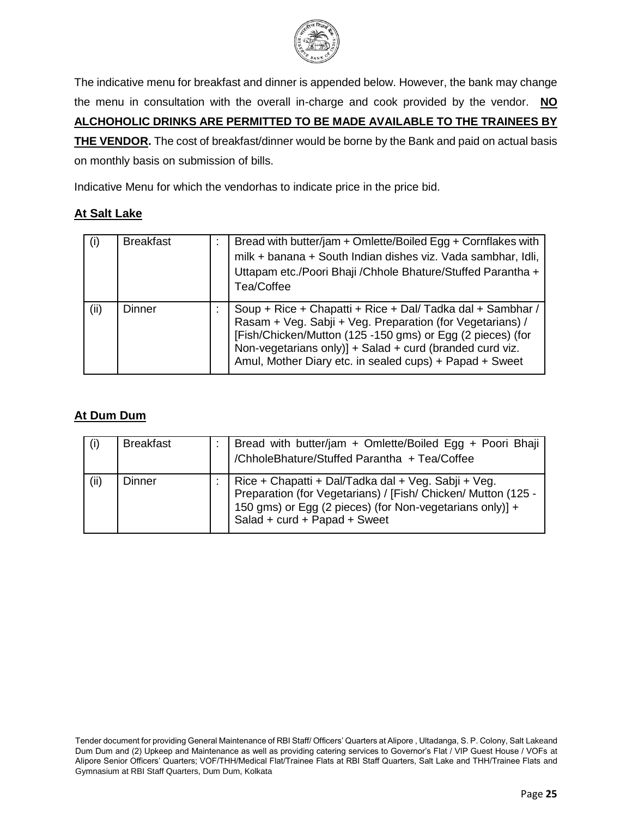

The indicative menu for breakfast and dinner is appended below. However, the bank may change the menu in consultation with the overall in-charge and cook provided by the vendor. **NO ALCHOHOLIC DRINKS ARE PERMITTED TO BE MADE AVAILABLE TO THE TRAINEES BY THE VENDOR.** The cost of breakfast/dinner would be borne by the Bank and paid on actual basis on monthly basis on submission of bills.

Indicative Menu for which the vendorhas to indicate price in the price bid.

# **At Salt Lake**

| (i)  | <b>Breakfast</b> | Bread with butter/jam + Omlette/Boiled Egg + Cornflakes with<br>milk + banana + South Indian dishes viz. Vada sambhar, Idli,<br>Uttapam etc./Poori Bhaji /Chhole Bhature/Stuffed Parantha +                                                                                                                                |
|------|------------------|----------------------------------------------------------------------------------------------------------------------------------------------------------------------------------------------------------------------------------------------------------------------------------------------------------------------------|
| (ii) | Dinner           | Tea/Coffee<br>Soup + Rice + Chapatti + Rice + Dal/ Tadka dal + Sambhar /<br>Rasam + Veg. Sabji + Veg. Preparation (for Vegetarians) /<br>[Fish/Chicken/Mutton (125 -150 gms) or Egg (2 pieces) (for<br>Non-vegetarians only)] + Salad + curd (branded curd viz.<br>Amul, Mother Diary etc. in sealed cups) + Papad + Sweet |

## **At Dum Dum**

| (i)  | <b>Breakfast</b> | Bread with butter/jam + Omlette/Boiled Egg + Poori Bhaji<br>/ChholeBhature/Stuffed Parantha + Tea/Coffee                                                                                                         |
|------|------------------|------------------------------------------------------------------------------------------------------------------------------------------------------------------------------------------------------------------|
| (ii) | Dinner           | Rice + Chapatti + Dal/Tadka dal + Veg. Sabji + Veg.<br>Preparation (for Vegetarians) / [Fish/ Chicken/ Mutton (125 -<br>150 gms) or Egg (2 pieces) (for Non-vegetarians only)] +<br>Salad + curd + Papad + Sweet |

Tender document for providing General Maintenance of RBI Staff/ Officers' Quarters at Alipore , Ultadanga, S. P. Colony, Salt Lakeand Dum Dum and (2) Upkeep and Maintenance as well as providing catering services to Governor's Flat / VIP Guest House / VOFs at Alipore Senior Officers' Quarters; VOF/THH/Medical Flat/Trainee Flats at RBI Staff Quarters, Salt Lake and THH/Trainee Flats and Gymnasium at RBI Staff Quarters, Dum Dum, Kolkata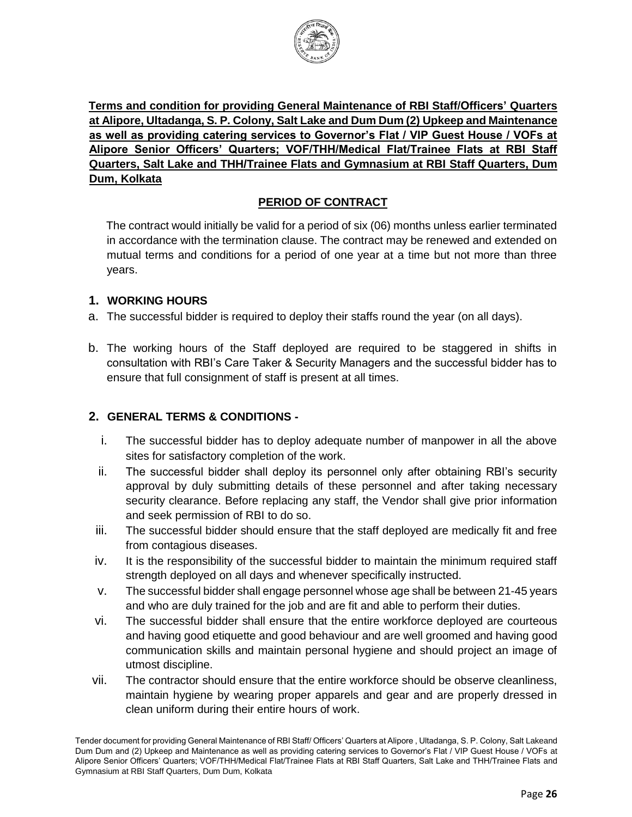

**Terms and condition for providing General Maintenance of RBI Staff/Officers' Quarters at Alipore, Ultadanga, S. P. Colony, Salt Lake and Dum Dum (2) Upkeep and Maintenance as well as providing catering services to Governor's Flat / VIP Guest House / VOFs at Alipore Senior Officers' Quarters; VOF/THH/Medical Flat/Trainee Flats at RBI Staff Quarters, Salt Lake and THH/Trainee Flats and Gymnasium at RBI Staff Quarters, Dum Dum, Kolkata**

# **PERIOD OF CONTRACT**

The contract would initially be valid for a period of six (06) months unless earlier terminated in accordance with the termination clause. The contract may be renewed and extended on mutual terms and conditions for a period of one year at a time but not more than three years.

#### **1. WORKING HOURS**

- a. The successful bidder is required to deploy their staffs round the year (on all days).
- b. The working hours of the Staff deployed are required to be staggered in shifts in consultation with RBI's Care Taker & Security Managers and the successful bidder has to ensure that full consignment of staff is present at all times.

### **2. GENERAL TERMS & CONDITIONS -**

- i. The successful bidder has to deploy adequate number of manpower in all the above sites for satisfactory completion of the work.
- ii. The successful bidder shall deploy its personnel only after obtaining RBI's security approval by duly submitting details of these personnel and after taking necessary security clearance. Before replacing any staff, the Vendor shall give prior information and seek permission of RBI to do so.
- iii. The successful bidder should ensure that the staff deployed are medically fit and free from contagious diseases.
- iv. It is the responsibility of the successful bidder to maintain the minimum required staff strength deployed on all days and whenever specifically instructed.
- v. The successful bidder shall engage personnel whose age shall be between 21-45 years and who are duly trained for the job and are fit and able to perform their duties.
- vi. The successful bidder shall ensure that the entire workforce deployed are courteous and having good etiquette and good behaviour and are well groomed and having good communication skills and maintain personal hygiene and should project an image of utmost discipline.
- vii. The contractor should ensure that the entire workforce should be observe cleanliness, maintain hygiene by wearing proper apparels and gear and are properly dressed in clean uniform during their entire hours of work.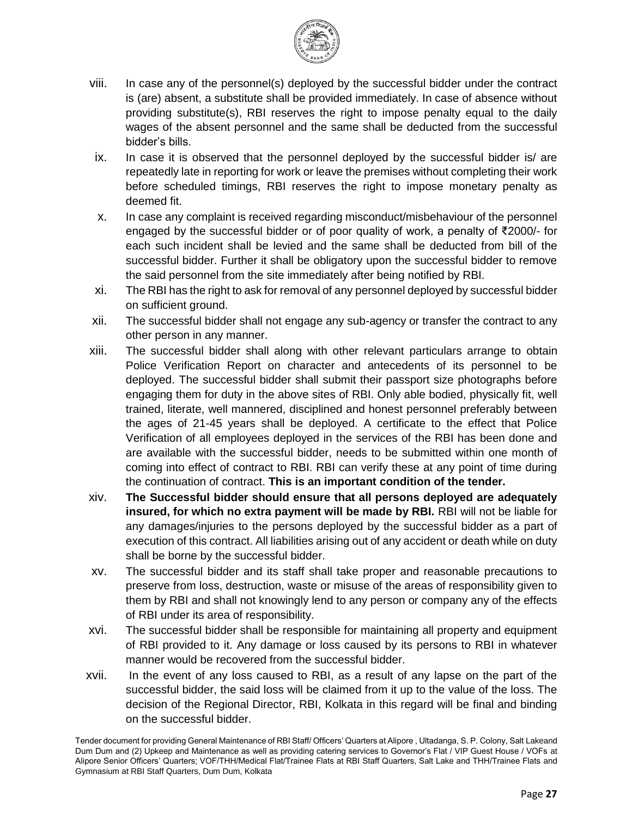

- viii. In case any of the personnel(s) deployed by the successful bidder under the contract is (are) absent, a substitute shall be provided immediately. In case of absence without providing substitute(s), RBI reserves the right to impose penalty equal to the daily wages of the absent personnel and the same shall be deducted from the successful bidder's bills.
- ix. In case it is observed that the personnel deployed by the successful bidder is/ are repeatedly late in reporting for work or leave the premises without completing their work before scheduled timings, RBI reserves the right to impose monetary penalty as deemed fit.
- x. In case any complaint is received regarding misconduct/misbehaviour of the personnel engaged by the successful bidder or of poor quality of work, a penalty of ₹2000/- for each such incident shall be levied and the same shall be deducted from bill of the successful bidder. Further it shall be obligatory upon the successful bidder to remove the said personnel from the site immediately after being notified by RBI.
- xi. The RBI has the right to ask for removal of any personnel deployed by successful bidder on sufficient ground.
- xii. The successful bidder shall not engage any sub-agency or transfer the contract to any other person in any manner.
- xiii. The successful bidder shall along with other relevant particulars arrange to obtain Police Verification Report on character and antecedents of its personnel to be deployed. The successful bidder shall submit their passport size photographs before engaging them for duty in the above sites of RBI. Only able bodied, physically fit, well trained, literate, well mannered, disciplined and honest personnel preferably between the ages of 21-45 years shall be deployed. A certificate to the effect that Police Verification of all employees deployed in the services of the RBI has been done and are available with the successful bidder, needs to be submitted within one month of coming into effect of contract to RBI. RBI can verify these at any point of time during the continuation of contract. **This is an important condition of the tender.**
- xiv. **The Successful bidder should ensure that all persons deployed are adequately insured, for which no extra payment will be made by RBI.** RBI will not be liable for any damages/injuries to the persons deployed by the successful bidder as a part of execution of this contract. All liabilities arising out of any accident or death while on duty shall be borne by the successful bidder.
- xv. The successful bidder and its staff shall take proper and reasonable precautions to preserve from loss, destruction, waste or misuse of the areas of responsibility given to them by RBI and shall not knowingly lend to any person or company any of the effects of RBI under its area of responsibility.
- xvi. The successful bidder shall be responsible for maintaining all property and equipment of RBI provided to it. Any damage or loss caused by its persons to RBI in whatever manner would be recovered from the successful bidder.
- xvii. In the event of any loss caused to RBI, as a result of any lapse on the part of the successful bidder, the said loss will be claimed from it up to the value of the loss. The decision of the Regional Director, RBI, Kolkata in this regard will be final and binding on the successful bidder.

Tender document for providing General Maintenance of RBI Staff/ Officers' Quarters at Alipore , Ultadanga, S. P. Colony, Salt Lakeand Dum Dum and (2) Upkeep and Maintenance as well as providing catering services to Governor's Flat / VIP Guest House / VOFs at Alipore Senior Officers' Quarters; VOF/THH/Medical Flat/Trainee Flats at RBI Staff Quarters, Salt Lake and THH/Trainee Flats and Gymnasium at RBI Staff Quarters, Dum Dum, Kolkata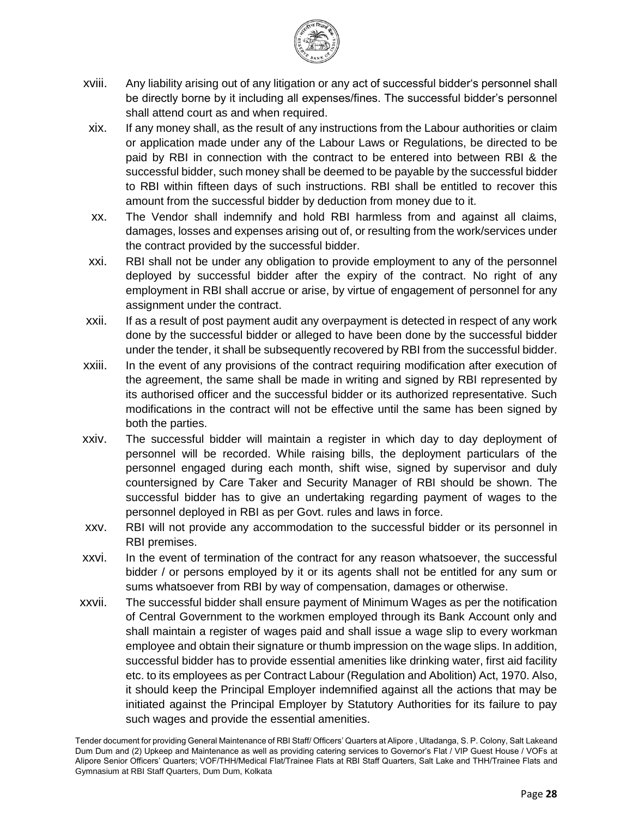

- xviii. Any liability arising out of any litigation or any act of successful bidder's personnel shall be directly borne by it including all expenses/fines. The successful bidder's personnel shall attend court as and when required.
- xix. If any money shall, as the result of any instructions from the Labour authorities or claim or application made under any of the Labour Laws or Regulations, be directed to be paid by RBI in connection with the contract to be entered into between RBI & the successful bidder, such money shall be deemed to be payable by the successful bidder to RBI within fifteen days of such instructions. RBI shall be entitled to recover this amount from the successful bidder by deduction from money due to it.
- xx. The Vendor shall indemnify and hold RBI harmless from and against all claims, damages, losses and expenses arising out of, or resulting from the work/services under the contract provided by the successful bidder.
- xxi. RBI shall not be under any obligation to provide employment to any of the personnel deployed by successful bidder after the expiry of the contract. No right of any employment in RBI shall accrue or arise, by virtue of engagement of personnel for any assignment under the contract.
- xxii. If as a result of post payment audit any overpayment is detected in respect of any work done by the successful bidder or alleged to have been done by the successful bidder under the tender, it shall be subsequently recovered by RBI from the successful bidder.
- xxiii. In the event of any provisions of the contract requiring modification after execution of the agreement, the same shall be made in writing and signed by RBI represented by its authorised officer and the successful bidder or its authorized representative. Such modifications in the contract will not be effective until the same has been signed by both the parties.
- xxiv. The successful bidder will maintain a register in which day to day deployment of personnel will be recorded. While raising bills, the deployment particulars of the personnel engaged during each month, shift wise, signed by supervisor and duly countersigned by Care Taker and Security Manager of RBI should be shown. The successful bidder has to give an undertaking regarding payment of wages to the personnel deployed in RBI as per Govt. rules and laws in force.
- xxv. RBI will not provide any accommodation to the successful bidder or its personnel in RBI premises.
- xxvi. In the event of termination of the contract for any reason whatsoever, the successful bidder / or persons employed by it or its agents shall not be entitled for any sum or sums whatsoever from RBI by way of compensation, damages or otherwise.
- xxvii. The successful bidder shall ensure payment of Minimum Wages as per the notification of Central Government to the workmen employed through its Bank Account only and shall maintain a register of wages paid and shall issue a wage slip to every workman employee and obtain their signature or thumb impression on the wage slips. In addition, successful bidder has to provide essential amenities like drinking water, first aid facility etc. to its employees as per Contract Labour (Regulation and Abolition) Act, 1970. Also, it should keep the Principal Employer indemnified against all the actions that may be initiated against the Principal Employer by Statutory Authorities for its failure to pay such wages and provide the essential amenities.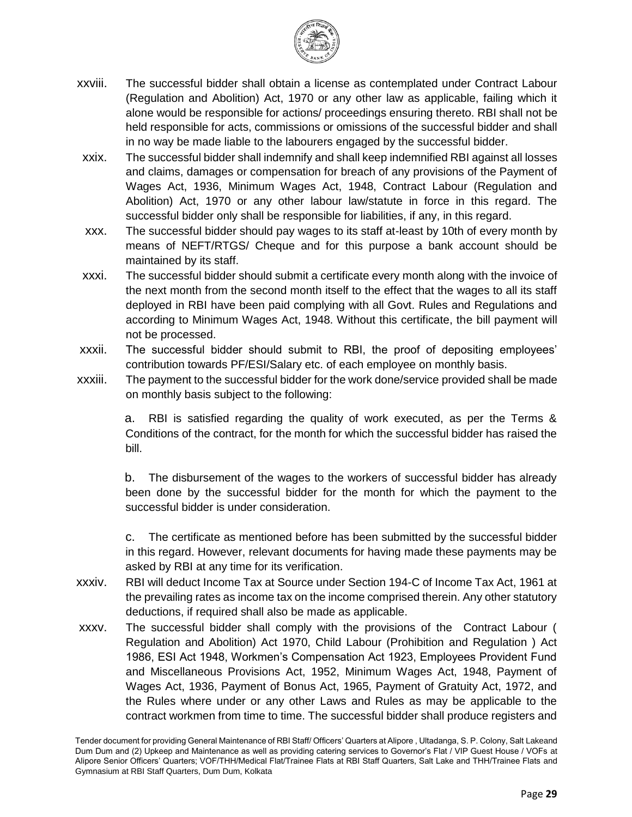

- xxviii. The successful bidder shall obtain a license as contemplated under Contract Labour (Regulation and Abolition) Act, 1970 or any other law as applicable, failing which it alone would be responsible for actions/ proceedings ensuring thereto. RBI shall not be held responsible for acts, commissions or omissions of the successful bidder and shall in no way be made liable to the labourers engaged by the successful bidder.
- xxix. The successful bidder shall indemnify and shall keep indemnified RBI against all losses and claims, damages or compensation for breach of any provisions of the Payment of Wages Act, 1936, Minimum Wages Act, 1948, Contract Labour (Regulation and Abolition) Act, 1970 or any other labour law/statute in force in this regard. The successful bidder only shall be responsible for liabilities, if any, in this regard.
- xxx. The successful bidder should pay wages to its staff at-least by 10th of every month by means of NEFT/RTGS/ Cheque and for this purpose a bank account should be maintained by its staff.
- xxxi. The successful bidder should submit a certificate every month along with the invoice of the next month from the second month itself to the effect that the wages to all its staff deployed in RBI have been paid complying with all Govt. Rules and Regulations and according to Minimum Wages Act, 1948. Without this certificate, the bill payment will not be processed.
- xxxii. The successful bidder should submit to RBI, the proof of depositing employees' contribution towards PF/ESI/Salary etc. of each employee on monthly basis.
- xxxiii. The payment to the successful bidder for the work done/service provided shall be made on monthly basis subject to the following:

a. RBI is satisfied regarding the quality of work executed, as per the Terms & Conditions of the contract, for the month for which the successful bidder has raised the bill.

b. The disbursement of the wages to the workers of successful bidder has already been done by the successful bidder for the month for which the payment to the successful bidder is under consideration.

c. The certificate as mentioned before has been submitted by the successful bidder in this regard. However, relevant documents for having made these payments may be asked by RBI at any time for its verification.

- xxxiv. RBI will deduct Income Tax at Source under Section 194-C of Income Tax Act, 1961 at the prevailing rates as income tax on the income comprised therein. Any other statutory deductions, if required shall also be made as applicable.
- xxxv. The successful bidder shall comply with the provisions of the Contract Labour ( Regulation and Abolition) Act 1970, Child Labour (Prohibition and Regulation ) Act 1986, ESI Act 1948, Workmen's Compensation Act 1923, Employees Provident Fund and Miscellaneous Provisions Act, 1952, Minimum Wages Act, 1948, Payment of Wages Act, 1936, Payment of Bonus Act, 1965, Payment of Gratuity Act, 1972, and the Rules where under or any other Laws and Rules as may be applicable to the contract workmen from time to time. The successful bidder shall produce registers and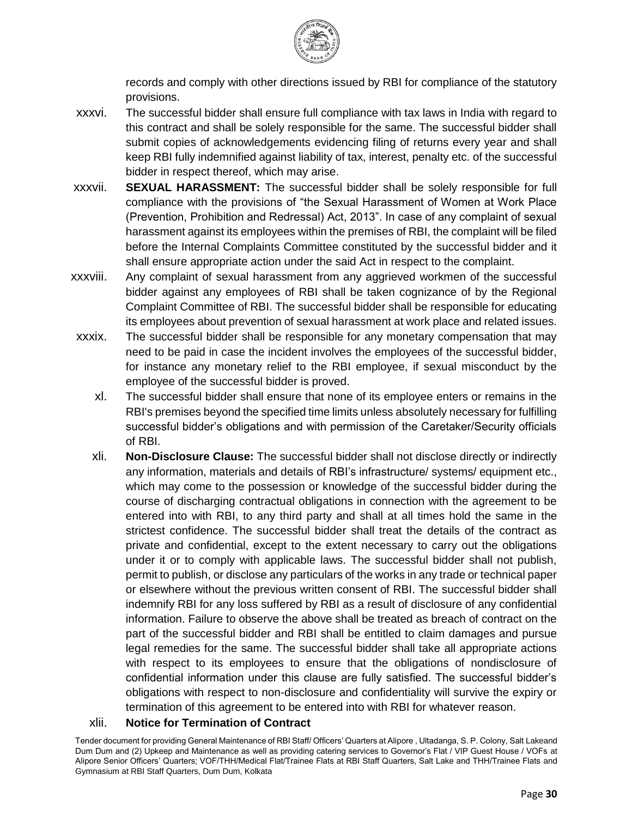

records and comply with other directions issued by RBI for compliance of the statutory provisions.

- xxxvi. The successful bidder shall ensure full compliance with tax laws in India with regard to this contract and shall be solely responsible for the same. The successful bidder shall submit copies of acknowledgements evidencing filing of returns every year and shall keep RBI fully indemnified against liability of tax, interest, penalty etc. of the successful bidder in respect thereof, which may arise.
- xxxvii. **SEXUAL HARASSMENT:** The successful bidder shall be solely responsible for full compliance with the provisions of "the Sexual Harassment of Women at Work Place (Prevention, Prohibition and Redressal) Act, 2013". In case of any complaint of sexual harassment against its employees within the premises of RBI, the complaint will be filed before the Internal Complaints Committee constituted by the successful bidder and it shall ensure appropriate action under the said Act in respect to the complaint.
- xxxviii. Any complaint of sexual harassment from any aggrieved workmen of the successful bidder against any employees of RBI shall be taken cognizance of by the Regional Complaint Committee of RBI. The successful bidder shall be responsible for educating its employees about prevention of sexual harassment at work place and related issues.
- xxxix. The successful bidder shall be responsible for any monetary compensation that may need to be paid in case the incident involves the employees of the successful bidder, for instance any monetary relief to the RBI employee, if sexual misconduct by the employee of the successful bidder is proved.
	- xl. The successful bidder shall ensure that none of its employee enters or remains in the RBI's premises beyond the specified time limits unless absolutely necessary for fulfilling successful bidder's obligations and with permission of the Caretaker/Security officials of RBI.
	- xli. **Non-Disclosure Clause:** The successful bidder shall not disclose directly or indirectly any information, materials and details of RBI's infrastructure/ systems/ equipment etc., which may come to the possession or knowledge of the successful bidder during the course of discharging contractual obligations in connection with the agreement to be entered into with RBI, to any third party and shall at all times hold the same in the strictest confidence. The successful bidder shall treat the details of the contract as private and confidential, except to the extent necessary to carry out the obligations under it or to comply with applicable laws. The successful bidder shall not publish, permit to publish, or disclose any particulars of the works in any trade or technical paper or elsewhere without the previous written consent of RBI. The successful bidder shall indemnify RBI for any loss suffered by RBI as a result of disclosure of any confidential information. Failure to observe the above shall be treated as breach of contract on the part of the successful bidder and RBI shall be entitled to claim damages and pursue legal remedies for the same. The successful bidder shall take all appropriate actions with respect to its employees to ensure that the obligations of nondisclosure of confidential information under this clause are fully satisfied. The successful bidder's obligations with respect to non-disclosure and confidentiality will survive the expiry or termination of this agreement to be entered into with RBI for whatever reason.

#### xlii. **Notice for Termination of Contract**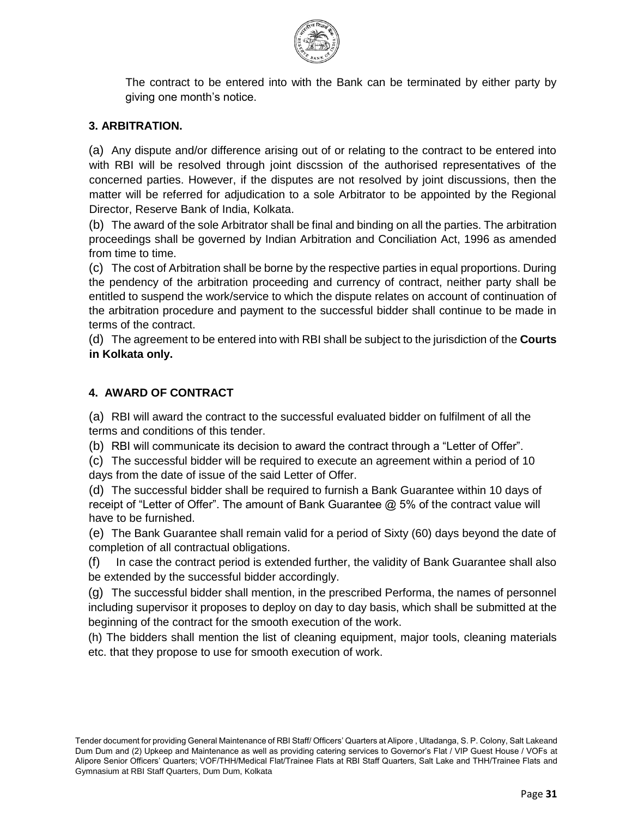

The contract to be entered into with the Bank can be terminated by either party by giving one month's notice.

#### **3. ARBITRATION.**

(a) Any dispute and/or difference arising out of or relating to the contract to be entered into with RBI will be resolved through joint discssion of the authorised representatives of the concerned parties. However, if the disputes are not resolved by joint discussions, then the matter will be referred for adjudication to a sole Arbitrator to be appointed by the Regional Director, Reserve Bank of India, Kolkata.

(b) The award of the sole Arbitrator shall be final and binding on all the parties. The arbitration proceedings shall be governed by Indian Arbitration and Conciliation Act, 1996 as amended from time to time.

(c) The cost of Arbitration shall be borne by the respective parties in equal proportions. During the pendency of the arbitration proceeding and currency of contract, neither party shall be entitled to suspend the work/service to which the dispute relates on account of continuation of the arbitration procedure and payment to the successful bidder shall continue to be made in terms of the contract.

(d) The agreement to be entered into with RBI shall be subject to the jurisdiction of the **Courts in Kolkata only.** 

#### **4. AWARD OF CONTRACT**

(a) RBI will award the contract to the successful evaluated bidder on fulfilment of all the terms and conditions of this tender.

(b) RBI will communicate its decision to award the contract through a "Letter of Offer".

(c) The successful bidder will be required to execute an agreement within a period of 10 days from the date of issue of the said Letter of Offer.

(d) The successful bidder shall be required to furnish a Bank Guarantee within 10 days of receipt of "Letter of Offer". The amount of Bank Guarantee @ 5% of the contract value will have to be furnished.

(e) The Bank Guarantee shall remain valid for a period of Sixty (60) days beyond the date of completion of all contractual obligations.

(f) In case the contract period is extended further, the validity of Bank Guarantee shall also be extended by the successful bidder accordingly.

(g) The successful bidder shall mention, in the prescribed Performa, the names of personnel including supervisor it proposes to deploy on day to day basis, which shall be submitted at the beginning of the contract for the smooth execution of the work.

(h) The bidders shall mention the list of cleaning equipment, major tools, cleaning materials etc. that they propose to use for smooth execution of work.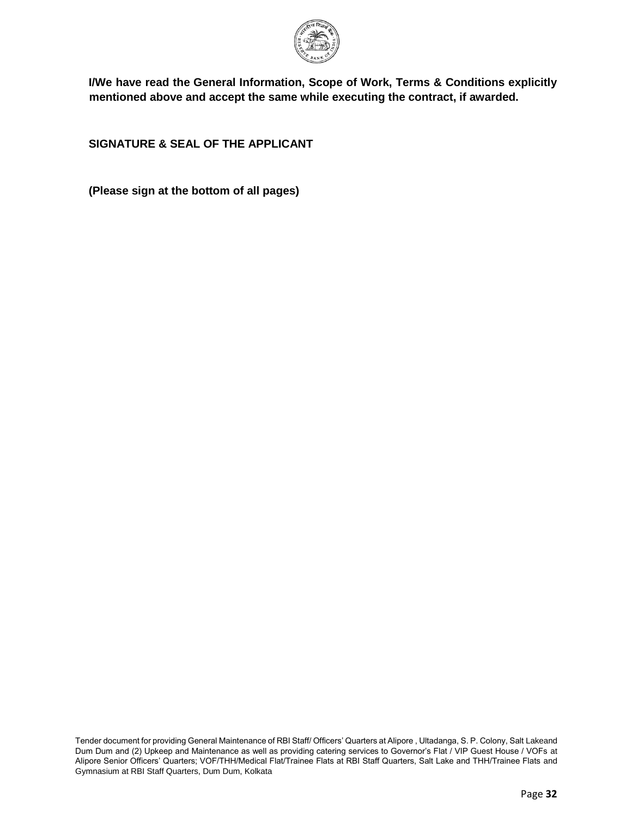

**I/We have read the General Information, Scope of Work, Terms & Conditions explicitly mentioned above and accept the same while executing the contract, if awarded.** 

**SIGNATURE & SEAL OF THE APPLICANT** 

**(Please sign at the bottom of all pages)**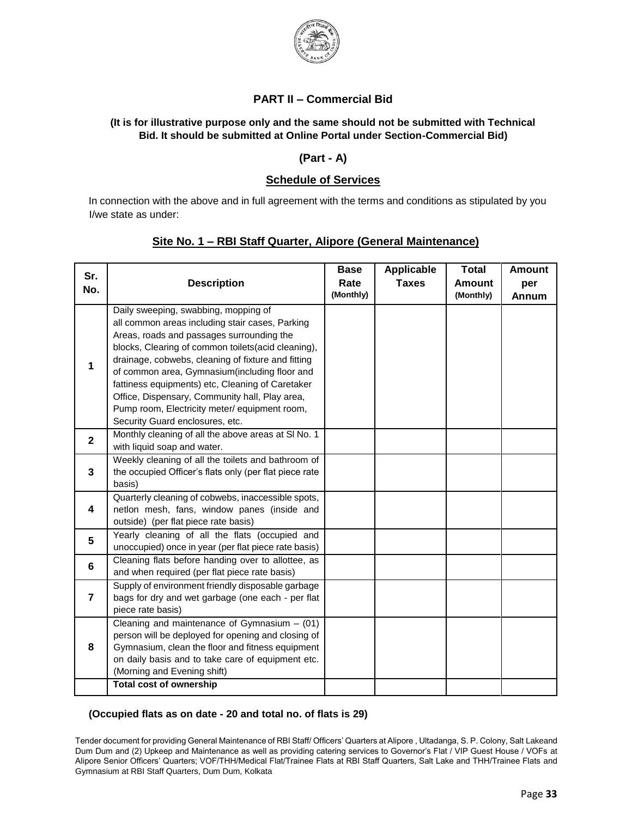

#### **PART II – Commercial Bid**

#### **(It is for illustrative purpose only and the same should not be submitted with Technical Bid. It should be submitted at Online Portal under Section-Commercial Bid)**

#### **(Part - A)**

#### **Schedule of Services**

In connection with the above and in full agreement with the terms and conditions as stipulated by you I/we state as under:

#### **Site No. 1 – RBI Staff Quarter, Alipore (General Maintenance)**

| Sr.<br>No.              | <b>Description</b>                                                                                                                                                                                                                                                                                                                                                                                                                                                                          | <b>Base</b><br>Rate<br>(Monthly) | <b>Applicable</b><br><b>Taxes</b> | <b>Total</b><br><b>Amount</b><br>(Monthly) | <b>Amount</b><br>per<br>Annum |
|-------------------------|---------------------------------------------------------------------------------------------------------------------------------------------------------------------------------------------------------------------------------------------------------------------------------------------------------------------------------------------------------------------------------------------------------------------------------------------------------------------------------------------|----------------------------------|-----------------------------------|--------------------------------------------|-------------------------------|
| 1                       | Daily sweeping, swabbing, mopping of<br>all common areas including stair cases, Parking<br>Areas, roads and passages surrounding the<br>blocks, Clearing of common toilets(acid cleaning),<br>drainage, cobwebs, cleaning of fixture and fitting<br>of common area, Gymnasium(including floor and<br>fattiness equipments) etc, Cleaning of Caretaker<br>Office, Dispensary, Community hall, Play area,<br>Pump room, Electricity meter/ equipment room,<br>Security Guard enclosures, etc. |                                  |                                   |                                            |                               |
| $\overline{2}$          | Monthly cleaning of all the above areas at SI No. 1<br>with liquid soap and water.                                                                                                                                                                                                                                                                                                                                                                                                          |                                  |                                   |                                            |                               |
| 3                       | Weekly cleaning of all the toilets and bathroom of<br>the occupied Officer's flats only (per flat piece rate<br>basis)                                                                                                                                                                                                                                                                                                                                                                      |                                  |                                   |                                            |                               |
| 4                       | Quarterly cleaning of cobwebs, inaccessible spots,<br>netlon mesh, fans, window panes (inside and<br>outside) (per flat piece rate basis)                                                                                                                                                                                                                                                                                                                                                   |                                  |                                   |                                            |                               |
| 5                       | Yearly cleaning of all the flats (occupied and<br>unoccupied) once in year (per flat piece rate basis)                                                                                                                                                                                                                                                                                                                                                                                      |                                  |                                   |                                            |                               |
| 6                       | Cleaning flats before handing over to allottee, as<br>and when required (per flat piece rate basis)                                                                                                                                                                                                                                                                                                                                                                                         |                                  |                                   |                                            |                               |
| $\overline{\mathbf{r}}$ | Supply of environment friendly disposable garbage<br>bags for dry and wet garbage (one each - per flat<br>piece rate basis)                                                                                                                                                                                                                                                                                                                                                                 |                                  |                                   |                                            |                               |
| 8                       | Cleaning and maintenance of Gymnasium $-$ (01)<br>person will be deployed for opening and closing of<br>Gymnasium, clean the floor and fitness equipment<br>on daily basis and to take care of equipment etc.<br>(Morning and Evening shift)<br><b>Total cost of ownership</b>                                                                                                                                                                                                              |                                  |                                   |                                            |                               |
|                         |                                                                                                                                                                                                                                                                                                                                                                                                                                                                                             |                                  |                                   |                                            |                               |

#### **(Occupied flats as on date - 20 and total no. of flats is 29)**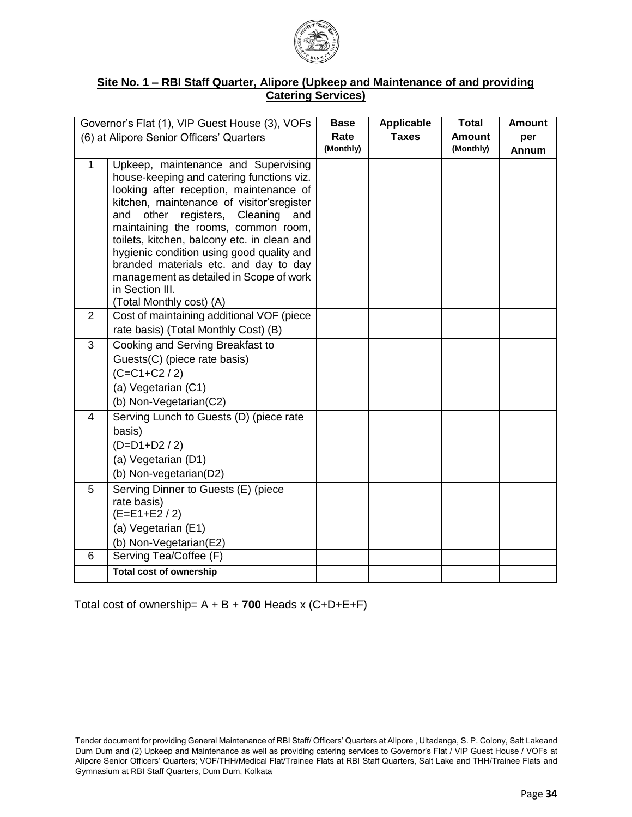

#### **Site No. 1 – RBI Staff Quarter, Alipore (Upkeep and Maintenance of and providing Catering Services)**

|                | Governor's Flat (1), VIP Guest House (3), VOFs                                       | <b>Base</b> | <b>Applicable</b> | <b>Total</b>  | <b>Amount</b> |
|----------------|--------------------------------------------------------------------------------------|-------------|-------------------|---------------|---------------|
|                | (6) at Alipore Senior Officers' Quarters                                             | Rate        | <b>Taxes</b>      | <b>Amount</b> | per           |
|                |                                                                                      | (Monthly)   |                   | (Monthly)     | Annum         |
| $\mathbf{1}$   | Upkeep, maintenance and Supervising                                                  |             |                   |               |               |
|                | house-keeping and catering functions viz.<br>looking after reception, maintenance of |             |                   |               |               |
|                | kitchen, maintenance of visitor'sregister                                            |             |                   |               |               |
|                | other<br>registers, Cleaning<br>and<br>and                                           |             |                   |               |               |
|                | maintaining the rooms, common room,                                                  |             |                   |               |               |
|                | toilets, kitchen, balcony etc. in clean and                                          |             |                   |               |               |
|                | hygienic condition using good quality and<br>branded materials etc. and day to day   |             |                   |               |               |
|                | management as detailed in Scope of work                                              |             |                   |               |               |
|                | in Section III.                                                                      |             |                   |               |               |
|                | (Total Monthly cost) (A)                                                             |             |                   |               |               |
| 2              | Cost of maintaining additional VOF (piece                                            |             |                   |               |               |
|                | rate basis) (Total Monthly Cost) (B)                                                 |             |                   |               |               |
| 3              | Cooking and Serving Breakfast to                                                     |             |                   |               |               |
|                | Guests(C) (piece rate basis)                                                         |             |                   |               |               |
|                | $(C=C1+C2/2)$                                                                        |             |                   |               |               |
|                | (a) Vegetarian (C1)                                                                  |             |                   |               |               |
|                | (b) Non-Vegetarian(C2)                                                               |             |                   |               |               |
| $\overline{4}$ | Serving Lunch to Guests (D) (piece rate                                              |             |                   |               |               |
|                | basis)                                                                               |             |                   |               |               |
|                | $(D=D1+D2 / 2)$                                                                      |             |                   |               |               |
|                | (a) Vegetarian (D1)                                                                  |             |                   |               |               |
|                | (b) Non-vegetarian(D2)                                                               |             |                   |               |               |
| 5              | Serving Dinner to Guests (E) (piece<br>rate basis)                                   |             |                   |               |               |
|                | $(E=E1+E2/2)$                                                                        |             |                   |               |               |
|                | (a) Vegetarian (E1)                                                                  |             |                   |               |               |
|                | (b) Non-Vegetarian(E2)                                                               |             |                   |               |               |
| 6              | Serving Tea/Coffee (F)                                                               |             |                   |               |               |
|                | <b>Total cost of ownership</b>                                                       |             |                   |               |               |

Total cost of ownership= A + B + **700** Heads x (C+D+E+F)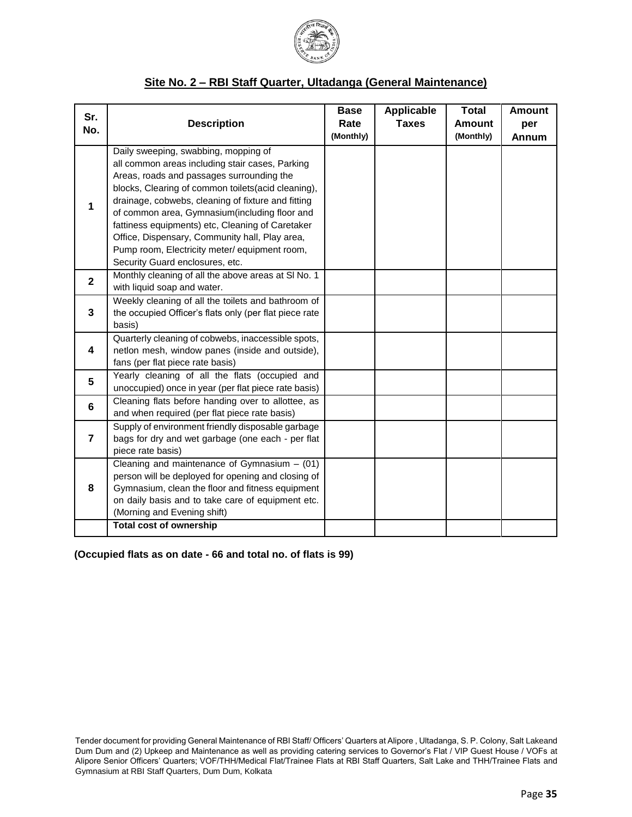

#### **Site No. 2 – RBI Staff Quarter, Ultadanga (General Maintenance)**

| Sr.<br>No.     | <b>Description</b>                                                                                                                                                                                                                                                                                                                                                                                                                                                                          | <b>Base</b><br>Rate<br>(Monthly) | <b>Applicable</b><br><b>Taxes</b> | <b>Total</b><br><b>Amount</b><br>(Monthly) | <b>Amount</b><br>per<br>Annum |
|----------------|---------------------------------------------------------------------------------------------------------------------------------------------------------------------------------------------------------------------------------------------------------------------------------------------------------------------------------------------------------------------------------------------------------------------------------------------------------------------------------------------|----------------------------------|-----------------------------------|--------------------------------------------|-------------------------------|
| 1              | Daily sweeping, swabbing, mopping of<br>all common areas including stair cases, Parking<br>Areas, roads and passages surrounding the<br>blocks, Clearing of common toilets(acid cleaning),<br>drainage, cobwebs, cleaning of fixture and fitting<br>of common area, Gymnasium(including floor and<br>fattiness equipments) etc, Cleaning of Caretaker<br>Office, Dispensary, Community hall, Play area,<br>Pump room, Electricity meter/ equipment room,<br>Security Guard enclosures, etc. |                                  |                                   |                                            |                               |
| $\overline{2}$ | Monthly cleaning of all the above areas at SI No. 1<br>with liquid soap and water.                                                                                                                                                                                                                                                                                                                                                                                                          |                                  |                                   |                                            |                               |
| $\mathbf{3}$   | Weekly cleaning of all the toilets and bathroom of<br>the occupied Officer's flats only (per flat piece rate<br>basis)                                                                                                                                                                                                                                                                                                                                                                      |                                  |                                   |                                            |                               |
| 4              | Quarterly cleaning of cobwebs, inaccessible spots,<br>netlon mesh, window panes (inside and outside),<br>fans (per flat piece rate basis)                                                                                                                                                                                                                                                                                                                                                   |                                  |                                   |                                            |                               |
| 5              | Yearly cleaning of all the flats (occupied and<br>unoccupied) once in year (per flat piece rate basis)                                                                                                                                                                                                                                                                                                                                                                                      |                                  |                                   |                                            |                               |
| 6              | Cleaning flats before handing over to allottee, as<br>and when required (per flat piece rate basis)                                                                                                                                                                                                                                                                                                                                                                                         |                                  |                                   |                                            |                               |
| $\overline{7}$ | Supply of environment friendly disposable garbage<br>bags for dry and wet garbage (one each - per flat<br>piece rate basis)                                                                                                                                                                                                                                                                                                                                                                 |                                  |                                   |                                            |                               |
| 8              | Cleaning and maintenance of Gymnasium $-$ (01)<br>person will be deployed for opening and closing of<br>Gymnasium, clean the floor and fitness equipment<br>on daily basis and to take care of equipment etc.<br>(Morning and Evening shift)<br><b>Total cost of ownership</b>                                                                                                                                                                                                              |                                  |                                   |                                            |                               |
|                |                                                                                                                                                                                                                                                                                                                                                                                                                                                                                             |                                  |                                   |                                            |                               |

#### **(Occupied flats as on date - 66 and total no. of flats is 99)**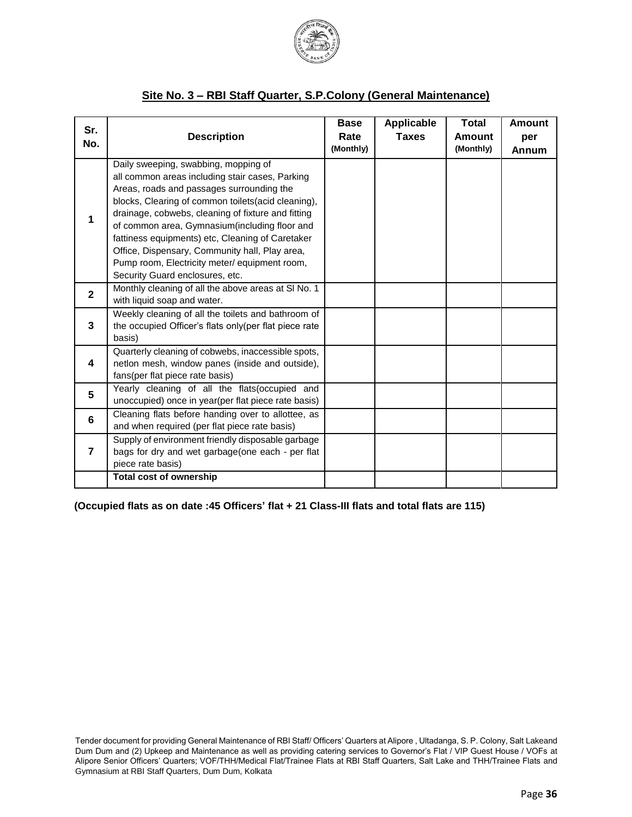

#### **Site No. 3 – RBI Staff Quarter, S.P.Colony (General Maintenance)**

| Sr.<br>No.     | <b>Description</b>                                                                                                                                                                                                                                                                                                                                                                                                                                                                           | <b>Base</b><br>Rate<br>(Monthly) | <b>Applicable</b><br><b>Taxes</b> | <b>Total</b><br>Amount<br>(Monthly) | <b>Amount</b><br>per<br>Annum |
|----------------|----------------------------------------------------------------------------------------------------------------------------------------------------------------------------------------------------------------------------------------------------------------------------------------------------------------------------------------------------------------------------------------------------------------------------------------------------------------------------------------------|----------------------------------|-----------------------------------|-------------------------------------|-------------------------------|
| 1              | Daily sweeping, swabbing, mopping of<br>all common areas including stair cases, Parking<br>Areas, roads and passages surrounding the<br>blocks, Clearing of common toilets(acid cleaning),<br>drainage, cobwebs, cleaning of fixture and fitting<br>of common area, Gymnasium (including floor and<br>fattiness equipments) etc, Cleaning of Caretaker<br>Office, Dispensary, Community hall, Play area,<br>Pump room, Electricity meter/ equipment room,<br>Security Guard enclosures, etc. |                                  |                                   |                                     |                               |
| $\mathbf{2}$   | Monthly cleaning of all the above areas at SI No. 1<br>with liquid soap and water.                                                                                                                                                                                                                                                                                                                                                                                                           |                                  |                                   |                                     |                               |
| 3              | Weekly cleaning of all the toilets and bathroom of<br>the occupied Officer's flats only(per flat piece rate<br>basis)                                                                                                                                                                                                                                                                                                                                                                        |                                  |                                   |                                     |                               |
| 4              | Quarterly cleaning of cobwebs, inaccessible spots,<br>netlon mesh, window panes (inside and outside),<br>fans(per flat piece rate basis)                                                                                                                                                                                                                                                                                                                                                     |                                  |                                   |                                     |                               |
| 5              | Yearly cleaning of all the flats(occupied and<br>unoccupied) once in year(per flat piece rate basis)                                                                                                                                                                                                                                                                                                                                                                                         |                                  |                                   |                                     |                               |
| 6              | Cleaning flats before handing over to allottee, as<br>and when required (per flat piece rate basis)                                                                                                                                                                                                                                                                                                                                                                                          |                                  |                                   |                                     |                               |
| $\overline{7}$ | Supply of environment friendly disposable garbage<br>bags for dry and wet garbage(one each - per flat<br>piece rate basis)                                                                                                                                                                                                                                                                                                                                                                   |                                  |                                   |                                     |                               |
|                | <b>Total cost of ownership</b>                                                                                                                                                                                                                                                                                                                                                                                                                                                               |                                  |                                   |                                     |                               |

**(Occupied flats as on date :45 Officers' flat + 21 Class-III flats and total flats are 115)**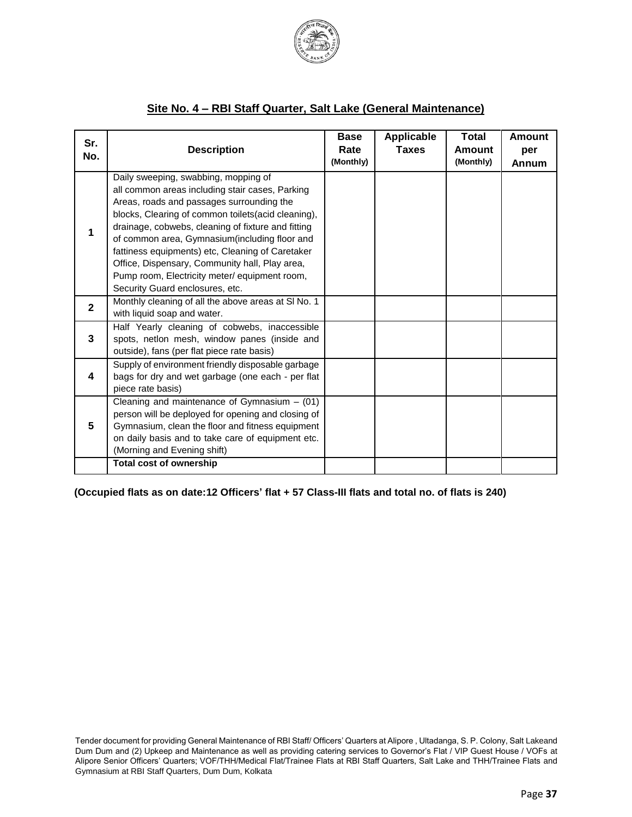

#### **Site No. 4 – RBI Staff Quarter, Salt Lake (General Maintenance)**

| Sr.<br>No.   | <b>Description</b>                                                                                                                                                                                                                                                                                                                                                                                                                                                                         | <b>Base</b><br>Rate<br>(Monthly) | Applicable<br><b>Taxes</b> | <b>Total</b><br><b>Amount</b><br>(Monthly) | <b>Amount</b><br>per<br>Annum |
|--------------|--------------------------------------------------------------------------------------------------------------------------------------------------------------------------------------------------------------------------------------------------------------------------------------------------------------------------------------------------------------------------------------------------------------------------------------------------------------------------------------------|----------------------------------|----------------------------|--------------------------------------------|-------------------------------|
| 1            | Daily sweeping, swabbing, mopping of<br>all common areas including stair cases, Parking<br>Areas, roads and passages surrounding the<br>blocks, Clearing of common toilets(acid cleaning),<br>drainage, cobwebs, cleaning of fixture and fitting<br>of common area, Gymnasium(including floor and<br>fattiness equipments) etc, Cleaning of Caretaker<br>Office, Dispensary, Community hall, Play area,<br>Pump room, Electricity meter/equipment room,<br>Security Guard enclosures, etc. |                                  |                            |                                            |                               |
| $\mathbf{2}$ | Monthly cleaning of all the above areas at SI No. 1<br>with liquid soap and water.                                                                                                                                                                                                                                                                                                                                                                                                         |                                  |                            |                                            |                               |
| 3            | Half Yearly cleaning of cobwebs, inaccessible<br>spots, netlon mesh, window panes (inside and<br>outside), fans (per flat piece rate basis)                                                                                                                                                                                                                                                                                                                                                |                                  |                            |                                            |                               |
| 4            | Supply of environment friendly disposable garbage<br>bags for dry and wet garbage (one each - per flat<br>piece rate basis)                                                                                                                                                                                                                                                                                                                                                                |                                  |                            |                                            |                               |
| 5            | Cleaning and maintenance of Gymnasium $-$ (01)<br>person will be deployed for opening and closing of<br>Gymnasium, clean the floor and fitness equipment<br>on daily basis and to take care of equipment etc.<br>(Morning and Evening shift)                                                                                                                                                                                                                                               |                                  |                            |                                            |                               |
|              | <b>Total cost of ownership</b>                                                                                                                                                                                                                                                                                                                                                                                                                                                             |                                  |                            |                                            |                               |

**(Occupied flats as on date:12 Officers' flat + 57 Class-III flats and total no. of flats is 240)**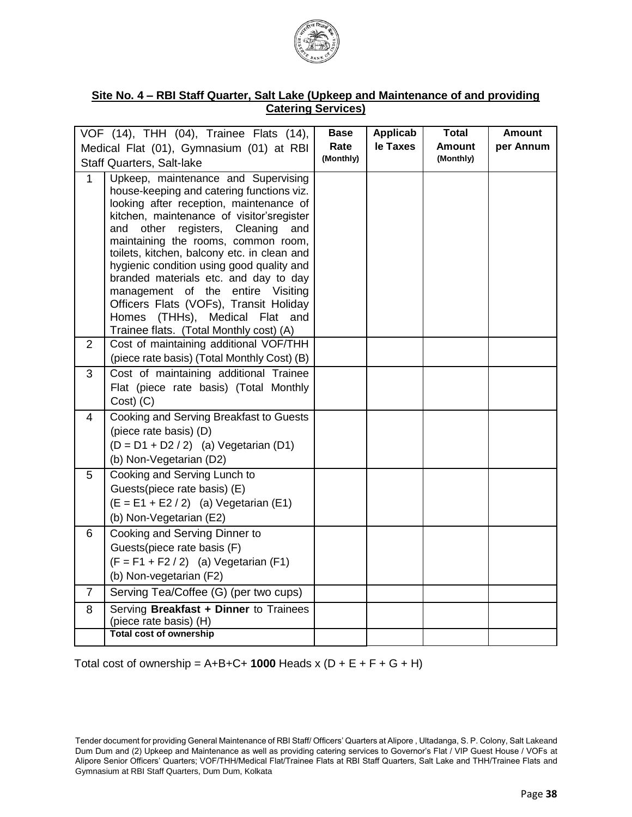

#### **Site No. 4 – RBI Staff Quarter, Salt Lake (Upkeep and Maintenance of and providing Catering Services)**

|                | VOF (14), THH (04), Trainee Flats (14),                                                                                                                                                                                                                                                                                                                                                                                                                                                                                                                        | <b>Base</b> | Applicab | <b>Total</b>  | <b>Amount</b> |
|----------------|----------------------------------------------------------------------------------------------------------------------------------------------------------------------------------------------------------------------------------------------------------------------------------------------------------------------------------------------------------------------------------------------------------------------------------------------------------------------------------------------------------------------------------------------------------------|-------------|----------|---------------|---------------|
|                | Medical Flat (01), Gymnasium (01) at RBI                                                                                                                                                                                                                                                                                                                                                                                                                                                                                                                       | Rate        | le Taxes | <b>Amount</b> | per Annum     |
|                | <b>Staff Quarters, Salt-lake</b>                                                                                                                                                                                                                                                                                                                                                                                                                                                                                                                               | (Monthly)   |          | (Monthly)     |               |
| 1              | Upkeep, maintenance and Supervising<br>house-keeping and catering functions viz.<br>looking after reception, maintenance of<br>kitchen, maintenance of visitor'sregister<br>and<br>other<br>registers, Cleaning<br>and<br>maintaining the rooms, common room,<br>toilets, kitchen, balcony etc. in clean and<br>hygienic condition using good quality and<br>branded materials etc. and day to day<br>management of the entire Visiting<br>Officers Flats (VOFs), Transit Holiday<br>Homes (THHs), Medical Flat and<br>Trainee flats. (Total Monthly cost) (A) |             |          |               |               |
| $\overline{2}$ | Cost of maintaining additional VOF/THH<br>(piece rate basis) (Total Monthly Cost) (B)                                                                                                                                                                                                                                                                                                                                                                                                                                                                          |             |          |               |               |
| 3              | Cost of maintaining additional Trainee<br>Flat (piece rate basis) (Total Monthly<br>Cost) (C)                                                                                                                                                                                                                                                                                                                                                                                                                                                                  |             |          |               |               |
| 4              | <b>Cooking and Serving Breakfast to Guests</b><br>(piece rate basis) (D)<br>$(D = D1 + D2 / 2)$ (a) Vegetarian (D1)<br>(b) Non-Vegetarian (D2)                                                                                                                                                                                                                                                                                                                                                                                                                 |             |          |               |               |
| 5              | Cooking and Serving Lunch to<br>Guests(piece rate basis) (E)<br>$(E = E1 + E2 / 2)$ (a) Vegetarian (E1)<br>(b) Non-Vegetarian (E2)                                                                                                                                                                                                                                                                                                                                                                                                                             |             |          |               |               |
| 6              | Cooking and Serving Dinner to<br>Guests(piece rate basis (F)<br>$(F = F1 + F2 / 2)$ (a) Vegetarian (F1)<br>(b) Non-vegetarian (F2)                                                                                                                                                                                                                                                                                                                                                                                                                             |             |          |               |               |
| $\overline{7}$ | Serving Tea/Coffee (G) (per two cups)                                                                                                                                                                                                                                                                                                                                                                                                                                                                                                                          |             |          |               |               |
| 8              | Serving Breakfast + Dinner to Trainees<br>(piece rate basis) (H)<br><b>Total cost of ownership</b>                                                                                                                                                                                                                                                                                                                                                                                                                                                             |             |          |               |               |
|                |                                                                                                                                                                                                                                                                                                                                                                                                                                                                                                                                                                |             |          |               |               |

Total cost of ownership =  $A+B+C+1000$  Heads x  $(D + E + F + G + H)$ 

Tender document for providing General Maintenance of RBI Staff/ Officers' Quarters at Alipore , Ultadanga, S. P. Colony, Salt Lakeand Dum Dum and (2) Upkeep and Maintenance as well as providing catering services to Governor's Flat / VIP Guest House / VOFs at Alipore Senior Officers' Quarters; VOF/THH/Medical Flat/Trainee Flats at RBI Staff Quarters, Salt Lake and THH/Trainee Flats and Gymnasium at RBI Staff Quarters, Dum Dum, Kolkata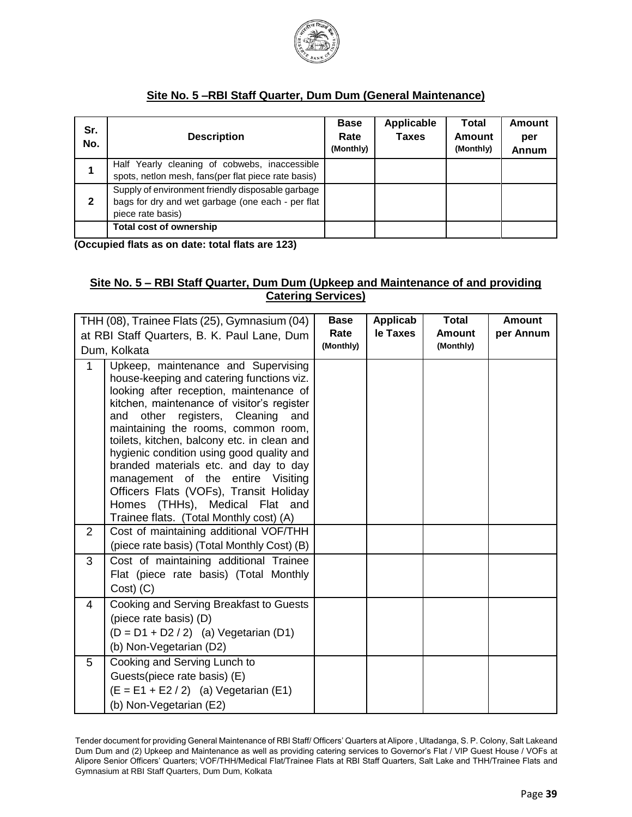

# **Site No. 5 –RBI Staff Quarter, Dum Dum (General Maintenance)**

| Sr.<br>No.   | <b>Description</b>                                                                                                          | <b>Base</b><br>Rate<br>(Monthly) | <b>Applicable</b><br><b>Taxes</b> | Total<br>Amount<br>(Monthly) | Amount<br>per<br>Annum |
|--------------|-----------------------------------------------------------------------------------------------------------------------------|----------------------------------|-----------------------------------|------------------------------|------------------------|
|              | Half Yearly cleaning of cobwebs, inaccessible<br>spots, netlon mesh, fans(per flat piece rate basis)                        |                                  |                                   |                              |                        |
| $\mathbf{2}$ | Supply of environment friendly disposable garbage<br>bags for dry and wet garbage (one each - per flat<br>piece rate basis) |                                  |                                   |                              |                        |
|              | Total cost of ownership                                                                                                     |                                  |                                   |                              |                        |

**(Occupied flats as on date: total flats are 123)**

#### **Site No. 5 – RBI Staff Quarter, Dum Dum (Upkeep and Maintenance of and providing Catering Services)**

|                | THH (08), Trainee Flats (25), Gymnasium (04)                                                                                                                                                                                                                                                                                                                                                                                                                                                                         | <b>Base</b>       | Applicab | <b>Total</b>               | <b>Amount</b> |
|----------------|----------------------------------------------------------------------------------------------------------------------------------------------------------------------------------------------------------------------------------------------------------------------------------------------------------------------------------------------------------------------------------------------------------------------------------------------------------------------------------------------------------------------|-------------------|----------|----------------------------|---------------|
|                | at RBI Staff Quarters, B. K. Paul Lane, Dum                                                                                                                                                                                                                                                                                                                                                                                                                                                                          | Rate<br>(Monthly) | le Taxes | <b>Amount</b><br>(Monthly) | per Annum     |
|                | Dum, Kolkata                                                                                                                                                                                                                                                                                                                                                                                                                                                                                                         |                   |          |                            |               |
| $\mathbf 1$    | Upkeep, maintenance and Supervising<br>house-keeping and catering functions viz.<br>looking after reception, maintenance of<br>kitchen, maintenance of visitor's register<br>other<br>registers, Cleaning<br>and<br>and<br>maintaining the rooms, common room,<br>toilets, kitchen, balcony etc. in clean and<br>hygienic condition using good quality and<br>branded materials etc. and day to day<br>management of the entire Visiting<br>Officers Flats (VOFs), Transit Holiday<br>Homes (THHs), Medical Flat and |                   |          |                            |               |
| $\overline{2}$ | Trainee flats. (Total Monthly cost) (A)<br>Cost of maintaining additional VOF/THH                                                                                                                                                                                                                                                                                                                                                                                                                                    |                   |          |                            |               |
|                | (piece rate basis) (Total Monthly Cost) (B)                                                                                                                                                                                                                                                                                                                                                                                                                                                                          |                   |          |                            |               |
| 3              | Cost of maintaining additional Trainee<br>Flat (piece rate basis) (Total Monthly<br>Cost) (C)                                                                                                                                                                                                                                                                                                                                                                                                                        |                   |          |                            |               |
| 4              | Cooking and Serving Breakfast to Guests<br>(piece rate basis) (D)<br>$(D = D1 + D2 / 2)$ (a) Vegetarian (D1)<br>(b) Non-Vegetarian (D2)                                                                                                                                                                                                                                                                                                                                                                              |                   |          |                            |               |
| 5              | Cooking and Serving Lunch to<br>Guests(piece rate basis) (E)<br>$(E = E1 + E2 / 2)$ (a) Vegetarian (E1)<br>(b) Non-Vegetarian (E2)                                                                                                                                                                                                                                                                                                                                                                                   |                   |          |                            |               |

Tender document for providing General Maintenance of RBI Staff/ Officers' Quarters at Alipore , Ultadanga, S. P. Colony, Salt Lakeand Dum Dum and (2) Upkeep and Maintenance as well as providing catering services to Governor's Flat / VIP Guest House / VOFs at Alipore Senior Officers' Quarters; VOF/THH/Medical Flat/Trainee Flats at RBI Staff Quarters, Salt Lake and THH/Trainee Flats and Gymnasium at RBI Staff Quarters, Dum Dum, Kolkata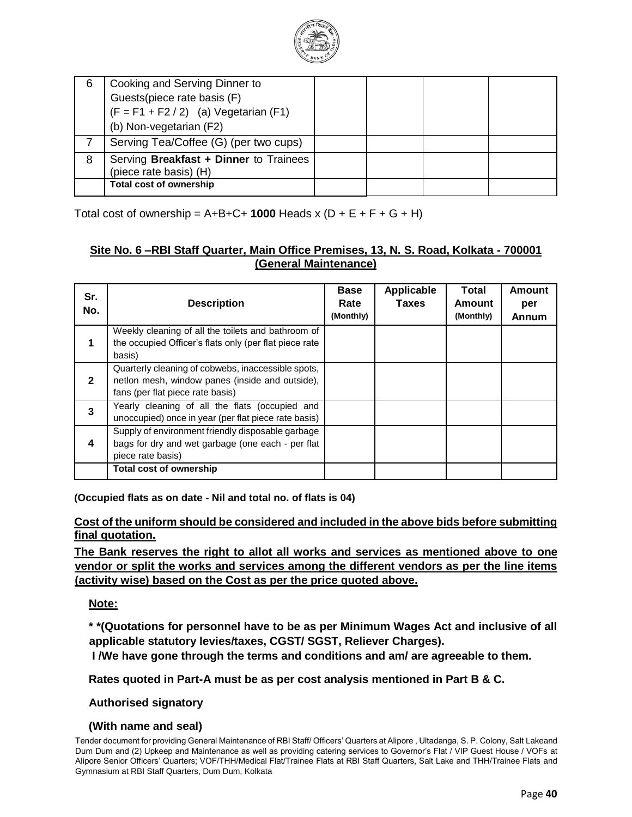

| 6 | Cooking and Serving Dinner to<br>Guests(piece rate basis (F)<br>$(F = F1 + F2 / 2)$ (a) Vegetarian (F1)<br>(b) Non-vegetarian (F2) |  |  |
|---|------------------------------------------------------------------------------------------------------------------------------------|--|--|
|   | Serving Tea/Coffee (G) (per two cups)                                                                                              |  |  |
| 8 | Serving Breakfast + Dinner to Trainees<br>(piece rate basis) (H)                                                                   |  |  |
|   | <b>Total cost of ownership</b>                                                                                                     |  |  |

Total cost of ownership =  $A+B+C+1000$  Heads x  $(D + E + F + G + H)$ 

### **Site No. 6 –RBI Staff Quarter, Main Office Premises, 13, N. S. Road, Kolkata - 700001 (General Maintenance)**

| Sr.<br>No.   | <b>Description</b>                                                                                                                        | <b>Base</b><br>Rate<br>(Monthly) | <b>Applicable</b><br>Taxes | <b>Total</b><br>Amount<br>(Monthly) | Amount<br>per<br>Annum |
|--------------|-------------------------------------------------------------------------------------------------------------------------------------------|----------------------------------|----------------------------|-------------------------------------|------------------------|
|              | Weekly cleaning of all the toilets and bathroom of<br>the occupied Officer's flats only (per flat piece rate<br>basis)                    |                                  |                            |                                     |                        |
| $\mathbf{2}$ | Quarterly cleaning of cobwebs, inaccessible spots,<br>netlon mesh, window panes (inside and outside),<br>fans (per flat piece rate basis) |                                  |                            |                                     |                        |
| 3            | Yearly cleaning of all the flats (occupied and<br>unoccupied) once in year (per flat piece rate basis)                                    |                                  |                            |                                     |                        |
| 4            | Supply of environment friendly disposable garbage<br>bags for dry and wet garbage (one each - per flat<br>piece rate basis)               |                                  |                            |                                     |                        |
|              | <b>Total cost of ownership</b>                                                                                                            |                                  |                            |                                     |                        |

**(Occupied flats as on date - Nil and total no. of flats is 04)**

**Cost of the uniform should be considered and included in the above bids before submitting final quotation.**

**The Bank reserves the right to allot all works and services as mentioned above to one vendor or split the works and services among the different vendors as per the line items (activity wise) based on the Cost as per the price quoted above.**

**Note:**

**\* \*(Quotations for personnel have to be as per Minimum Wages Act and inclusive of all applicable statutory levies/taxes, CGST/ SGST, Reliever Charges).** 

**I /We have gone through the terms and conditions and am/ are agreeable to them.** 

**Rates quoted in Part-A must be as per cost analysis mentioned in Part B & C.** 

**Authorised signatory** 

#### **(With name and seal)**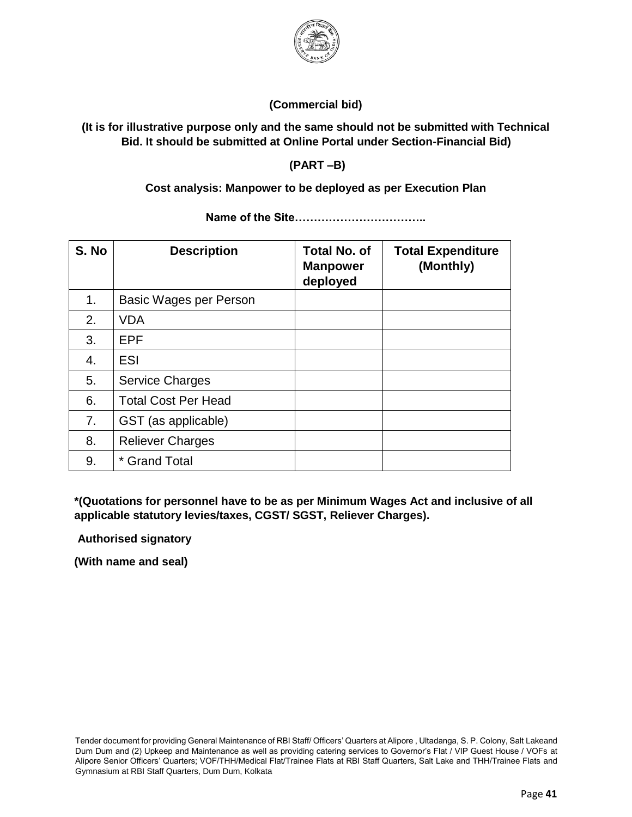

## **(Commercial bid)**

## **(It is for illustrative purpose only and the same should not be submitted with Technical Bid. It should be submitted at Online Portal under Section-Financial Bid)**

**(PART –B)** 

### **Cost analysis: Manpower to be deployed as per Execution Plan**

| S. No | <b>Description</b>         | <b>Total No. of</b><br><b>Manpower</b><br>deployed | <b>Total Expenditure</b><br>(Monthly) |
|-------|----------------------------|----------------------------------------------------|---------------------------------------|
| 1.    | Basic Wages per Person     |                                                    |                                       |
| 2.    | <b>VDA</b>                 |                                                    |                                       |
| 3.    | <b>EPF</b>                 |                                                    |                                       |
| 4.    | <b>ESI</b>                 |                                                    |                                       |
| 5.    | <b>Service Charges</b>     |                                                    |                                       |
| 6.    | <b>Total Cost Per Head</b> |                                                    |                                       |
| 7.    | GST (as applicable)        |                                                    |                                       |
| 8.    | <b>Reliever Charges</b>    |                                                    |                                       |
| 9.    | * Grand Total              |                                                    |                                       |

**Name of the Site……………………………..**

**\*(Quotations for personnel have to be as per Minimum Wages Act and inclusive of all applicable statutory levies/taxes, CGST/ SGST, Reliever Charges).** 

**Authorised signatory** 

**(With name and seal)**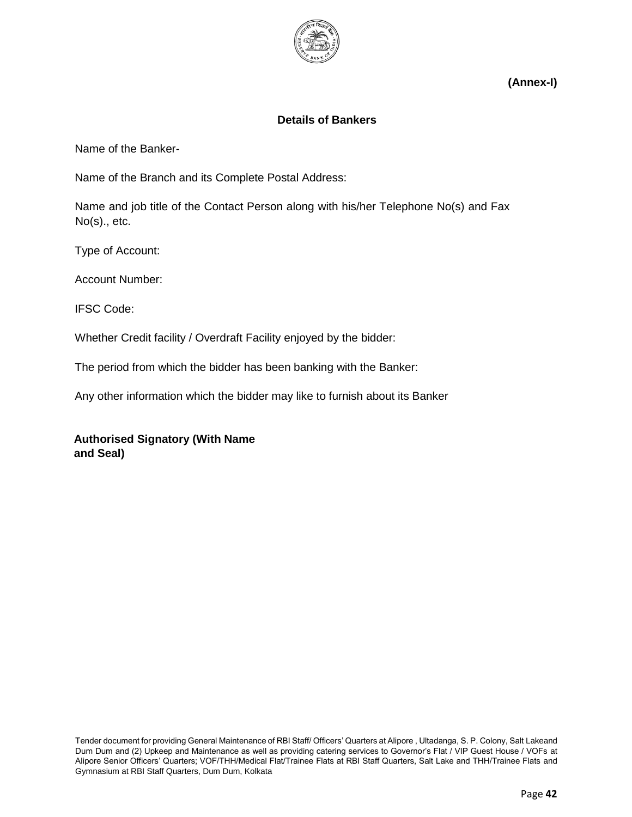

**(Annex-I)** 

#### **Details of Bankers**

Name of the Banker-

Name of the Branch and its Complete Postal Address:

Name and job title of the Contact Person along with his/her Telephone No(s) and Fax No(s)., etc.

Type of Account:

Account Number:

IFSC Code:

Whether Credit facility / Overdraft Facility enjoyed by the bidder:

The period from which the bidder has been banking with the Banker:

Any other information which the bidder may like to furnish about its Banker

**Authorised Signatory (With Name and Seal)**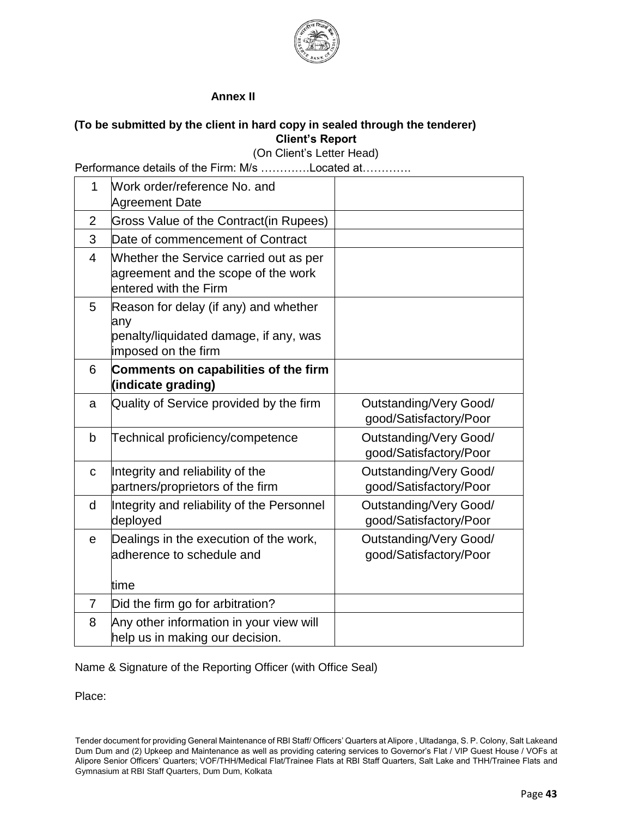

#### **Annex II**

#### **(To be submitted by the client in hard copy in sealed through the tenderer) Client's Report**

(On Client's Letter Head)

Performance details of the Firm: M/s ………….Located at………….

| 1              | Work order/reference No. and<br><b>Agreement Date</b>                                                         |                                                         |
|----------------|---------------------------------------------------------------------------------------------------------------|---------------------------------------------------------|
| 2              | Gross Value of the Contract(in Rupees)                                                                        |                                                         |
| 3              | Date of commencement of Contract                                                                              |                                                         |
| $\overline{4}$ | Whether the Service carried out as per<br>agreement and the scope of the work<br>entered with the Firm        |                                                         |
| 5              | Reason for delay (if any) and whether<br>any<br>penalty/liquidated damage, if any, was<br>imposed on the firm |                                                         |
| 6              | Comments on capabilities of the firm<br>(indicate grading)                                                    |                                                         |
| a              | Quality of Service provided by the firm                                                                       | <b>Outstanding/Very Good/</b><br>good/Satisfactory/Poor |
| b              | Technical proficiency/competence                                                                              | <b>Outstanding/Very Good/</b><br>good/Satisfactory/Poor |
| $\mathbf C$    | Integrity and reliability of the<br>partners/proprietors of the firm                                          | Outstanding/Very Good/<br>good/Satisfactory/Poor        |
| d              | Integrity and reliability of the Personnel<br>deployed                                                        | Outstanding/Very Good/<br>good/Satisfactory/Poor        |
| e              | Dealings in the execution of the work,<br>adherence to schedule and                                           | Outstanding/Very Good/<br>good/Satisfactory/Poor        |
|                | ltime                                                                                                         |                                                         |
| $\overline{7}$ | Did the firm go for arbitration?                                                                              |                                                         |
| 8              | Any other information in your view will<br>help us in making our decision.                                    |                                                         |

Name & Signature of the Reporting Officer (with Office Seal)

Place:

Tender document for providing General Maintenance of RBI Staff/ Officers' Quarters at Alipore , Ultadanga, S. P. Colony, Salt Lakeand Dum Dum and (2) Upkeep and Maintenance as well as providing catering services to Governor's Flat / VIP Guest House / VOFs at Alipore Senior Officers' Quarters; VOF/THH/Medical Flat/Trainee Flats at RBI Staff Quarters, Salt Lake and THH/Trainee Flats and Gymnasium at RBI Staff Quarters, Dum Dum, Kolkata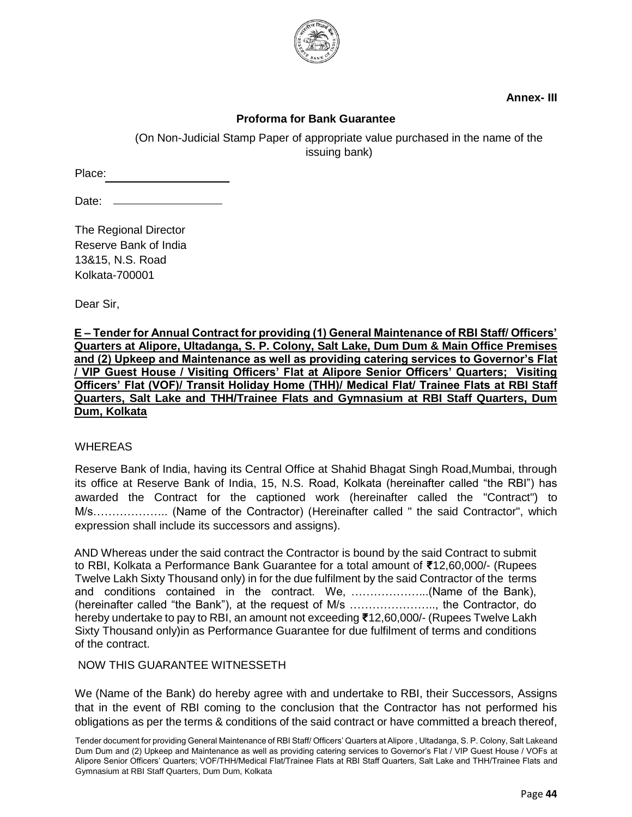

**Annex- III** 

#### **Proforma for Bank Guarantee**

(On Non-Judicial Stamp Paper of appropriate value purchased in the name of the issuing bank)

Place:

Date: \_

The Regional Director Reserve Bank of India 13&15, N.S. Road Kolkata-700001

Dear Sir,

**E – Tender for Annual Contract for providing (1) General Maintenance of RBI Staff/ Officers' Quarters at Alipore, Ultadanga, S. P. Colony, Salt Lake, Dum Dum & Main Office Premises and (2) Upkeep and Maintenance as well as providing catering services to Governor's Flat / VIP Guest House / Visiting Officers' Flat at Alipore Senior Officers' Quarters; Visiting Officers' Flat (VOF)/ Transit Holiday Home (THH)/ Medical Flat/ Trainee Flats at RBI Staff Quarters, Salt Lake and THH/Trainee Flats and Gymnasium at RBI Staff Quarters, Dum Dum, Kolkata**

#### WHEREAS

Reserve Bank of India, having its Central Office at Shahid Bhagat Singh Road,Mumbai, through its office at Reserve Bank of India, 15, N.S. Road, Kolkata (hereinafter called "the RBI") has awarded the Contract for the captioned work (hereinafter called the "Contract") to M/s……………….. (Name of the Contractor) (Hereinafter called " the said Contractor", which expression shall include its successors and assigns).

AND Whereas under the said contract the Contractor is bound by the said Contract to submit to RBI, Kolkata a Performance Bank Guarantee for a total amount of **₹**12,60,000/- (Rupees Twelve Lakh Sixty Thousand only) in for the due fulfilment by the said Contractor of the terms and conditions contained in the contract. We, ………………...(Name of the Bank), (hereinafter called "the Bank"), at the request of M/s ………………….., the Contractor, do hereby undertake to pay to RBI, an amount not exceeding **₹**12,60,000/- (Rupees Twelve Lakh Sixty Thousand only)in as Performance Guarantee for due fulfilment of terms and conditions of the contract.

#### NOW THIS GUARANTEE WITNESSETH

We (Name of the Bank) do hereby agree with and undertake to RBI, their Successors, Assigns that in the event of RBI coming to the conclusion that the Contractor has not performed his obligations as per the terms & conditions of the said contract or have committed a breach thereof,

Tender document for providing General Maintenance of RBI Staff/ Officers' Quarters at Alipore , Ultadanga, S. P. Colony, Salt Lakeand Dum Dum and (2) Upkeep and Maintenance as well as providing catering services to Governor's Flat / VIP Guest House / VOFs at Alipore Senior Officers' Quarters; VOF/THH/Medical Flat/Trainee Flats at RBI Staff Quarters, Salt Lake and THH/Trainee Flats and Gymnasium at RBI Staff Quarters, Dum Dum, Kolkata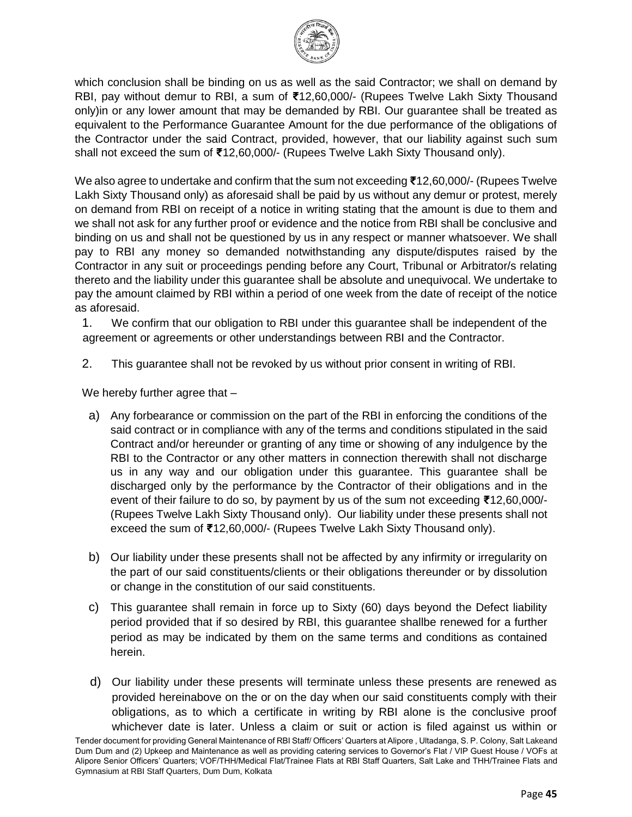

which conclusion shall be binding on us as well as the said Contractor; we shall on demand by RBI, pay without demur to RBI, a sum of **₹**12,60,000/- (Rupees Twelve Lakh Sixty Thousand only)in or any lower amount that may be demanded by RBI. Our guarantee shall be treated as equivalent to the Performance Guarantee Amount for the due performance of the obligations of the Contractor under the said Contract, provided, however, that our liability against such sum shall not exceed the sum of **₹**12,60,000/- (Rupees Twelve Lakh Sixty Thousand only).

We also agree to undertake and confirm that the sum not exceeding **₹**12,60,000/- (Rupees Twelve Lakh Sixty Thousand only) as aforesaid shall be paid by us without any demur or protest, merely on demand from RBI on receipt of a notice in writing stating that the amount is due to them and we shall not ask for any further proof or evidence and the notice from RBI shall be conclusive and binding on us and shall not be questioned by us in any respect or manner whatsoever. We shall pay to RBI any money so demanded notwithstanding any dispute/disputes raised by the Contractor in any suit or proceedings pending before any Court, Tribunal or Arbitrator/s relating thereto and the liability under this guarantee shall be absolute and unequivocal. We undertake to pay the amount claimed by RBI within a period of one week from the date of receipt of the notice as aforesaid.

1. We confirm that our obligation to RBI under this guarantee shall be independent of the agreement or agreements or other understandings between RBI and the Contractor.

2. This guarantee shall not be revoked by us without prior consent in writing of RBI.

We hereby further agree that -

- a) Any forbearance or commission on the part of the RBI in enforcing the conditions of the said contract or in compliance with any of the terms and conditions stipulated in the said Contract and/or hereunder or granting of any time or showing of any indulgence by the RBI to the Contractor or any other matters in connection therewith shall not discharge us in any way and our obligation under this guarantee. This guarantee shall be discharged only by the performance by the Contractor of their obligations and in the event of their failure to do so, by payment by us of the sum not exceeding **₹**12,60,000/- (Rupees Twelve Lakh Sixty Thousand only). Our liability under these presents shall not exceed the sum of **₹**12,60,000/- (Rupees Twelve Lakh Sixty Thousand only).
- b) Our liability under these presents shall not be affected by any infirmity or irregularity on the part of our said constituents/clients or their obligations thereunder or by dissolution or change in the constitution of our said constituents.
- c) This guarantee shall remain in force up to Sixty (60) days beyond the Defect liability period provided that if so desired by RBI, this guarantee shallbe renewed for a further period as may be indicated by them on the same terms and conditions as contained herein.
- d) Our liability under these presents will terminate unless these presents are renewed as provided hereinabove on the or on the day when our said constituents comply with their obligations, as to which a certificate in writing by RBI alone is the conclusive proof whichever date is later. Unless a claim or suit or action is filed against us within or

Tender document for providing General Maintenance of RBI Staff/ Officers' Quarters at Alipore , Ultadanga, S. P. Colony, Salt Lakeand Dum Dum and (2) Upkeep and Maintenance as well as providing catering services to Governor's Flat / VIP Guest House / VOFs at Alipore Senior Officers' Quarters; VOF/THH/Medical Flat/Trainee Flats at RBI Staff Quarters, Salt Lake and THH/Trainee Flats and Gymnasium at RBI Staff Quarters, Dum Dum, Kolkata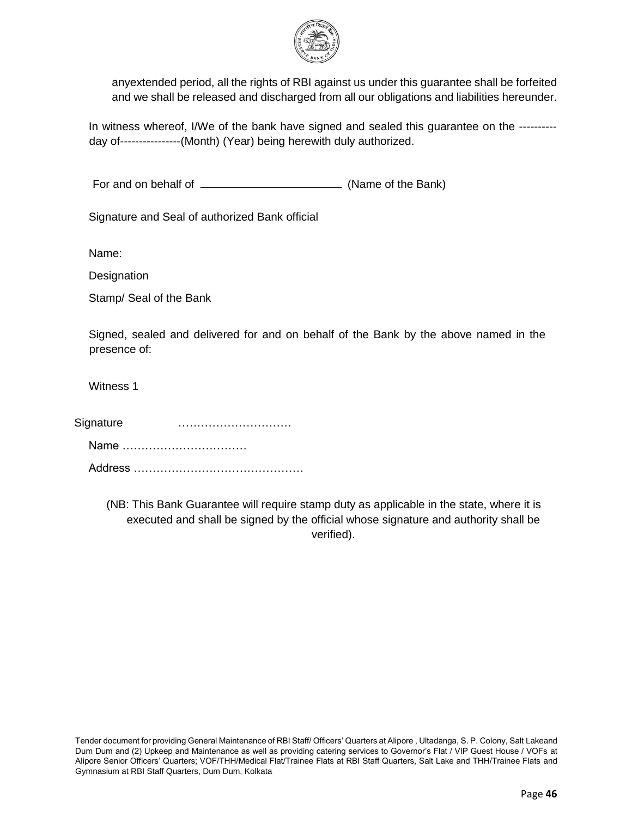

anyextended period, all the rights of RBI against us under this guarantee shall be forfeited and we shall be released and discharged from all our obligations and liabilities hereunder.

In witness whereof, I/We of the bank have signed and sealed this guarantee on the ---------day of----------------(Month) (Year) being herewith duly authorized.

For and on behalf of  $\frac{1}{1}$  (Name of the Bank)

Signature and Seal of authorized Bank official

Name:

**Designation** 

Stamp/ Seal of the Bank

Signed, sealed and delivered for and on behalf of the Bank by the above named in the presence of:

Witness 1

Signature **manufacture Signature with the signature with the signature**  $\cdots$ Name …………………………… Address ………………………………………

> (NB: This Bank Guarantee will require stamp duty as applicable in the state, where it is executed and shall be signed by the official whose signature and authority shall be verified).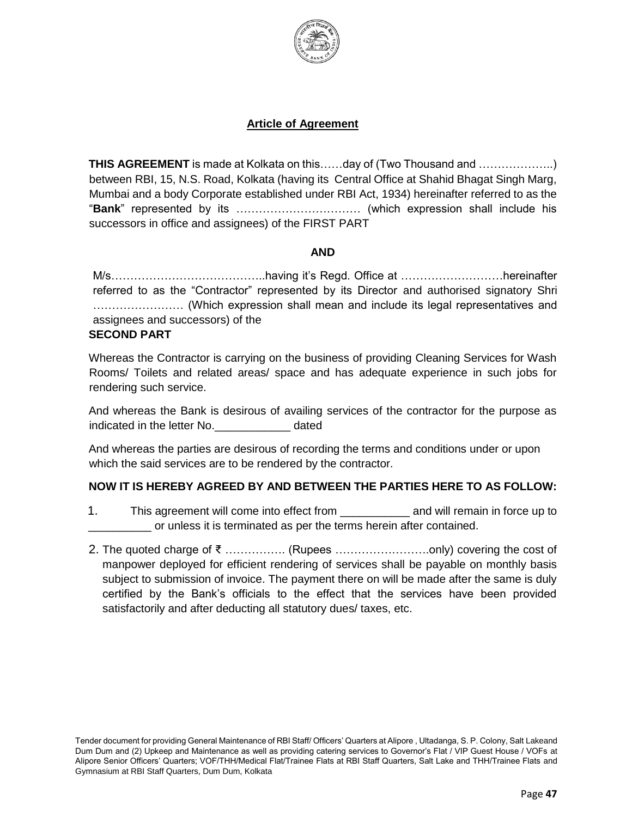

#### **Article of Agreement**

**THIS AGREEMENT** is made at Kolkata on this……day of (Two Thousand and ………………..) between RBI, 15, N.S. Road, Kolkata (having its Central Office at Shahid Bhagat Singh Marg, Mumbai and a body Corporate established under RBI Act, 1934) hereinafter referred to as the "**Bank**" represented by its …………………………… (which expression shall include his successors in office and assignees) of the FIRST PART

#### **AND**

M/s…………………………………..having it's Regd. Office at ………………………hereinafter referred to as the "Contractor" represented by its Director and authorised signatory Shri …………………… (Which expression shall mean and include its legal representatives and assignees and successors) of the

#### **SECOND PART**

Whereas the Contractor is carrying on the business of providing Cleaning Services for Wash Rooms/ Toilets and related areas/ space and has adequate experience in such jobs for rendering such service.

And whereas the Bank is desirous of availing services of the contractor for the purpose as indicated in the letter No. The stated dated

And whereas the parties are desirous of recording the terms and conditions under or upon which the said services are to be rendered by the contractor.

#### **NOW IT IS HEREBY AGREED BY AND BETWEEN THE PARTIES HERE TO AS FOLLOW:**

- 1. This agreement will come into effect from \_\_\_\_\_\_\_\_\_\_\_\_\_ and will remain in force up to \_\_\_\_\_\_\_\_\_\_ or unless it is terminated as per the terms herein after contained.
- 2. The quoted charge of ₹ ……………. (Rupees …………………….only) covering the cost of manpower deployed for efficient rendering of services shall be payable on monthly basis subject to submission of invoice. The payment there on will be made after the same is duly certified by the Bank's officials to the effect that the services have been provided satisfactorily and after deducting all statutory dues/ taxes, etc.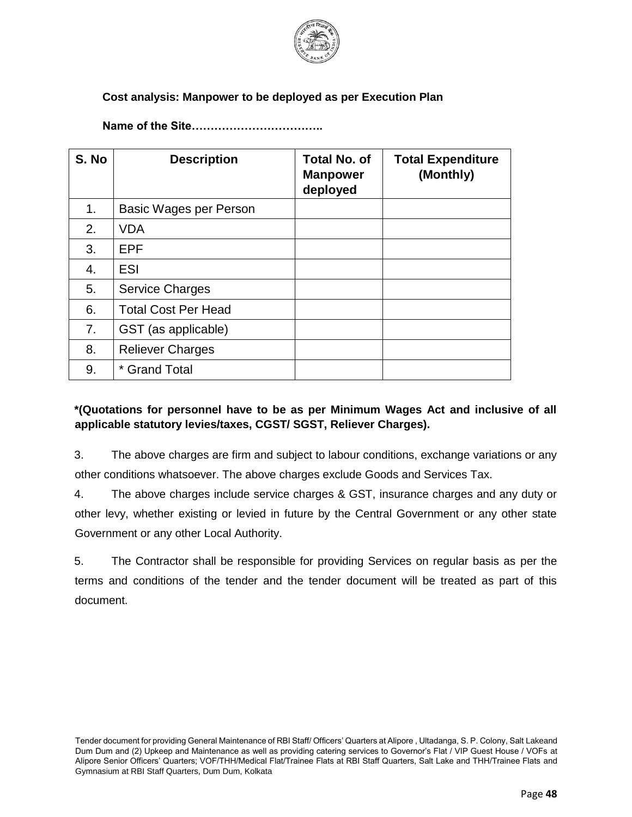

### **Cost analysis: Manpower to be deployed as per Execution Plan**

**Name of the Site……………………………..**

| S. No | <b>Description</b>         | <b>Total No. of</b><br><b>Manpower</b><br>deployed | <b>Total Expenditure</b><br>(Monthly) |
|-------|----------------------------|----------------------------------------------------|---------------------------------------|
| 1.    | Basic Wages per Person     |                                                    |                                       |
| 2.    | <b>VDA</b>                 |                                                    |                                       |
| 3.    | <b>EPF</b>                 |                                                    |                                       |
| 4.    | <b>ESI</b>                 |                                                    |                                       |
| 5.    | <b>Service Charges</b>     |                                                    |                                       |
| 6.    | <b>Total Cost Per Head</b> |                                                    |                                       |
| 7.    | GST (as applicable)        |                                                    |                                       |
| 8.    | <b>Reliever Charges</b>    |                                                    |                                       |
| 9.    | * Grand Total              |                                                    |                                       |

# **\*(Quotations for personnel have to be as per Minimum Wages Act and inclusive of all applicable statutory levies/taxes, CGST/ SGST, Reliever Charges).**

3. The above charges are firm and subject to labour conditions, exchange variations or any other conditions whatsoever. The above charges exclude Goods and Services Tax.

4. The above charges include service charges & GST, insurance charges and any duty or other levy, whether existing or levied in future by the Central Government or any other state Government or any other Local Authority.

5. The Contractor shall be responsible for providing Services on regular basis as per the terms and conditions of the tender and the tender document will be treated as part of this document.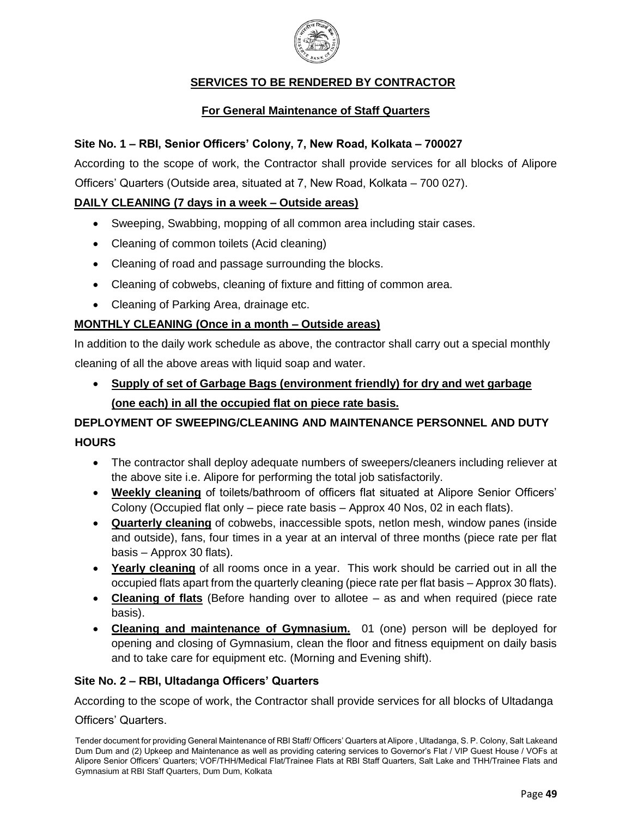

# **SERVICES TO BE RENDERED BY CONTRACTOR**

## **For General Maintenance of Staff Quarters**

#### **Site No. 1 – RBI, Senior Officers' Colony, 7, New Road, Kolkata – 700027**

According to the scope of work, the Contractor shall provide services for all blocks of Alipore Officers' Quarters (Outside area, situated at 7, New Road, Kolkata – 700 027).

#### **DAILY CLEANING (7 days in a week – Outside areas)**

- Sweeping, Swabbing, mopping of all common area including stair cases.
- Cleaning of common toilets (Acid cleaning)
- Cleaning of road and passage surrounding the blocks.
- Cleaning of cobwebs, cleaning of fixture and fitting of common area.
- Cleaning of Parking Area, drainage etc.

#### **MONTHLY CLEANING (Once in a month – Outside areas)**

In addition to the daily work schedule as above, the contractor shall carry out a special monthly cleaning of all the above areas with liquid soap and water.

 **Supply of set of Garbage Bags (environment friendly) for dry and wet garbage (one each) in all the occupied flat on piece rate basis.**

# **DEPLOYMENT OF SWEEPING/CLEANING AND MAINTENANCE PERSONNEL AND DUTY HOURS**

- The contractor shall deploy adequate numbers of sweepers/cleaners including reliever at the above site i.e. Alipore for performing the total job satisfactorily.
- **Weekly cleaning** of toilets/bathroom of officers flat situated at Alipore Senior Officers' Colony (Occupied flat only – piece rate basis – Approx 40 Nos, 02 in each flats).
- **Quarterly cleaning** of cobwebs, inaccessible spots, netlon mesh, window panes (inside and outside), fans, four times in a year at an interval of three months (piece rate per flat basis – Approx 30 flats).
- **Yearly cleaning** of all rooms once in a year. This work should be carried out in all the occupied flats apart from the quarterly cleaning (piece rate per flat basis – Approx 30 flats).
- **Cleaning of flats** (Before handing over to allotee as and when required (piece rate basis).
- **Cleaning and maintenance of Gymnasium.** 01 (one) person will be deployed for opening and closing of Gymnasium, clean the floor and fitness equipment on daily basis and to take care for equipment etc. (Morning and Evening shift).

#### **Site No. 2 – RBI, Ultadanga Officers' Quarters**

According to the scope of work, the Contractor shall provide services for all blocks of Ultadanga

#### Officers' Quarters.

Tender document for providing General Maintenance of RBI Staff/ Officers' Quarters at Alipore , Ultadanga, S. P. Colony, Salt Lakeand Dum Dum and (2) Upkeep and Maintenance as well as providing catering services to Governor's Flat / VIP Guest House / VOFs at Alipore Senior Officers' Quarters; VOF/THH/Medical Flat/Trainee Flats at RBI Staff Quarters, Salt Lake and THH/Trainee Flats and Gymnasium at RBI Staff Quarters, Dum Dum, Kolkata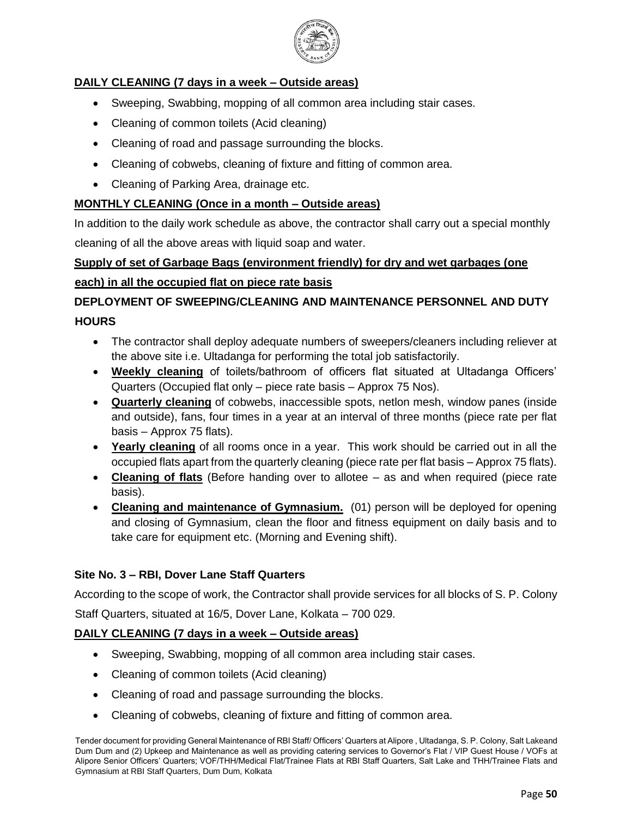

# **DAILY CLEANING (7 days in a week – Outside areas)**

- Sweeping, Swabbing, mopping of all common area including stair cases.
- Cleaning of common toilets (Acid cleaning)
- Cleaning of road and passage surrounding the blocks.
- Cleaning of cobwebs, cleaning of fixture and fitting of common area.
- Cleaning of Parking Area, drainage etc.

### **MONTHLY CLEANING (Once in a month – Outside areas)**

In addition to the daily work schedule as above, the contractor shall carry out a special monthly cleaning of all the above areas with liquid soap and water.

# **Supply of set of Garbage Bags (environment friendly) for dry and wet garbages (one each) in all the occupied flat on piece rate basis**

# **DEPLOYMENT OF SWEEPING/CLEANING AND MAINTENANCE PERSONNEL AND DUTY HOURS**

- The contractor shall deploy adequate numbers of sweepers/cleaners including reliever at the above site i.e. Ultadanga for performing the total job satisfactorily.
- **Weekly cleaning** of toilets/bathroom of officers flat situated at Ultadanga Officers' Quarters (Occupied flat only – piece rate basis – Approx 75 Nos).
- **Quarterly cleaning** of cobwebs, inaccessible spots, netlon mesh, window panes (inside and outside), fans, four times in a year at an interval of three months (piece rate per flat basis – Approx 75 flats).
- **Yearly cleaning** of all rooms once in a year. This work should be carried out in all the occupied flats apart from the quarterly cleaning (piece rate per flat basis – Approx 75 flats).
- **Cleaning of flats** (Before handing over to allotee as and when required (piece rate basis).
- **Cleaning and maintenance of Gymnasium.** (01) person will be deployed for opening and closing of Gymnasium, clean the floor and fitness equipment on daily basis and to take care for equipment etc. (Morning and Evening shift).

### **Site No. 3 – RBI, Dover Lane Staff Quarters**

According to the scope of work, the Contractor shall provide services for all blocks of S. P. Colony Staff Quarters, situated at 16/5, Dover Lane, Kolkata – 700 029.

### **DAILY CLEANING (7 days in a week – Outside areas)**

- Sweeping, Swabbing, mopping of all common area including stair cases.
- Cleaning of common toilets (Acid cleaning)
- Cleaning of road and passage surrounding the blocks.
- Cleaning of cobwebs, cleaning of fixture and fitting of common area.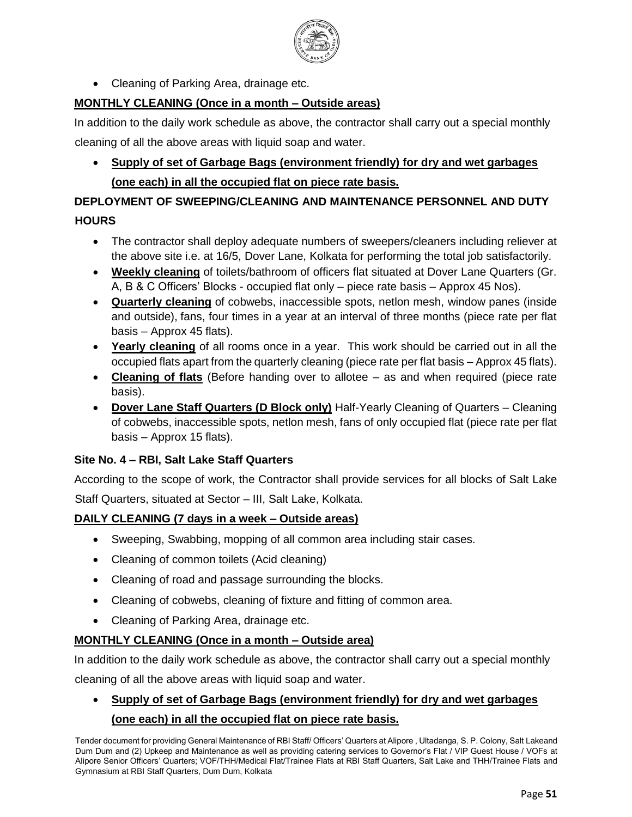

• Cleaning of Parking Area, drainage etc.

# **MONTHLY CLEANING (Once in a month – Outside areas)**

In addition to the daily work schedule as above, the contractor shall carry out a special monthly cleaning of all the above areas with liquid soap and water.

 **Supply of set of Garbage Bags (environment friendly) for dry and wet garbages (one each) in all the occupied flat on piece rate basis.**

# **DEPLOYMENT OF SWEEPING/CLEANING AND MAINTENANCE PERSONNEL AND DUTY HOURS**

- The contractor shall deploy adequate numbers of sweepers/cleaners including reliever at the above site i.e. at 16/5, Dover Lane, Kolkata for performing the total job satisfactorily.
- **Weekly cleaning** of toilets/bathroom of officers flat situated at Dover Lane Quarters (Gr. A, B & C Officers' Blocks - occupied flat only – piece rate basis – Approx 45 Nos).
- **Quarterly cleaning** of cobwebs, inaccessible spots, netlon mesh, window panes (inside and outside), fans, four times in a year at an interval of three months (piece rate per flat basis – Approx 45 flats).
- **Yearly cleaning** of all rooms once in a year. This work should be carried out in all the occupied flats apart from the quarterly cleaning (piece rate per flat basis – Approx 45 flats).
- **Cleaning of flats** (Before handing over to allotee as and when required (piece rate basis).
- **Dover Lane Staff Quarters (D Block only)** Half-Yearly Cleaning of Quarters Cleaning of cobwebs, inaccessible spots, netlon mesh, fans of only occupied flat (piece rate per flat basis – Approx 15 flats).

### **Site No. 4 – RBI, Salt Lake Staff Quarters**

According to the scope of work, the Contractor shall provide services for all blocks of Salt Lake Staff Quarters, situated at Sector – III, Salt Lake, Kolkata.

### **DAILY CLEANING (7 days in a week – Outside areas)**

- Sweeping, Swabbing, mopping of all common area including stair cases.
- Cleaning of common toilets (Acid cleaning)
- Cleaning of road and passage surrounding the blocks.
- Cleaning of cobwebs, cleaning of fixture and fitting of common area.
- Cleaning of Parking Area, drainage etc.

### **MONTHLY CLEANING (Once in a month – Outside area)**

In addition to the daily work schedule as above, the contractor shall carry out a special monthly

cleaning of all the above areas with liquid soap and water.

# **Supply of set of Garbage Bags (environment friendly) for dry and wet garbages (one each) in all the occupied flat on piece rate basis.**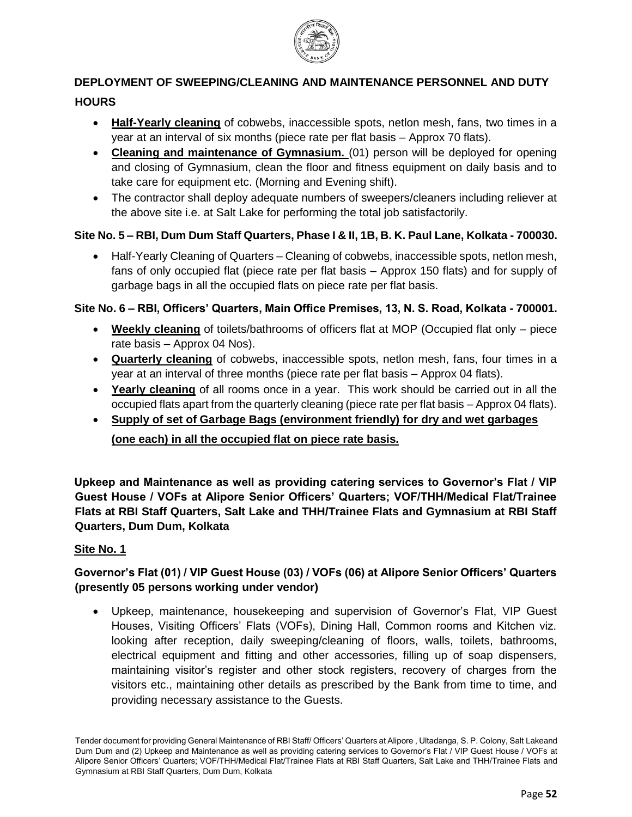

# **DEPLOYMENT OF SWEEPING/CLEANING AND MAINTENANCE PERSONNEL AND DUTY HOURS**

- **Half-Yearly cleaning** of cobwebs, inaccessible spots, netlon mesh, fans, two times in a year at an interval of six months (piece rate per flat basis – Approx 70 flats).
- **Cleaning and maintenance of Gymnasium.** (01) person will be deployed for opening and closing of Gymnasium, clean the floor and fitness equipment on daily basis and to take care for equipment etc. (Morning and Evening shift).
- The contractor shall deploy adequate numbers of sweepers/cleaners including reliever at the above site i.e. at Salt Lake for performing the total job satisfactorily.

# **Site No. 5 – RBI, Dum Dum Staff Quarters, Phase I & II, 1B, B. K. Paul Lane, Kolkata - 700030.**

 Half-Yearly Cleaning of Quarters – Cleaning of cobwebs, inaccessible spots, netlon mesh, fans of only occupied flat (piece rate per flat basis – Approx 150 flats) and for supply of garbage bags in all the occupied flats on piece rate per flat basis.

#### **Site No. 6 – RBI, Officers' Quarters, Main Office Premises, 13, N. S. Road, Kolkata - 700001.**

- **Weekly cleaning** of toilets/bathrooms of officers flat at MOP (Occupied flat only piece rate basis – Approx 04 Nos).
- **Quarterly cleaning** of cobwebs, inaccessible spots, netlon mesh, fans, four times in a year at an interval of three months (piece rate per flat basis – Approx 04 flats).
- **Yearly cleaning** of all rooms once in a year. This work should be carried out in all the occupied flats apart from the quarterly cleaning (piece rate per flat basis – Approx 04 flats).
- **Supply of set of Garbage Bags (environment friendly) for dry and wet garbages (one each) in all the occupied flat on piece rate basis.**

**Upkeep and Maintenance as well as providing catering services to Governor's Flat / VIP Guest House / VOFs at Alipore Senior Officers' Quarters; VOF/THH/Medical Flat/Trainee Flats at RBI Staff Quarters, Salt Lake and THH/Trainee Flats and Gymnasium at RBI Staff Quarters, Dum Dum, Kolkata**

#### **Site No. 1**

# **Governor's Flat (01) / VIP Guest House (03) / VOFs (06) at Alipore Senior Officers' Quarters (presently 05 persons working under vendor)**

 Upkeep, maintenance, housekeeping and supervision of Governor's Flat, VIP Guest Houses, Visiting Officers' Flats (VOFs), Dining Hall, Common rooms and Kitchen viz. looking after reception, daily sweeping/cleaning of floors, walls, toilets, bathrooms, electrical equipment and fitting and other accessories, filling up of soap dispensers, maintaining visitor's register and other stock registers, recovery of charges from the visitors etc., maintaining other details as prescribed by the Bank from time to time, and providing necessary assistance to the Guests.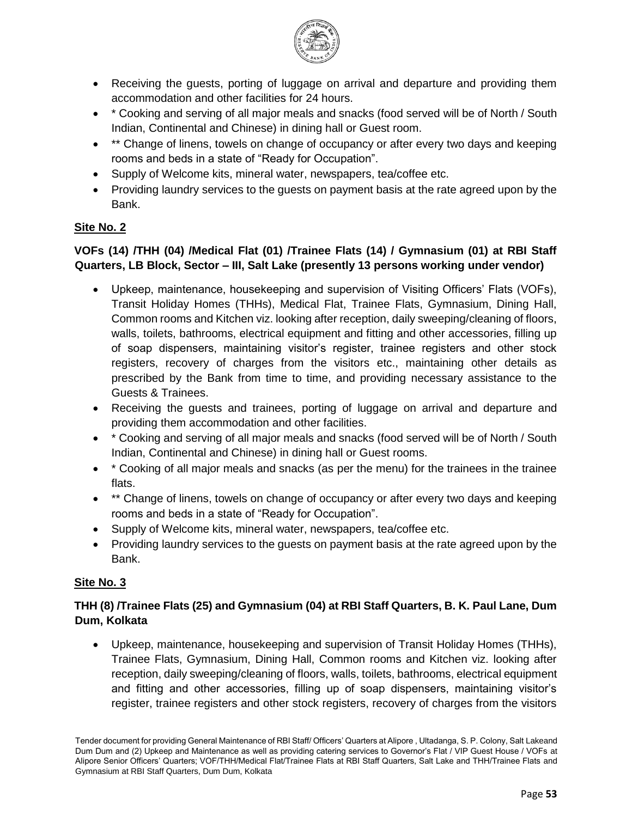

- Receiving the guests, porting of luggage on arrival and departure and providing them accommodation and other facilities for 24 hours.
- \* Cooking and serving of all major meals and snacks (food served will be of North / South Indian, Continental and Chinese) in dining hall or Guest room.
- \*\* Change of linens, towels on change of occupancy or after every two days and keeping rooms and beds in a state of "Ready for Occupation".
- Supply of Welcome kits, mineral water, newspapers, tea/coffee etc.
- Providing laundry services to the quests on payment basis at the rate agreed upon by the Bank.

# **Site No. 2**

## **VOFs (14) /THH (04) /Medical Flat (01) /Trainee Flats (14) / Gymnasium (01) at RBI Staff Quarters, LB Block, Sector – III, Salt Lake (presently 13 persons working under vendor)**

- Upkeep, maintenance, housekeeping and supervision of Visiting Officers' Flats (VOFs), Transit Holiday Homes (THHs), Medical Flat, Trainee Flats, Gymnasium, Dining Hall, Common rooms and Kitchen viz. looking after reception, daily sweeping/cleaning of floors, walls, toilets, bathrooms, electrical equipment and fitting and other accessories, filling up of soap dispensers, maintaining visitor's register, trainee registers and other stock registers, recovery of charges from the visitors etc., maintaining other details as prescribed by the Bank from time to time, and providing necessary assistance to the Guests & Trainees.
- Receiving the guests and trainees, porting of luggage on arrival and departure and providing them accommodation and other facilities.
- \* Cooking and serving of all major meals and snacks (food served will be of North / South Indian, Continental and Chinese) in dining hall or Guest rooms.
- \* Cooking of all major meals and snacks (as per the menu) for the trainees in the trainee flats.
- \*\* Change of linens, towels on change of occupancy or after every two days and keeping rooms and beds in a state of "Ready for Occupation".
- Supply of Welcome kits, mineral water, newspapers, tea/coffee etc.
- Providing laundry services to the guests on payment basis at the rate agreed upon by the Bank.

### **Site No. 3**

# **THH (8) /Trainee Flats (25) and Gymnasium (04) at RBI Staff Quarters, B. K. Paul Lane, Dum Dum, Kolkata**

 Upkeep, maintenance, housekeeping and supervision of Transit Holiday Homes (THHs), Trainee Flats, Gymnasium, Dining Hall, Common rooms and Kitchen viz. looking after reception, daily sweeping/cleaning of floors, walls, toilets, bathrooms, electrical equipment and fitting and other accessories, filling up of soap dispensers, maintaining visitor's register, trainee registers and other stock registers, recovery of charges from the visitors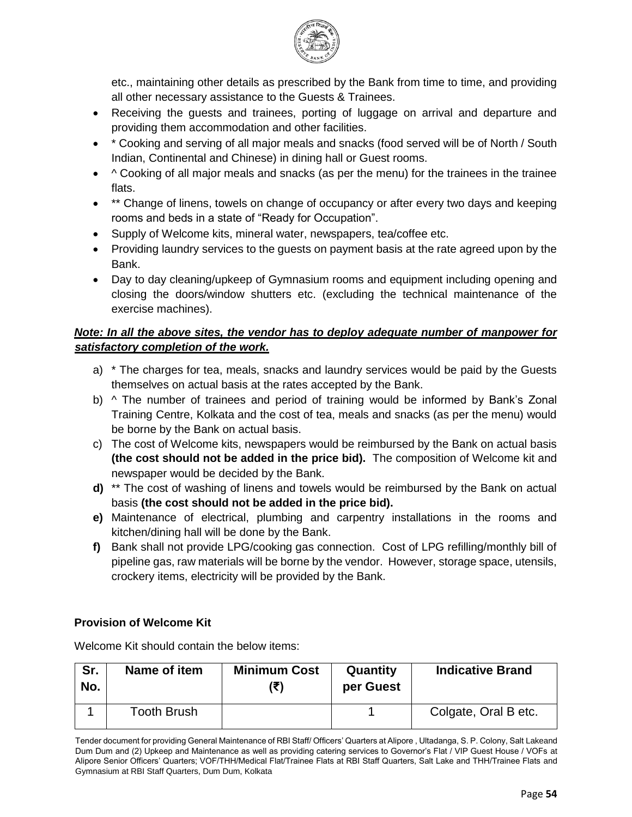

etc., maintaining other details as prescribed by the Bank from time to time, and providing all other necessary assistance to the Guests & Trainees.

- Receiving the guests and trainees, porting of luggage on arrival and departure and providing them accommodation and other facilities.
- \* Cooking and serving of all major meals and snacks (food served will be of North / South Indian, Continental and Chinese) in dining hall or Guest rooms.
- $\bullet$  ^ Cooking of all major meals and snacks (as per the menu) for the trainees in the trainee flats.
- \*\* Change of linens, towels on change of occupancy or after every two days and keeping rooms and beds in a state of "Ready for Occupation".
- Supply of Welcome kits, mineral water, newspapers, tea/coffee etc.
- Providing laundry services to the guests on payment basis at the rate agreed upon by the Bank.
- Day to day cleaning/upkeep of Gymnasium rooms and equipment including opening and closing the doors/window shutters etc. (excluding the technical maintenance of the exercise machines).

# *Note: In all the above sites, the vendor has to deploy adequate number of manpower for satisfactory completion of the work.*

- a) \* The charges for tea, meals, snacks and laundry services would be paid by the Guests themselves on actual basis at the rates accepted by the Bank.
- b) ^ The number of trainees and period of training would be informed by Bank's Zonal Training Centre, Kolkata and the cost of tea, meals and snacks (as per the menu) would be borne by the Bank on actual basis.
- c) The cost of Welcome kits, newspapers would be reimbursed by the Bank on actual basis **(the cost should not be added in the price bid).** The composition of Welcome kit and newspaper would be decided by the Bank.
- **d)** \*\* The cost of washing of linens and towels would be reimbursed by the Bank on actual basis **(the cost should not be added in the price bid).**
- **e)** Maintenance of electrical, plumbing and carpentry installations in the rooms and kitchen/dining hall will be done by the Bank.
- **f)** Bank shall not provide LPG/cooking gas connection. Cost of LPG refilling/monthly bill of pipeline gas, raw materials will be borne by the vendor. However, storage space, utensils, crockery items, electricity will be provided by the Bank.

### **Provision of Welcome Kit**

Welcome Kit should contain the below items:

| Sr.<br>No. | Name of item       | <b>Minimum Cost</b> | Quantity<br>per Guest | <b>Indicative Brand</b> |
|------------|--------------------|---------------------|-----------------------|-------------------------|
|            | <b>Tooth Brush</b> |                     |                       | Colgate, Oral B etc.    |

Tender document for providing General Maintenance of RBI Staff/ Officers' Quarters at Alipore , Ultadanga, S. P. Colony, Salt Lakeand Dum Dum and (2) Upkeep and Maintenance as well as providing catering services to Governor's Flat / VIP Guest House / VOFs at Alipore Senior Officers' Quarters; VOF/THH/Medical Flat/Trainee Flats at RBI Staff Quarters, Salt Lake and THH/Trainee Flats and Gymnasium at RBI Staff Quarters, Dum Dum, Kolkata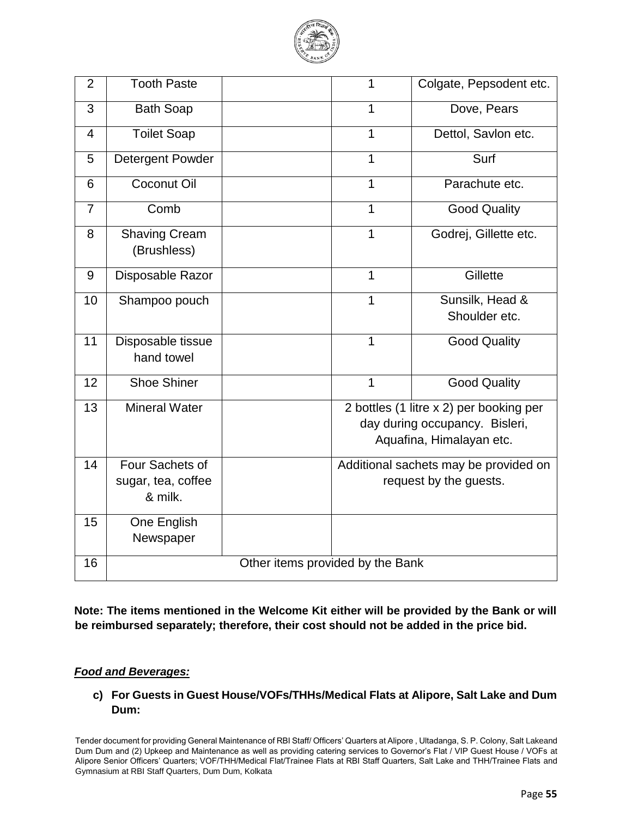

| $\overline{2}$ | <b>Tooth Paste</b>                               |                                  | 1            | Colgate, Pepsodent etc.                                                                               |
|----------------|--------------------------------------------------|----------------------------------|--------------|-------------------------------------------------------------------------------------------------------|
| 3              | <b>Bath Soap</b>                                 |                                  | 1            | Dove, Pears                                                                                           |
| 4              | <b>Toilet Soap</b>                               |                                  | 1            | Dettol, Savlon etc.                                                                                   |
| 5              | <b>Detergent Powder</b>                          |                                  | $\mathbf{1}$ | Surf                                                                                                  |
| 6              | <b>Coconut Oil</b>                               |                                  | 1            | Parachute etc.                                                                                        |
| $\overline{7}$ | Comb                                             |                                  | 1            | <b>Good Quality</b>                                                                                   |
| 8              | <b>Shaving Cream</b><br>(Brushless)              |                                  | $\mathbf{1}$ | Godrej, Gillette etc.                                                                                 |
| 9              | Disposable Razor                                 |                                  | 1            | Gillette                                                                                              |
| 10             | Shampoo pouch                                    |                                  | 1            | Sunsilk, Head &<br>Shoulder etc.                                                                      |
| 11             | Disposable tissue<br>hand towel                  |                                  | $\mathbf{1}$ | <b>Good Quality</b>                                                                                   |
| 12             | <b>Shoe Shiner</b>                               |                                  | $\mathbf{1}$ | <b>Good Quality</b>                                                                                   |
| 13             | <b>Mineral Water</b>                             |                                  |              | 2 bottles (1 litre x 2) per booking per<br>day during occupancy. Bisleri,<br>Aquafina, Himalayan etc. |
| 14             | Four Sachets of<br>sugar, tea, coffee<br>& milk. |                                  |              | Additional sachets may be provided on<br>request by the guests.                                       |
| 15             | One English<br>Newspaper                         |                                  |              |                                                                                                       |
| 16             |                                                  | Other items provided by the Bank |              |                                                                                                       |

**Note: The items mentioned in the Welcome Kit either will be provided by the Bank or will be reimbursed separately; therefore, their cost should not be added in the price bid.**

#### *Food and Beverages:*

**c) For Guests in Guest House/VOFs/THHs/Medical Flats at Alipore, Salt Lake and Dum Dum:**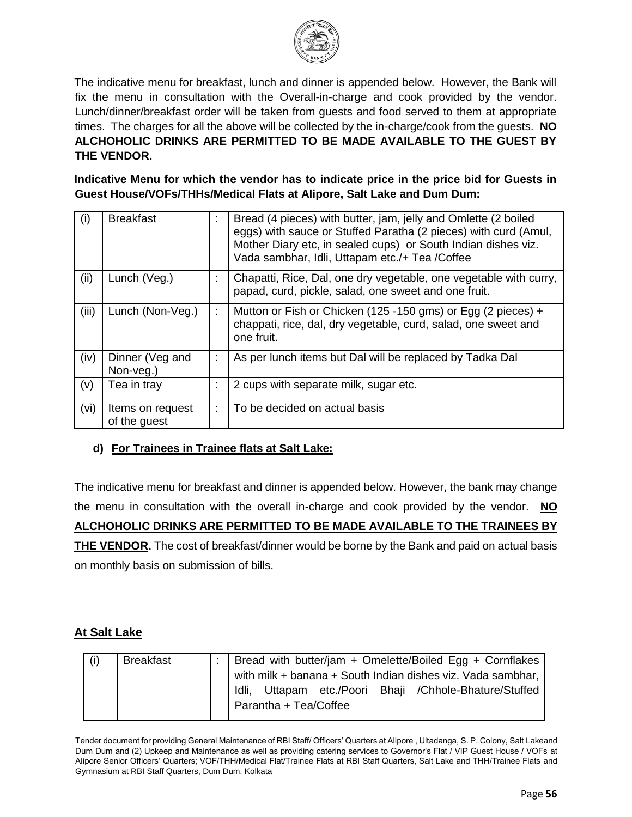

The indicative menu for breakfast, lunch and dinner is appended below. However, the Bank will fix the menu in consultation with the Overall-in-charge and cook provided by the vendor. Lunch/dinner/breakfast order will be taken from guests and food served to them at appropriate times. The charges for all the above will be collected by the in-charge/cook from the guests. **NO ALCHOHOLIC DRINKS ARE PERMITTED TO BE MADE AVAILABLE TO THE GUEST BY THE VENDOR.**

**Indicative Menu for which the vendor has to indicate price in the price bid for Guests in Guest House/VOFs/THHs/Medical Flats at Alipore, Salt Lake and Dum Dum:**

| (i)   | <b>Breakfast</b>                 | t. | Bread (4 pieces) with butter, jam, jelly and Omlette (2 boiled<br>eggs) with sauce or Stuffed Paratha (2 pieces) with curd (Amul,<br>Mother Diary etc, in sealed cups) or South Indian dishes viz.<br>Vada sambhar, Idli, Uttapam etc./+ Tea /Coffee |
|-------|----------------------------------|----|------------------------------------------------------------------------------------------------------------------------------------------------------------------------------------------------------------------------------------------------------|
| (ii)  | Lunch (Veg.)                     |    | Chapatti, Rice, Dal, one dry vegetable, one vegetable with curry,<br>papad, curd, pickle, salad, one sweet and one fruit.                                                                                                                            |
| (iii) | Lunch (Non-Veg.)                 |    | Mutton or Fish or Chicken (125 -150 gms) or Egg (2 pieces) +<br>chappati, rice, dal, dry vegetable, curd, salad, one sweet and<br>one fruit.                                                                                                         |
| (iv)  | Dinner (Veg and<br>Non-veg.)     |    | As per lunch items but Dal will be replaced by Tadka Dal                                                                                                                                                                                             |
| (v)   | Tea in tray                      | ٠  | 2 cups with separate milk, sugar etc.                                                                                                                                                                                                                |
| (vi)  | Items on request<br>of the guest |    | To be decided on actual basis                                                                                                                                                                                                                        |

### **d) For Trainees in Trainee flats at Salt Lake:**

The indicative menu for breakfast and dinner is appended below. However, the bank may change the menu in consultation with the overall in-charge and cook provided by the vendor. **NO ALCHOHOLIC DRINKS ARE PERMITTED TO BE MADE AVAILABLE TO THE TRAINEES BY THE VENDOR.** The cost of breakfast/dinner would be borne by the Bank and paid on actual basis on monthly basis on submission of bills.

### **At Salt Lake**

| <b>Breakfast</b> | :   Bread with butter/jam + Omelette/Boiled Egg + Cornflakes |
|------------------|--------------------------------------------------------------|
|                  | with milk + banana + South Indian dishes viz. Vada sambhar,  |
|                  | Idli, Uttapam etc./Poori Bhaji /Chhole-Bhature/Stuffed       |
|                  | Parantha + Tea/Coffee                                        |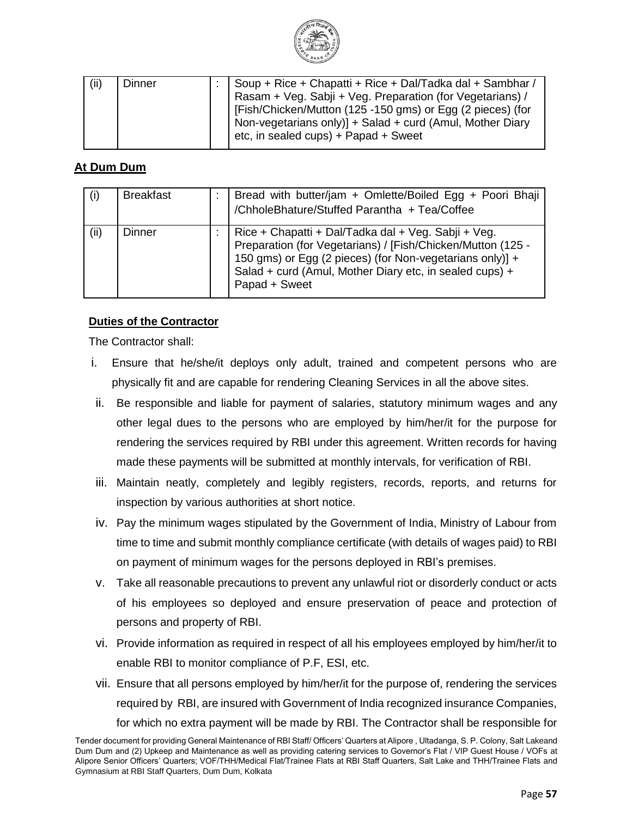

| (ii) | Dinner | Soup + Rice + Chapatti + Rice + Dal/Tadka dal + Sambhar /<br>Rasam + Veg. Sabji + Veg. Preparation (for Vegetarians) /<br>[Fish/Chicken/Mutton (125 -150 gms) or Egg (2 pieces) (for<br>Non-vegetarians only)] + Salad + curd (Amul, Mother Diary<br>etc, in sealed cups) + Papad + Sweet |
|------|--------|-------------------------------------------------------------------------------------------------------------------------------------------------------------------------------------------------------------------------------------------------------------------------------------------|
|      |        |                                                                                                                                                                                                                                                                                           |

# **At Dum Dum**

| (i)  | <b>Breakfast</b> | Bread with butter/jam + Omlette/Boiled Egg + Poori Bhaji<br>/ChholeBhature/Stuffed Parantha + Tea/Coffee                                                                                                                                                   |
|------|------------------|------------------------------------------------------------------------------------------------------------------------------------------------------------------------------------------------------------------------------------------------------------|
| (ii) | Dinner           | Rice + Chapatti + Dal/Tadka dal + Veg. Sabji + Veg.<br>Preparation (for Vegetarians) / [Fish/Chicken/Mutton (125 -<br>150 gms) or Egg (2 pieces) (for Non-vegetarians only)] +<br>Salad + curd (Amul, Mother Diary etc, in sealed cups) +<br>Papad + Sweet |

#### **Duties of the Contractor**

The Contractor shall:

- i. Ensure that he/she/it deploys only adult, trained and competent persons who are physically fit and are capable for rendering Cleaning Services in all the above sites.
- ii. Be responsible and liable for payment of salaries, statutory minimum wages and any other legal dues to the persons who are employed by him/her/it for the purpose for rendering the services required by RBI under this agreement. Written records for having made these payments will be submitted at monthly intervals, for verification of RBI.
- iii. Maintain neatly, completely and legibly registers, records, reports, and returns for inspection by various authorities at short notice.
- iv. Pay the minimum wages stipulated by the Government of India, Ministry of Labour from time to time and submit monthly compliance certificate (with details of wages paid) to RBI on payment of minimum wages for the persons deployed in RBI's premises.
- v. Take all reasonable precautions to prevent any unlawful riot or disorderly conduct or acts of his employees so deployed and ensure preservation of peace and protection of persons and property of RBI.
- vi. Provide information as required in respect of all his employees employed by him/her/it to enable RBI to monitor compliance of P.F, ESI, etc.
- vii. Ensure that all persons employed by him/her/it for the purpose of, rendering the services required by RBI, are insured with Government of India recognized insurance Companies, for which no extra payment will be made by RBI. The Contractor shall be responsible for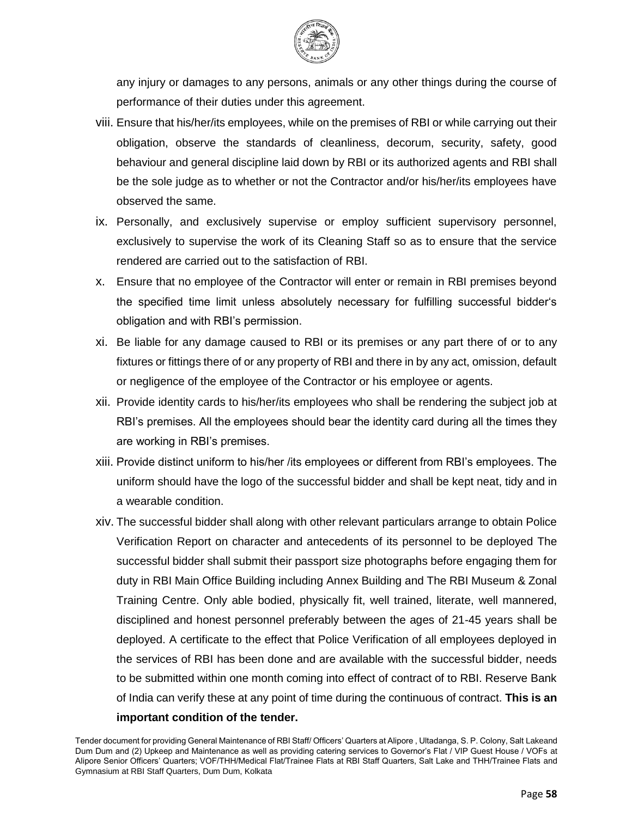

any injury or damages to any persons, animals or any other things during the course of performance of their duties under this agreement.

- viii. Ensure that his/her/its employees, while on the premises of RBI or while carrying out their obligation, observe the standards of cleanliness, decorum, security, safety, good behaviour and general discipline laid down by RBI or its authorized agents and RBI shall be the sole judge as to whether or not the Contractor and/or his/her/its employees have observed the same.
- ix. Personally, and exclusively supervise or employ sufficient supervisory personnel, exclusively to supervise the work of its Cleaning Staff so as to ensure that the service rendered are carried out to the satisfaction of RBI.
- x. Ensure that no employee of the Contractor will enter or remain in RBI premises beyond the specified time limit unless absolutely necessary for fulfilling successful bidder's obligation and with RBI's permission.
- xi. Be liable for any damage caused to RBI or its premises or any part there of or to any fixtures or fittings there of or any property of RBI and there in by any act, omission, default or negligence of the employee of the Contractor or his employee or agents.
- xii. Provide identity cards to his/her/its employees who shall be rendering the subject job at RBI's premises. All the employees should bear the identity card during all the times they are working in RBI's premises.
- xiii. Provide distinct uniform to his/her /its employees or different from RBI's employees. The uniform should have the logo of the successful bidder and shall be kept neat, tidy and in a wearable condition.
- xiv. The successful bidder shall along with other relevant particulars arrange to obtain Police Verification Report on character and antecedents of its personnel to be deployed The successful bidder shall submit their passport size photographs before engaging them for duty in RBI Main Office Building including Annex Building and The RBI Museum & Zonal Training Centre. Only able bodied, physically fit, well trained, literate, well mannered, disciplined and honest personnel preferably between the ages of 21-45 years shall be deployed. A certificate to the effect that Police Verification of all employees deployed in the services of RBI has been done and are available with the successful bidder, needs to be submitted within one month coming into effect of contract of to RBI. Reserve Bank of India can verify these at any point of time during the continuous of contract. **This is an important condition of the tender.**

Tender document for providing General Maintenance of RBI Staff/ Officers' Quarters at Alipore , Ultadanga, S. P. Colony, Salt Lakeand Dum Dum and (2) Upkeep and Maintenance as well as providing catering services to Governor's Flat / VIP Guest House / VOFs at Alipore Senior Officers' Quarters; VOF/THH/Medical Flat/Trainee Flats at RBI Staff Quarters, Salt Lake and THH/Trainee Flats and Gymnasium at RBI Staff Quarters, Dum Dum, Kolkata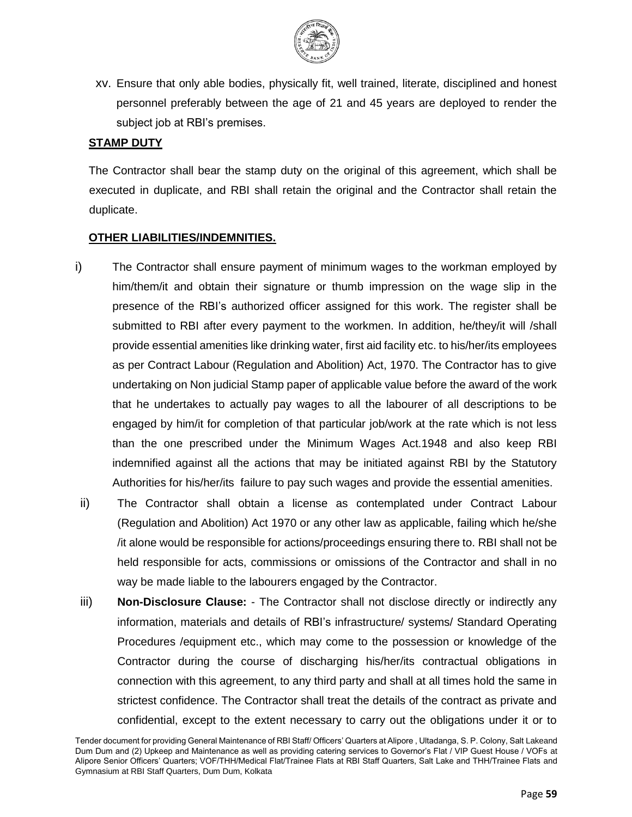

xv. Ensure that only able bodies, physically fit, well trained, literate, disciplined and honest personnel preferably between the age of 21 and 45 years are deployed to render the subject job at RBI's premises.

#### **STAMP DUTY**

The Contractor shall bear the stamp duty on the original of this agreement, which shall be executed in duplicate, and RBI shall retain the original and the Contractor shall retain the duplicate.

#### **OTHER LIABILITIES/INDEMNITIES.**

- i) The Contractor shall ensure payment of minimum wages to the workman employed by him/them/it and obtain their signature or thumb impression on the wage slip in the presence of the RBI's authorized officer assigned for this work. The register shall be submitted to RBI after every payment to the workmen. In addition, he/they/it will /shall provide essential amenities like drinking water, first aid facility etc. to his/her/its employees as per Contract Labour (Regulation and Abolition) Act, 1970. The Contractor has to give undertaking on Non judicial Stamp paper of applicable value before the award of the work that he undertakes to actually pay wages to all the labourer of all descriptions to be engaged by him/it for completion of that particular job/work at the rate which is not less than the one prescribed under the Minimum Wages Act.1948 and also keep RBI indemnified against all the actions that may be initiated against RBI by the Statutory Authorities for his/her/its failure to pay such wages and provide the essential amenities.
- ii) The Contractor shall obtain a license as contemplated under Contract Labour (Regulation and Abolition) Act 1970 or any other law as applicable, failing which he/she /it alone would be responsible for actions/proceedings ensuring there to. RBI shall not be held responsible for acts, commissions or omissions of the Contractor and shall in no way be made liable to the labourers engaged by the Contractor.
- iii) **Non-Disclosure Clause:** The Contractor shall not disclose directly or indirectly any information, materials and details of RBI's infrastructure/ systems/ Standard Operating Procedures /equipment etc., which may come to the possession or knowledge of the Contractor during the course of discharging his/her/its contractual obligations in connection with this agreement, to any third party and shall at all times hold the same in strictest confidence. The Contractor shall treat the details of the contract as private and confidential, except to the extent necessary to carry out the obligations under it or to

Tender document for providing General Maintenance of RBI Staff/ Officers' Quarters at Alipore , Ultadanga, S. P. Colony, Salt Lakeand Dum Dum and (2) Upkeep and Maintenance as well as providing catering services to Governor's Flat / VIP Guest House / VOFs at Alipore Senior Officers' Quarters; VOF/THH/Medical Flat/Trainee Flats at RBI Staff Quarters, Salt Lake and THH/Trainee Flats and Gymnasium at RBI Staff Quarters, Dum Dum, Kolkata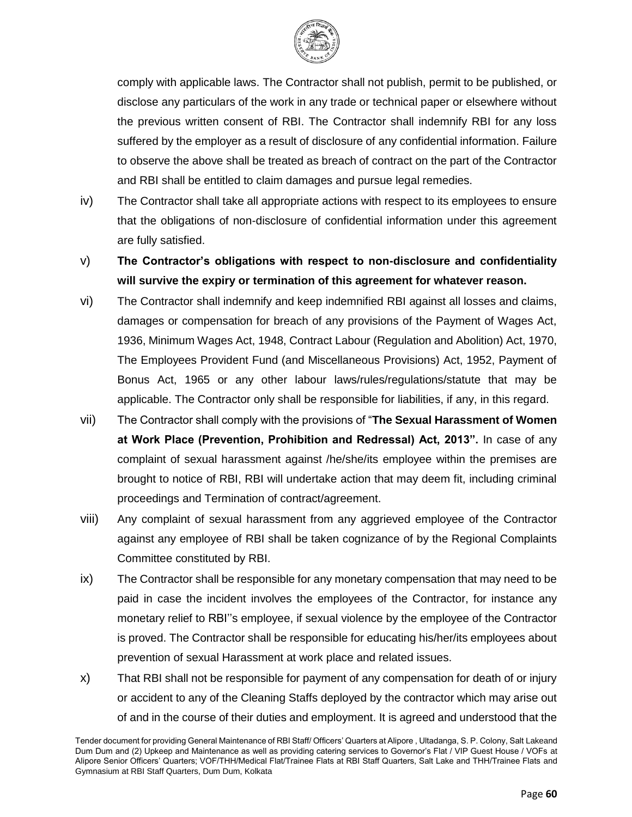

comply with applicable laws. The Contractor shall not publish, permit to be published, or disclose any particulars of the work in any trade or technical paper or elsewhere without the previous written consent of RBI. The Contractor shall indemnify RBI for any loss suffered by the employer as a result of disclosure of any confidential information. Failure to observe the above shall be treated as breach of contract on the part of the Contractor and RBI shall be entitled to claim damages and pursue legal remedies.

- iv) The Contractor shall take all appropriate actions with respect to its employees to ensure that the obligations of non-disclosure of confidential information under this agreement are fully satisfied.
- v) **The Contractor's obligations with respect to non-disclosure and confidentiality will survive the expiry or termination of this agreement for whatever reason.**
- vi) The Contractor shall indemnify and keep indemnified RBI against all losses and claims, damages or compensation for breach of any provisions of the Payment of Wages Act, 1936, Minimum Wages Act, 1948, Contract Labour (Regulation and Abolition) Act, 1970, The Employees Provident Fund (and Miscellaneous Provisions) Act, 1952, Payment of Bonus Act, 1965 or any other labour laws/rules/regulations/statute that may be applicable. The Contractor only shall be responsible for liabilities, if any, in this regard.
- vii) The Contractor shall comply with the provisions of "**The Sexual Harassment of Women at Work Place (Prevention, Prohibition and Redressal) Act, 2013".** In case of any complaint of sexual harassment against /he/she/its employee within the premises are brought to notice of RBI, RBI will undertake action that may deem fit, including criminal proceedings and Termination of contract/agreement.
- viii) Any complaint of sexual harassment from any aggrieved employee of the Contractor against any employee of RBI shall be taken cognizance of by the Regional Complaints Committee constituted by RBI.
- ix) The Contractor shall be responsible for any monetary compensation that may need to be paid in case the incident involves the employees of the Contractor, for instance any monetary relief to RBI''s employee, if sexual violence by the employee of the Contractor is proved. The Contractor shall be responsible for educating his/her/its employees about prevention of sexual Harassment at work place and related issues.
- x) That RBI shall not be responsible for payment of any compensation for death of or injury or accident to any of the Cleaning Staffs deployed by the contractor which may arise out of and in the course of their duties and employment. It is agreed and understood that the

Tender document for providing General Maintenance of RBI Staff/ Officers' Quarters at Alipore , Ultadanga, S. P. Colony, Salt Lakeand Dum Dum and (2) Upkeep and Maintenance as well as providing catering services to Governor's Flat / VIP Guest House / VOFs at Alipore Senior Officers' Quarters; VOF/THH/Medical Flat/Trainee Flats at RBI Staff Quarters, Salt Lake and THH/Trainee Flats and Gymnasium at RBI Staff Quarters, Dum Dum, Kolkata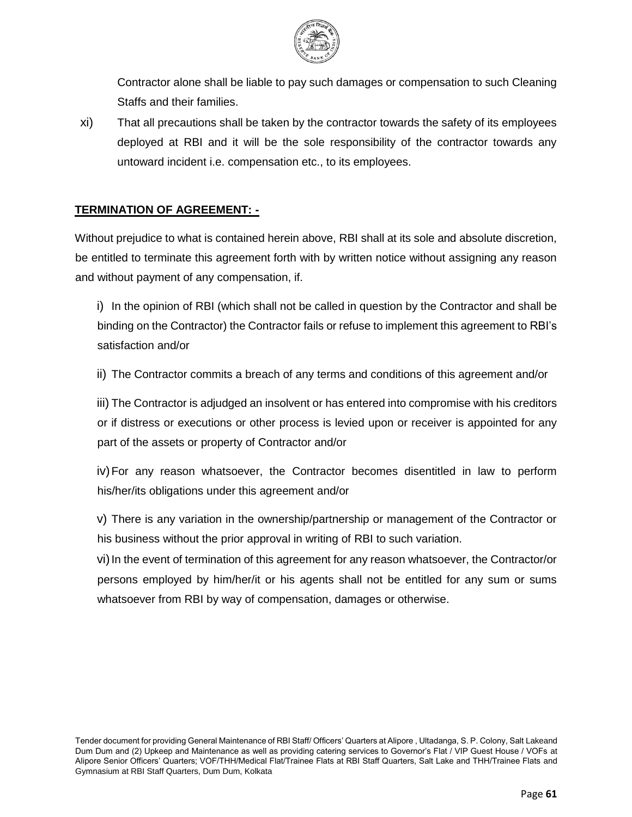

Contractor alone shall be liable to pay such damages or compensation to such Cleaning Staffs and their families.

xi) That all precautions shall be taken by the contractor towards the safety of its employees deployed at RBI and it will be the sole responsibility of the contractor towards any untoward incident i.e. compensation etc., to its employees.

#### **TERMINATION OF AGREEMENT: -**

Without prejudice to what is contained herein above, RBI shall at its sole and absolute discretion, be entitled to terminate this agreement forth with by written notice without assigning any reason and without payment of any compensation, if.

i) In the opinion of RBI (which shall not be called in question by the Contractor and shall be binding on the Contractor) the Contractor fails or refuse to implement this agreement to RBI's satisfaction and/or

ii) The Contractor commits a breach of any terms and conditions of this agreement and/or

iii) The Contractor is adjudged an insolvent or has entered into compromise with his creditors or if distress or executions or other process is levied upon or receiver is appointed for any part of the assets or property of Contractor and/or

iv)For any reason whatsoever, the Contractor becomes disentitled in law to perform his/her/its obligations under this agreement and/or

v) There is any variation in the ownership/partnership or management of the Contractor or his business without the prior approval in writing of RBI to such variation.

vi) In the event of termination of this agreement for any reason whatsoever, the Contractor/or persons employed by him/her/it or his agents shall not be entitled for any sum or sums whatsoever from RBI by way of compensation, damages or otherwise.